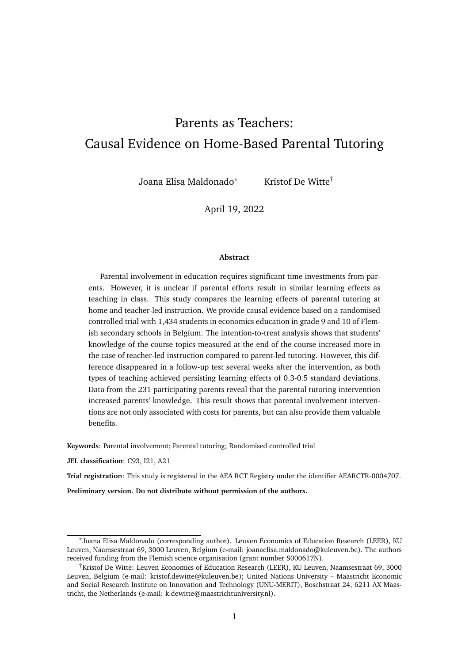# Parents as Teachers: Causal Evidence on Home-Based Parental Tutoring

Joana Elisa Maldonado<sup>\*</sup> Kristof De Witte<sup>†</sup>

April 19, 2022

#### **Abstract**

Parental involvement in education requires significant time investments from parents. However, it is unclear if parental efforts result in similar learning effects as teaching in class. This study compares the learning effects of parental tutoring at home and teacher-led instruction. We provide causal evidence based on a randomised controlled trial with 1,434 students in economics education in grade 9 and 10 of Flemish secondary schools in Belgium. The intention-to-treat analysis shows that students' knowledge of the course topics measured at the end of the course increased more in the case of teacher-led instruction compared to parent-led tutoring. However, this difference disappeared in a follow-up test several weeks after the intervention, as both types of teaching achieved persisting learning effects of 0.3-0.5 standard deviations. Data from the 231 participating parents reveal that the parental tutoring intervention increased parents' knowledge. This result shows that parental involvement interventions are not only associated with costs for parents, but can also provide them valuable benefits.

**Keywords**: Parental involvement; Parental tutoring; Randomised controlled trial

**JEL classification**: C93, I21, A21

**Trial registration**: This study is registered in the AEA RCT Registry under the identifier AEARCTR-0004707.

**Preliminary version. Do not distribute without permission of the authors.**

<sup>\*</sup>Joana Elisa Maldonado (corresponding author). Leuven Economics of Education Research (LEER), KU Leuven, Naamsestraat 69, 3000 Leuven, Belgium (e-mail: joanaelisa.maldonado@kuleuven.be). The authors received funding from the Flemish science organisation (grant number S000617N).

<sup>†</sup>Kristof De Witte: Leuven Economics of Education Research (LEER), KU Leuven, Naamsestraat 69, 3000 Leuven, Belgium (e-mail: kristof.dewitte@kuleuven.be); United Nations University – Maastricht Economic and Social Research Institute on Innovation and Technology (UNU-MERIT), Boschstraat 24, 6211 AX Maastricht, the Netherlands (e-mail: k.dewitte@maastrichtuniversity.nl).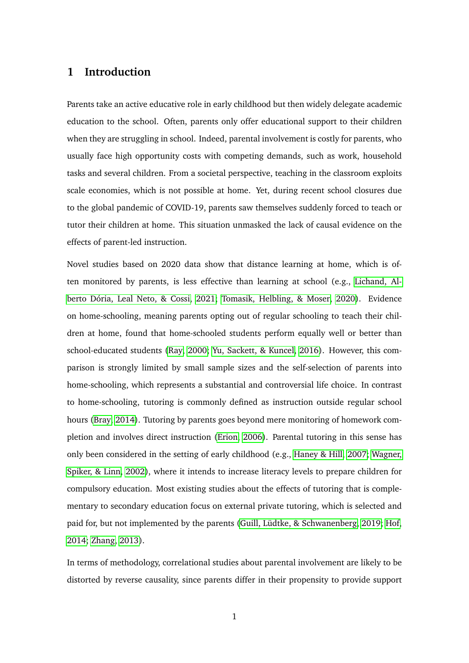# **1 Introduction**

Parents take an active educative role in early childhood but then widely delegate academic education to the school. Often, parents only offer educational support to their children when they are struggling in school. Indeed, parental involvement is costly for parents, who usually face high opportunity costs with competing demands, such as work, household tasks and several children. From a societal perspective, teaching in the classroom exploits scale economies, which is not possible at home. Yet, during recent school closures due to the global pandemic of COVID-19, parents saw themselves suddenly forced to teach or tutor their children at home. This situation unmasked the lack of causal evidence on the effects of parent-led instruction.

Novel studies based on 2020 data show that distance learning at home, which is often monitored by parents, is less effective than learning at school (e.g., [Lichand, Al](#page-33-0)[berto Dória, Leal Neto, & Cossi, 2021;](#page-33-0) [Tomasik, Helbling, & Moser, 2020\)](#page-34-0). Evidence on home-schooling, meaning parents opting out of regular schooling to teach their children at home, found that home-schooled students perform equally well or better than school-educated students [\(Ray, 2000;](#page-34-1) [Yu, Sackett, & Kuncel, 2016\)](#page-34-2). However, this comparison is strongly limited by small sample sizes and the self-selection of parents into home-schooling, which represents a substantial and controversial life choice. In contrast to home-schooling, tutoring is commonly defined as instruction outside regular school hours [\(Bray, 2014\)](#page-32-0). Tutoring by parents goes beyond mere monitoring of homework completion and involves direct instruction [\(Erion, 2006\)](#page-32-1). Parental tutoring in this sense has only been considered in the setting of early childhood (e.g., [Haney & Hill, 2007;](#page-32-2) [Wagner,](#page-34-3) [Spiker, & Linn, 2002\)](#page-34-3), where it intends to increase literacy levels to prepare children for compulsory education. Most existing studies about the effects of tutoring that is complementary to secondary education focus on external private tutoring, which is selected and paid for, but not implemented by the parents [\(Guill, Lüdtke, & Schwanenberg, 2019;](#page-32-3) [Hof,](#page-32-4) [2014;](#page-32-4) [Zhang, 2013\)](#page-34-4).

In terms of methodology, correlational studies about parental involvement are likely to be distorted by reverse causality, since parents differ in their propensity to provide support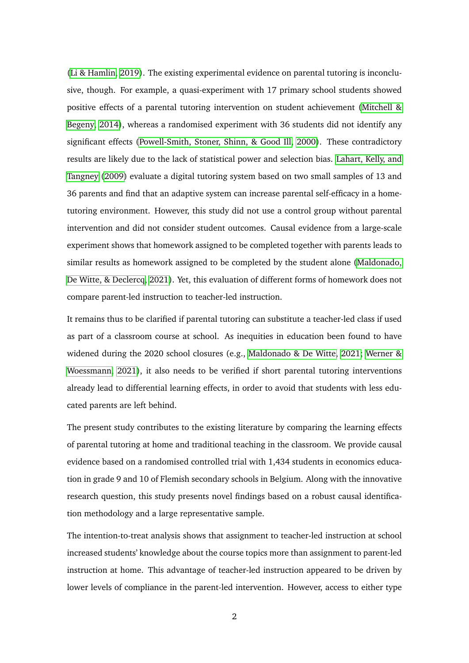[\(Li & Hamlin, 2019\)](#page-33-1). The existing experimental evidence on parental tutoring is inconclusive, though. For example, a quasi-experiment with 17 primary school students showed positive effects of a parental tutoring intervention on student achievement [\(Mitchell &](#page-33-2) [Begeny, 2014\)](#page-33-2), whereas a randomised experiment with 36 students did not identify any significant effects [\(Powell-Smith, Stoner, Shinn, & Good Ill, 2000\)](#page-34-5). These contradictory results are likely due to the lack of statistical power and selection bias. [Lahart, Kelly, and](#page-33-3) [Tangney](#page-33-3) [\(2009\)](#page-33-3) evaluate a digital tutoring system based on two small samples of 13 and 36 parents and find that an adaptive system can increase parental self-efficacy in a hometutoring environment. However, this study did not use a control group without parental intervention and did not consider student outcomes. Causal evidence from a large-scale experiment shows that homework assigned to be completed together with parents leads to similar results as homework assigned to be completed by the student alone [\(Maldonado,](#page-33-4) [De Witte, & Declercq, 2021\)](#page-33-4). Yet, this evaluation of different forms of homework does not compare parent-led instruction to teacher-led instruction.

It remains thus to be clarified if parental tutoring can substitute a teacher-led class if used as part of a classroom course at school. As inequities in education been found to have widened during the 2020 school closures (e.g., [Maldonado & De Witte, 2021;](#page-33-5) [Werner &](#page-34-6) [Woessmann, 2021\)](#page-34-6), it also needs to be verified if short parental tutoring interventions already lead to differential learning effects, in order to avoid that students with less educated parents are left behind.

The present study contributes to the existing literature by comparing the learning effects of parental tutoring at home and traditional teaching in the classroom. We provide causal evidence based on a randomised controlled trial with 1,434 students in economics education in grade 9 and 10 of Flemish secondary schools in Belgium. Along with the innovative research question, this study presents novel findings based on a robust causal identification methodology and a large representative sample.

The intention-to-treat analysis shows that assignment to teacher-led instruction at school increased students' knowledge about the course topics more than assignment to parent-led instruction at home. This advantage of teacher-led instruction appeared to be driven by lower levels of compliance in the parent-led intervention. However, access to either type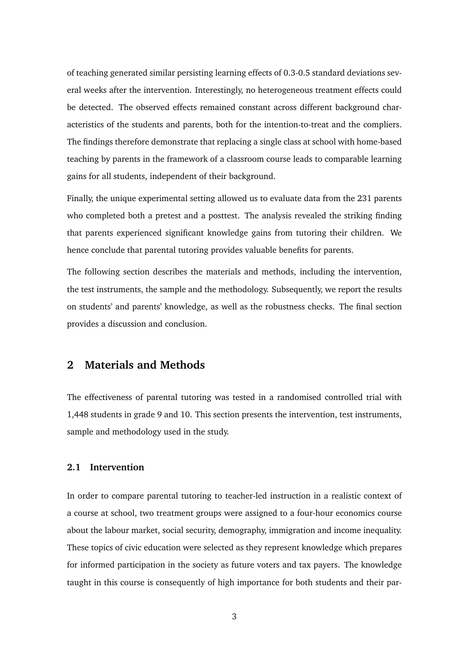of teaching generated similar persisting learning effects of 0.3-0.5 standard deviations several weeks after the intervention. Interestingly, no heterogeneous treatment effects could be detected. The observed effects remained constant across different background characteristics of the students and parents, both for the intention-to-treat and the compliers. The findings therefore demonstrate that replacing a single class at school with home-based teaching by parents in the framework of a classroom course leads to comparable learning gains for all students, independent of their background.

Finally, the unique experimental setting allowed us to evaluate data from the 231 parents who completed both a pretest and a posttest. The analysis revealed the striking finding that parents experienced significant knowledge gains from tutoring their children. We hence conclude that parental tutoring provides valuable benefits for parents.

The following section describes the materials and methods, including the intervention, the test instruments, the sample and the methodology. Subsequently, we report the results on students' and parents' knowledge, as well as the robustness checks. The final section provides a discussion and conclusion.

# **2 Materials and Methods**

The effectiveness of parental tutoring was tested in a randomised controlled trial with 1,448 students in grade 9 and 10. This section presents the intervention, test instruments, sample and methodology used in the study.

#### **2.1 Intervention**

In order to compare parental tutoring to teacher-led instruction in a realistic context of a course at school, two treatment groups were assigned to a four-hour economics course about the labour market, social security, demography, immigration and income inequality. These topics of civic education were selected as they represent knowledge which prepares for informed participation in the society as future voters and tax payers. The knowledge taught in this course is consequently of high importance for both students and their par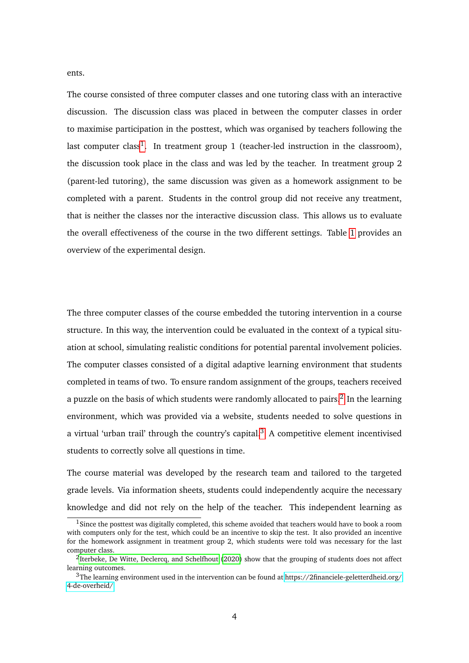ents.

The course consisted of three computer classes and one tutoring class with an interactive discussion. The discussion class was placed in between the computer classes in order to maximise participation in the posttest, which was organised by teachers following the last computer class<sup>[1](#page-4-0)</sup>. In treatment group 1 (teacher-led instruction in the classroom), the discussion took place in the class and was led by the teacher. In treatment group 2 (parent-led tutoring), the same discussion was given as a homework assignment to be completed with a parent. Students in the control group did not receive any treatment, that is neither the classes nor the interactive discussion class. This allows us to evaluate the overall effectiveness of the course in the two different settings. Table [1](#page-5-0) provides an overview of the experimental design.

The three computer classes of the course embedded the tutoring intervention in a course structure. In this way, the intervention could be evaluated in the context of a typical situation at school, simulating realistic conditions for potential parental involvement policies. The computer classes consisted of a digital adaptive learning environment that students completed in teams of two. To ensure random assignment of the groups, teachers received a puzzle on the basis of which students were randomly allocated to pairs.<sup>[2](#page-4-1)</sup> In the learning environment, which was provided via a website, students needed to solve questions in a virtual 'urban trail' through the country's capital. $3$  A competitive element incentivised students to correctly solve all questions in time.

The course material was developed by the research team and tailored to the targeted grade levels. Via information sheets, students could independently acquire the necessary knowledge and did not rely on the help of the teacher. This independent learning as

<span id="page-4-0"></span><sup>&</sup>lt;sup>1</sup>Since the posttest was digitally completed, this scheme avoided that teachers would have to book a room with computers only for the test, which could be an incentive to skip the test. It also provided an incentive for the homework assignment in treatment group 2, which students were told was necessary for the last computer class.

<span id="page-4-1"></span><sup>&</sup>lt;sup>2</sup>[Iterbeke, De Witte, Declercq, and Schelfhout](#page-32-5) [\(2020\)](#page-32-5) show that the grouping of students does not affect learning outcomes.

<span id="page-4-2"></span><sup>3</sup>The learning environment used in the intervention can be found at [https://2financiele-geletterdheid.org/](https://2financiele-geletterdheid.org/4-de-overheid/) [4-de-overheid/.](https://2financiele-geletterdheid.org/4-de-overheid/)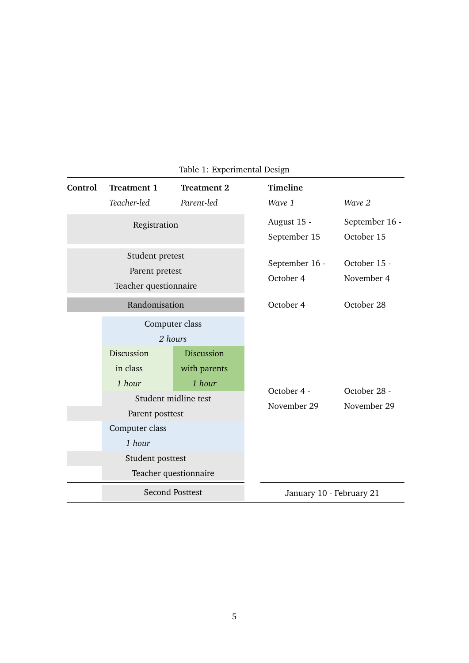<span id="page-5-0"></span>

| Control                                                    | <b>Treatment 1</b>                                                                                  | <b>Treatment 2</b>                                                                                                        |  | <b>Timeline</b>             |                              |
|------------------------------------------------------------|-----------------------------------------------------------------------------------------------------|---------------------------------------------------------------------------------------------------------------------------|--|-----------------------------|------------------------------|
|                                                            | Teacher-led                                                                                         | Parent-led                                                                                                                |  | Wave 1                      | Wave 2                       |
|                                                            | Registration                                                                                        |                                                                                                                           |  | August 15 -<br>September 15 | September 16 -<br>October 15 |
| Student pretest<br>Parent pretest<br>Teacher questionnaire |                                                                                                     |                                                                                                                           |  | September 16 -<br>October 4 | October 15 -<br>November 4   |
| Randomisation                                              |                                                                                                     |                                                                                                                           |  | October 4                   | October 28                   |
|                                                            | Discussion<br>in class<br>1 hour<br>Parent posttest<br>Computer class<br>1 hour<br>Student posttest | Computer class<br>2 hours<br><b>Discussion</b><br>with parents<br>1 hour<br>Student midline test<br>Teacher questionnaire |  | October 4 -<br>November 29  | October 28 -<br>November 29  |
|                                                            |                                                                                                     | <b>Second Posttest</b>                                                                                                    |  | January 10 - February 21    |                              |

Table 1: Experimental Design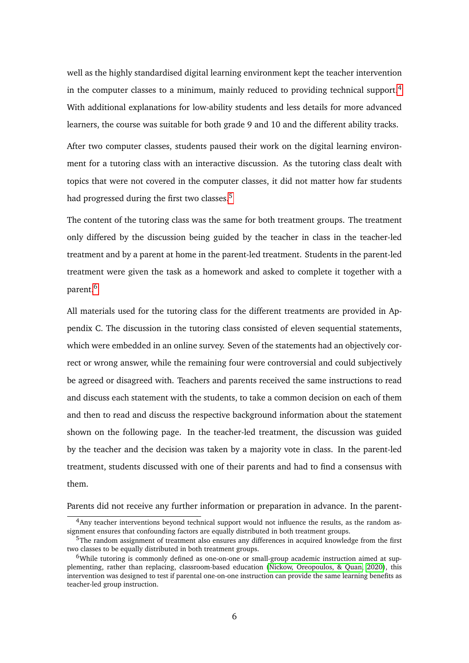well as the highly standardised digital learning environment kept the teacher intervention in the computer classes to a minimum, mainly reduced to providing technical support.<sup>[4](#page-6-0)</sup> With additional explanations for low-ability students and less details for more advanced learners, the course was suitable for both grade 9 and 10 and the different ability tracks.

After two computer classes, students paused their work on the digital learning environment for a tutoring class with an interactive discussion. As the tutoring class dealt with topics that were not covered in the computer classes, it did not matter how far students had progressed during the first two classes.<sup>[5](#page-6-1)</sup>

The content of the tutoring class was the same for both treatment groups. The treatment only differed by the discussion being guided by the teacher in class in the teacher-led treatment and by a parent at home in the parent-led treatment. Students in the parent-led treatment were given the task as a homework and asked to complete it together with a parent.[6](#page-6-2)

All materials used for the tutoring class for the different treatments are provided in Appendix C. The discussion in the tutoring class consisted of eleven sequential statements, which were embedded in an online survey. Seven of the statements had an objectively correct or wrong answer, while the remaining four were controversial and could subjectively be agreed or disagreed with. Teachers and parents received the same instructions to read and discuss each statement with the students, to take a common decision on each of them and then to read and discuss the respective background information about the statement shown on the following page. In the teacher-led treatment, the discussion was guided by the teacher and the decision was taken by a majority vote in class. In the parent-led treatment, students discussed with one of their parents and had to find a consensus with them.

Parents did not receive any further information or preparation in advance. In the parent-

<span id="page-6-0"></span><sup>4</sup>Any teacher interventions beyond technical support would not influence the results, as the random assignment ensures that confounding factors are equally distributed in both treatment groups.

<span id="page-6-1"></span> $5$ The random assignment of treatment also ensures any differences in acquired knowledge from the first two classes to be equally distributed in both treatment groups.

<span id="page-6-2"></span><sup>6</sup>While tutoring is commonly defined as one-on-one or small-group academic instruction aimed at supplementing, rather than replacing, classroom-based education [\(Nickow, Oreopoulos, & Quan, 2020\)](#page-34-7), this intervention was designed to test if parental one-on-one instruction can provide the same learning benefits as teacher-led group instruction.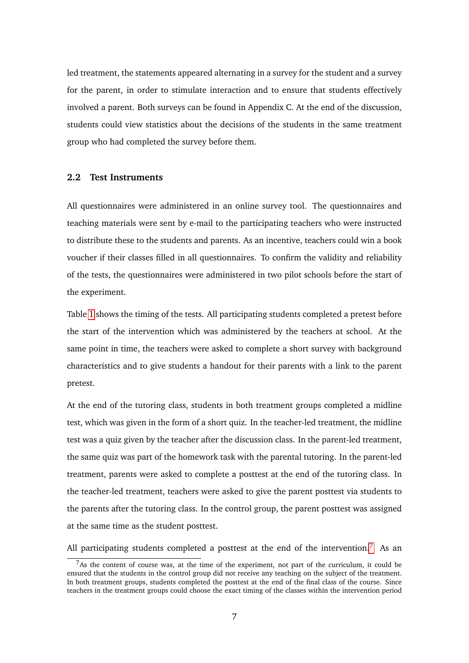led treatment, the statements appeared alternating in a survey for the student and a survey for the parent, in order to stimulate interaction and to ensure that students effectively involved a parent. Both surveys can be found in Appendix C. At the end of the discussion, students could view statistics about the decisions of the students in the same treatment group who had completed the survey before them.

#### **2.2 Test Instruments**

All questionnaires were administered in an online survey tool. The questionnaires and teaching materials were sent by e-mail to the participating teachers who were instructed to distribute these to the students and parents. As an incentive, teachers could win a book voucher if their classes filled in all questionnaires. To confirm the validity and reliability of the tests, the questionnaires were administered in two pilot schools before the start of the experiment.

Table [1](#page-5-0) shows the timing of the tests. All participating students completed a pretest before the start of the intervention which was administered by the teachers at school. At the same point in time, the teachers were asked to complete a short survey with background characteristics and to give students a handout for their parents with a link to the parent pretest.

At the end of the tutoring class, students in both treatment groups completed a midline test, which was given in the form of a short quiz. In the teacher-led treatment, the midline test was a quiz given by the teacher after the discussion class. In the parent-led treatment, the same quiz was part of the homework task with the parental tutoring. In the parent-led treatment, parents were asked to complete a posttest at the end of the tutoring class. In the teacher-led treatment, teachers were asked to give the parent posttest via students to the parents after the tutoring class. In the control group, the parent posttest was assigned at the same time as the student posttest.

All participating students completed a posttest at the end of the intervention.<sup>[7](#page-7-0)</sup> As an

<span id="page-7-0"></span> $7$ As the content of course was, at the time of the experiment, not part of the curriculum, it could be ensured that the students in the control group did not receive any teaching on the subject of the treatment. In both treatment groups, students completed the posttest at the end of the final class of the course. Since teachers in the treatment groups could choose the exact timing of the classes within the intervention period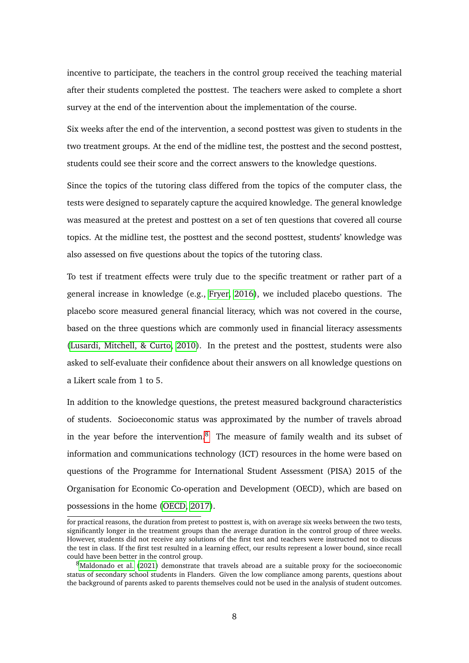incentive to participate, the teachers in the control group received the teaching material after their students completed the posttest. The teachers were asked to complete a short survey at the end of the intervention about the implementation of the course.

Six weeks after the end of the intervention, a second posttest was given to students in the two treatment groups. At the end of the midline test, the posttest and the second posttest, students could see their score and the correct answers to the knowledge questions.

Since the topics of the tutoring class differed from the topics of the computer class, the tests were designed to separately capture the acquired knowledge. The general knowledge was measured at the pretest and posttest on a set of ten questions that covered all course topics. At the midline test, the posttest and the second posttest, students' knowledge was also assessed on five questions about the topics of the tutoring class.

To test if treatment effects were truly due to the specific treatment or rather part of a general increase in knowledge (e.g., [Fryer, 2016\)](#page-32-6), we included placebo questions. The placebo score measured general financial literacy, which was not covered in the course, based on the three questions which are commonly used in financial literacy assessments [\(Lusardi, Mitchell, & Curto, 2010\)](#page-33-6). In the pretest and the posttest, students were also asked to self-evaluate their confidence about their answers on all knowledge questions on a Likert scale from 1 to 5.

In addition to the knowledge questions, the pretest measured background characteristics of students. Socioeconomic status was approximated by the number of travels abroad in the year before the intervention. $8$  The measure of family wealth and its subset of information and communications technology (ICT) resources in the home were based on questions of the Programme for International Student Assessment (PISA) 2015 of the Organisation for Economic Co-operation and Development (OECD), which are based on possessions in the home [\(OECD, 2017\)](#page-34-8).

for practical reasons, the duration from pretest to posttest is, with on average six weeks between the two tests, significantly longer in the treatment groups than the average duration in the control group of three weeks. However, students did not receive any solutions of the first test and teachers were instructed not to discuss the test in class. If the first test resulted in a learning effect, our results represent a lower bound, since recall could have been better in the control group.

<span id="page-8-0"></span><sup>8</sup>[Maldonado et al.](#page-33-4) [\(2021\)](#page-33-4) demonstrate that travels abroad are a suitable proxy for the socioeconomic status of secondary school students in Flanders. Given the low compliance among parents, questions about the background of parents asked to parents themselves could not be used in the analysis of student outcomes.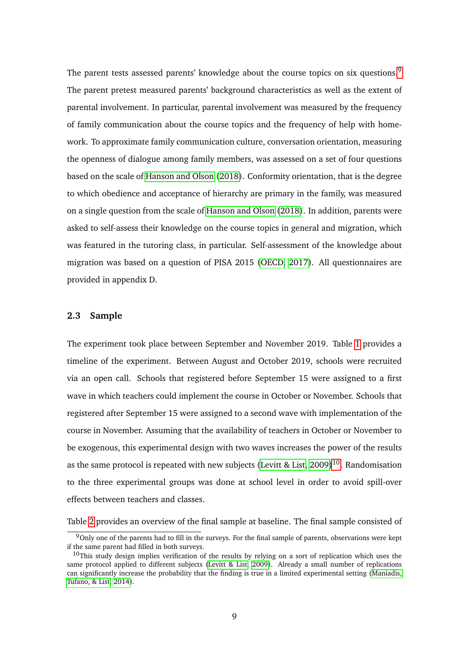The parent tests assessed parents' knowledge about the course topics on six questions.<sup>[9](#page-9-0)</sup> The parent pretest measured parents' background characteristics as well as the extent of parental involvement. In particular, parental involvement was measured by the frequency of family communication about the course topics and the frequency of help with homework. To approximate family communication culture, conversation orientation, measuring the openness of dialogue among family members, was assessed on a set of four questions based on the scale of [Hanson and Olson](#page-32-7) [\(2018\)](#page-32-7). Conformity orientation, that is the degree to which obedience and acceptance of hierarchy are primary in the family, was measured on a single question from the scale of [Hanson and Olson](#page-32-7) [\(2018\)](#page-32-7). In addition, parents were asked to self-assess their knowledge on the course topics in general and migration, which was featured in the tutoring class, in particular. Self-assessment of the knowledge about migration was based on a question of PISA 2015 [\(OECD, 2017\)](#page-34-8). All questionnaires are provided in appendix D.

#### <span id="page-9-2"></span>**2.3 Sample**

The experiment took place between September and November 2019. Table [1](#page-5-0) provides a timeline of the experiment. Between August and October 2019, schools were recruited via an open call. Schools that registered before September 15 were assigned to a first wave in which teachers could implement the course in October or November. Schools that registered after September 15 were assigned to a second wave with implementation of the course in November. Assuming that the availability of teachers in October or November to be exogenous, this experimental design with two waves increases the power of the results as the same protocol is repeated with new subjects [\(Levitt & List, 2009\)](#page-33-7)<sup>[10](#page-9-1)</sup>. Randomisation to the three experimental groups was done at school level in order to avoid spill-over effects between teachers and classes.

Table [2](#page-11-0) provides an overview of the final sample at baseline. The final sample consisted of

<span id="page-9-0"></span> $9$ Only one of the parents had to fill in the surveys. For the final sample of parents, observations were kept if the same parent had filled in both surveys.

<span id="page-9-1"></span> $10$ This study design implies verification of the results by relying on a sort of replication which uses the same protocol applied to different subjects [\(Levitt & List, 2009\)](#page-33-7). Already a small number of replications can significantly increase the probability that the finding is true in a limited experimental setting [\(Maniadis,](#page-33-8) [Tufano, & List, 2014\)](#page-33-8).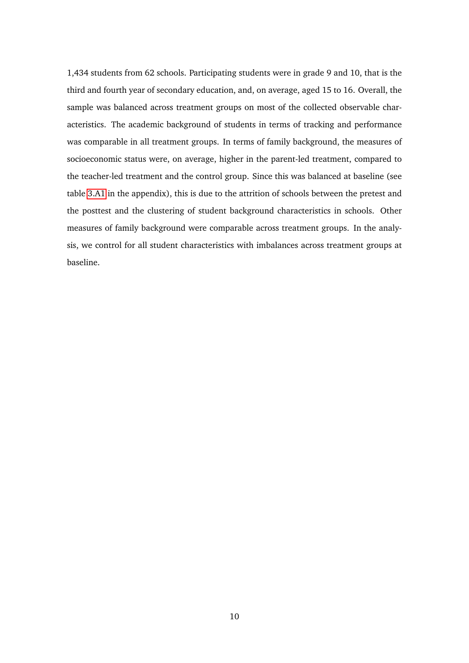1,434 students from 62 schools. Participating students were in grade 9 and 10, that is the third and fourth year of secondary education, and, on average, aged 15 to 16. Overall, the sample was balanced across treatment groups on most of the collected observable characteristics. The academic background of students in terms of tracking and performance was comparable in all treatment groups. In terms of family background, the measures of socioeconomic status were, on average, higher in the parent-led treatment, compared to the teacher-led treatment and the control group. Since this was balanced at baseline (see table [3.A1](#page-36-0) in the appendix), this is due to the attrition of schools between the pretest and the posttest and the clustering of student background characteristics in schools. Other measures of family background were comparable across treatment groups. In the analysis, we control for all student characteristics with imbalances across treatment groups at baseline.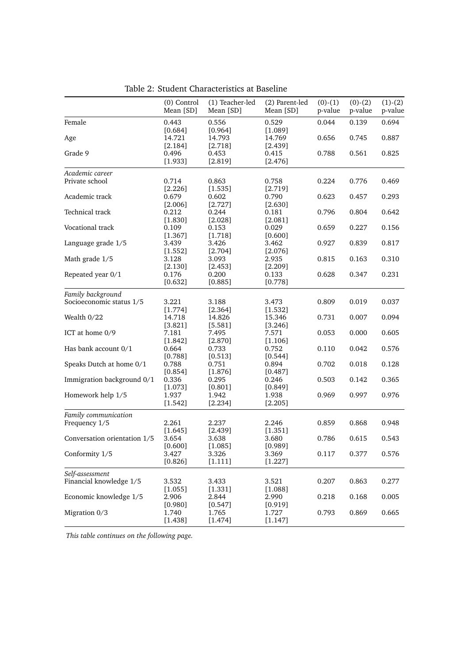<span id="page-11-0"></span>

|                              | (0) Control<br>Mean [SD] | (1) Teacher-led<br>Mean [SD] | (2) Parent-led<br>Mean [SD] | $(0)-(1)$<br>p-value | $(0)-(2)$<br>p-value | $(1)-(2)$<br>p-value |
|------------------------------|--------------------------|------------------------------|-----------------------------|----------------------|----------------------|----------------------|
| Female                       | 0.443<br>$[0.684]$       | 0.556<br>[0.964]             | 0.529<br>[1.089]            | 0.044                | 0.139                | 0.694                |
| Age                          | 14.721<br>[2.184]        | 14.793<br>[2.718]            | 14.769<br>[2.439]           | 0.656                | 0.745                | 0.887                |
| Grade 9                      | 0.496<br>[1.933]         | 0.453<br>[2.819]             | 0.415<br>[2.476]            | 0.788                | 0.561                | 0.825                |
| Academic career              |                          |                              |                             |                      |                      |                      |
| Private school               | 0.714                    | 0.863                        | 0.758                       | 0.224                | 0.776                | 0.469                |
|                              | $[2.226]$                | $[1.535]$                    | [2.719]                     |                      |                      |                      |
| Academic track               | 0.679<br>[2.006]         | 0.602<br>[2.727]             | 0.790<br>[2.630]            | 0.623                | 0.457                | 0.293                |
| Technical track              | 0.212                    | 0.244                        | 0.181                       | 0.796                | 0.804                | 0.642                |
|                              | [1.830]                  | [2.028]                      | [2.081]                     |                      |                      |                      |
| Vocational track             | 0.109                    | 0.153                        | 0.029                       | 0.659                | 0.227                | 0.156                |
|                              | [1.367]                  | [1.718]                      | [0.600]                     |                      |                      |                      |
| Language grade 1/5           | 3.439                    | 3.426                        | 3.462                       | 0.927                | 0.839                | 0.817                |
|                              | [1.552]                  | [2.704]                      | [2.076]                     |                      |                      |                      |
| Math grade 1/5               | 3.128                    | 3.093                        | 2.935                       | 0.815                | 0.163                | 0.310                |
|                              | [2.130]                  | [2.453]                      | [2.209]                     |                      |                      |                      |
| Repeated year 0/1            | 0.176                    | 0.200                        | 0.133                       | 0.628                | 0.347                | 0.231                |
|                              | [0.632]                  | [0.885]                      | [0.778]                     |                      |                      |                      |
| Family background            |                          |                              |                             |                      |                      |                      |
| Socioeconomic status 1/5     | 3.221                    | 3.188                        | 3.473                       | 0.809                | 0.019                | 0.037                |
|                              | [1.774]                  | [2.364]                      | [1.532]                     |                      |                      |                      |
| Wealth 0/22                  | 14.718                   | 14.826                       | 15.346                      | 0.731                | 0.007                | 0.094                |
|                              | [3.821]                  | [5.581]                      | [3.246]                     |                      |                      |                      |
| ICT at home 0/9              | 7.181                    | 7.495                        | 7.571                       | 0.053                | 0.000                | 0.605                |
| Has bank account 0/1         | [1.842]<br>0.664         | $[2.870]$<br>0.733           | [1.106]<br>0.752            | 0.110                | 0.042                | 0.576                |
|                              | [0.788]                  | [0.513]                      | [0.544]                     |                      |                      |                      |
| Speaks Dutch at home 0/1     | 0.788                    | 0.751                        | 0.894                       | 0.702                | 0.018                | 0.128                |
|                              | [0.854]                  | [1.876]                      | [0.487]                     |                      |                      |                      |
| Immigration background 0/1   | 0.336                    | 0.295                        | 0.246                       | 0.503                | 0.142                | 0.365                |
|                              | [1.073]                  | [0.801]                      | [0.849]                     |                      |                      |                      |
| Homework help 1/5            | 1.937                    | 1.942                        | 1.938                       | 0.969                | 0.997                | 0.976                |
|                              | [1.542]                  | [2.234]                      | [2.205]                     |                      |                      |                      |
| Family communication         |                          |                              |                             |                      |                      |                      |
| Frequency 1/5                | 2.261                    | 2.237                        | 2.246                       | 0.859                | 0.868                | 0.948                |
|                              | [1.645]                  | [2.439]                      | [1.351]                     |                      |                      |                      |
| Conversation orientation 1/5 | 3.654                    | 3.638                        | 3.680                       | 0.786                | 0.615                | 0.543                |
|                              | [0.600]                  | [1.085]                      | [0.989]                     |                      |                      |                      |
| Conformity 1/5               | 3.427                    | 3.326                        | 3.369                       | 0.117                | 0.377                | 0.576                |
|                              | [0.826]                  | [1.111]                      | [1.227]                     |                      |                      |                      |
| Self-assessment              |                          |                              |                             |                      |                      |                      |
| Financial knowledge 1/5      | 3.532                    | 3.433                        | 3.521                       | 0.207                | 0.863                | 0.277                |
|                              | [1.055]                  | [1.331]                      | [1.088]                     |                      |                      |                      |
| Economic knowledge 1/5       | 2.906                    | 2.844                        | 2.990                       | 0.218                | 0.168                | 0.005                |
|                              | [0.980]                  | [0.547]                      | [0.919]                     |                      |                      |                      |
| Migration 0/3                | 1.740                    | 1.765                        | 1.727                       | 0.793                | 0.869                | 0.665                |
|                              | [1.438]                  | [1.474]                      | [1.147]                     |                      |                      |                      |

Table 2: Student Characteristics at Baseline

*This table continues on the following page.*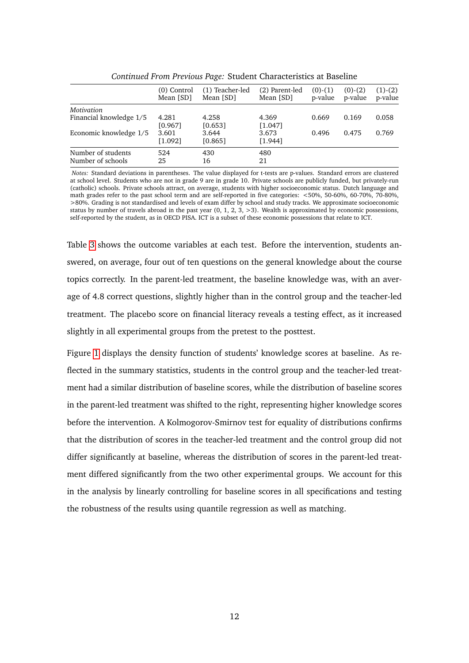|                                         | $(0)$ Control<br>Mean [SD] | (1) Teacher-led<br>Mean [SD] | (2) Parent-led<br>Mean [SD] | $(0)-(1)$<br>p-value | $(0)-(2)$<br>p-value | $(1)-(2)$<br>p-value |
|-----------------------------------------|----------------------------|------------------------------|-----------------------------|----------------------|----------------------|----------------------|
| Motivation                              |                            |                              |                             |                      |                      |                      |
| Financial knowledge 1/5                 | 4.281<br>[0.967]           | 4.258<br>[0.653]             | 4.369<br>[1.047]            | 0.669                | 0.169                | 0.058                |
| Economic knowledge 1/5                  | 3.601<br>[1.092]           | 3.644<br>[0.865]             | 3.673<br>[1.944]            | 0.496                | 0.475                | 0.769                |
| Number of students<br>Number of schools | 524<br>25                  | 430<br>16                    | 480<br>21                   |                      |                      |                      |

*Continued From Previous Page:* Student Characteristics at Baseline

*Notes:* Standard deviations in parentheses. The value displayed for t-tests are p-values. Standard errors are clustered at school level. Students who are not in grade 9 are in grade 10. Private schools are publicly funded, but privately-run (catholic) schools. Private schools attract, on average, students with higher socioeconomic status. Dutch language and math grades refer to the past school term and are self-reported in five categories: <50%, 50-60%, 60-70%, 70-80%, >80%. Grading is not standardised and levels of exam differ by school and study tracks. We approximate socioeconomic status by number of travels abroad in the past year  $(0, 1, 2, 3, 3)$ . Wealth is approximated by economic possessions, self-reported by the student, as in OECD PISA. ICT is a subset of these economic possessions that relate to ICT.

Table [3](#page-13-0) shows the outcome variables at each test. Before the intervention, students answered, on average, four out of ten questions on the general knowledge about the course topics correctly. In the parent-led treatment, the baseline knowledge was, with an average of 4.8 correct questions, slightly higher than in the control group and the teacher-led treatment. The placebo score on financial literacy reveals a testing effect, as it increased slightly in all experimental groups from the pretest to the posttest.

Figure [1](#page-14-0) displays the density function of students' knowledge scores at baseline. As reflected in the summary statistics, students in the control group and the teacher-led treatment had a similar distribution of baseline scores, while the distribution of baseline scores in the parent-led treatment was shifted to the right, representing higher knowledge scores before the intervention. A Kolmogorov-Smirnov test for equality of distributions confirms that the distribution of scores in the teacher-led treatment and the control group did not differ significantly at baseline, whereas the distribution of scores in the parent-led treatment differed significantly from the two other experimental groups. We account for this in the analysis by linearly controlling for baseline scores in all specifications and testing the robustness of the results using quantile regression as well as matching.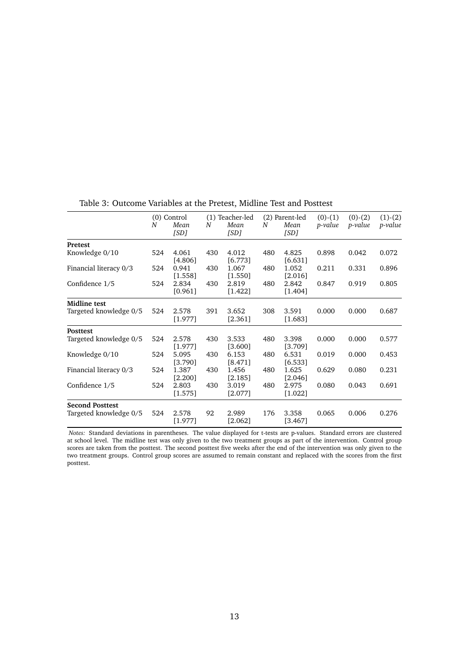|                        |     | (0) Control      |     | (1) Teacher-led    |     | (2) Parent-led   | $(0)-(1)$      | $(0)-(2)$ | $(1)-(2)$ |
|------------------------|-----|------------------|-----|--------------------|-----|------------------|----------------|-----------|-----------|
|                        | N   | Mean<br>[SD]     | N   | Mean<br>[SD]       | N   | Mean<br>[SD]     | <i>p-value</i> | p-value   | p-value   |
| <b>Pretest</b>         |     |                  |     |                    |     |                  |                |           |           |
| Knowledge 0/10         | 524 | 4.061<br>[4.806] | 430 | 4.012<br>[6.773]   | 480 | 4.825<br>[6.631] | 0.898          | 0.042     | 0.072     |
| Financial literacy 0/3 | 524 | 0.941<br>[1.558] | 430 | 1.067<br>[1.550]   | 480 | 1.052<br>[2.016] | 0.211          | 0.331     | 0.896     |
| Confidence 1/5         | 524 | 2.834<br>[0.961] | 430 | 2.819<br>[1.422]   | 480 | 2.842<br>[1.404] | 0.847          | 0.919     | 0.805     |
| Midline test           |     |                  |     |                    |     |                  |                |           |           |
| Targeted knowledge 0/5 | 524 | 2.578<br>[1.977] | 391 | 3.652<br>[2.361]   | 308 | 3.591<br>[1.683] | 0.000          | 0.000     | 0.687     |
| <b>Posttest</b>        |     |                  |     |                    |     |                  |                |           |           |
| Targeted knowledge 0/5 | 524 | 2.578<br>[1.977] | 430 | 3.533<br>[3.600]   | 480 | 3.398<br>[3.709] | 0.000          | 0.000     | 0.577     |
| Knowledge 0/10         | 524 | 5.095<br>[3.790] | 430 | 6.153<br>[8.471]   | 480 | 6.531<br>[6.533] | 0.019          | 0.000     | 0.453     |
| Financial literacy 0/3 | 524 | 1.387<br>[2.200] | 430 | 1.456<br>[2.185]   | 480 | 1.625<br>[2.046] | 0.629          | 0.080     | 0.231     |
| Confidence 1/5         | 524 | 2.803<br>[1.575] | 430 | 3.019<br>$[2.077]$ | 480 | 2.975<br>[1.022] | 0.080          | 0.043     | 0.691     |
| <b>Second Posttest</b> |     |                  |     |                    |     |                  |                |           |           |
| Targeted knowledge 0/5 | 524 | 2.578<br>[1.977] | 92  | 2.989<br>$[2.062]$ | 176 | 3.358<br>[3.467] | 0.065          | 0.006     | 0.276     |

<span id="page-13-0"></span>Table 3: Outcome Variables at the Pretest, Midline Test and Posttest

*Notes:* Standard deviations in parentheses. The value displayed for t-tests are p-values. Standard errors are clustered at school level. The midline test was only given to the two treatment groups as part of the intervention. Control group scores are taken from the posttest. The second posttest five weeks after the end of the intervention was only given to the two treatment groups. Control group scores are assumed to remain constant and replaced with the scores from the first posttest.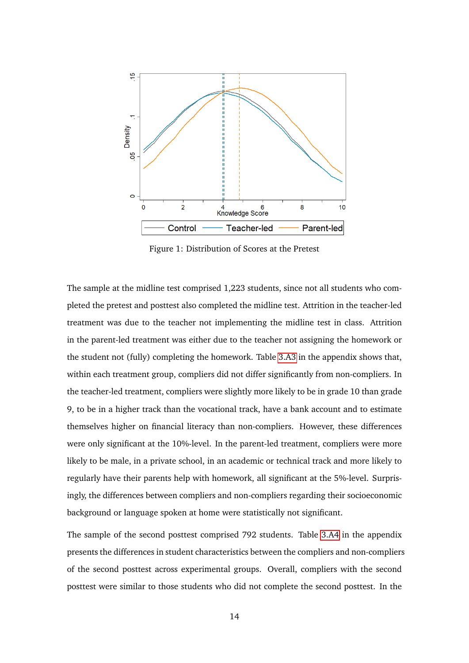<span id="page-14-0"></span>

Figure 1: Distribution of Scores at the Pretest

The sample at the midline test comprised 1,223 students, since not all students who completed the pretest and posttest also completed the midline test. Attrition in the teacher-led treatment was due to the teacher not implementing the midline test in class. Attrition in the parent-led treatment was either due to the teacher not assigning the homework or the student not (fully) completing the homework. Table [3.A3](#page-39-0) in the appendix shows that, within each treatment group, compliers did not differ significantly from non-compliers. In the teacher-led treatment, compliers were slightly more likely to be in grade 10 than grade 9, to be in a higher track than the vocational track, have a bank account and to estimate themselves higher on financial literacy than non-compliers. However, these differences were only significant at the 10%-level. In the parent-led treatment, compliers were more likely to be male, in a private school, in an academic or technical track and more likely to regularly have their parents help with homework, all significant at the 5%-level. Surprisingly, the differences between compliers and non-compliers regarding their socioeconomic background or language spoken at home were statistically not significant.

The sample of the second posttest comprised 792 students. Table [3.A4](#page-40-0) in the appendix presents the differences in student characteristics between the compliers and non-compliers of the second posttest across experimental groups. Overall, compliers with the second posttest were similar to those students who did not complete the second posttest. In the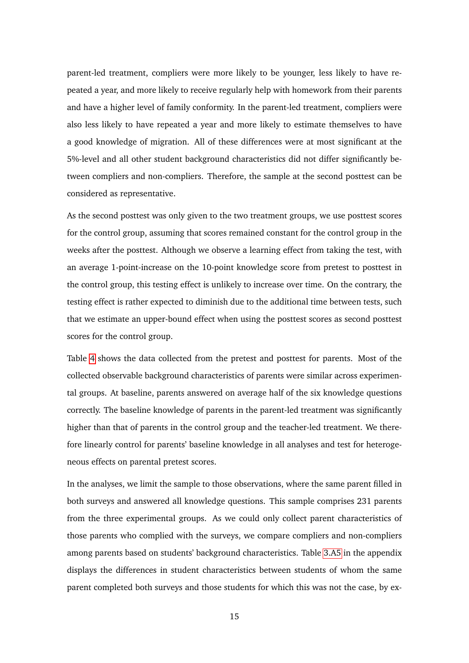parent-led treatment, compliers were more likely to be younger, less likely to have repeated a year, and more likely to receive regularly help with homework from their parents and have a higher level of family conformity. In the parent-led treatment, compliers were also less likely to have repeated a year and more likely to estimate themselves to have a good knowledge of migration. All of these differences were at most significant at the 5%-level and all other student background characteristics did not differ significantly between compliers and non-compliers. Therefore, the sample at the second posttest can be considered as representative.

As the second posttest was only given to the two treatment groups, we use posttest scores for the control group, assuming that scores remained constant for the control group in the weeks after the posttest. Although we observe a learning effect from taking the test, with an average 1-point-increase on the 10-point knowledge score from pretest to posttest in the control group, this testing effect is unlikely to increase over time. On the contrary, the testing effect is rather expected to diminish due to the additional time between tests, such that we estimate an upper-bound effect when using the posttest scores as second posttest scores for the control group.

Table [4](#page-16-0) shows the data collected from the pretest and posttest for parents. Most of the collected observable background characteristics of parents were similar across experimental groups. At baseline, parents answered on average half of the six knowledge questions correctly. The baseline knowledge of parents in the parent-led treatment was significantly higher than that of parents in the control group and the teacher-led treatment. We therefore linearly control for parents' baseline knowledge in all analyses and test for heterogeneous effects on parental pretest scores.

In the analyses, we limit the sample to those observations, where the same parent filled in both surveys and answered all knowledge questions. This sample comprises 231 parents from the three experimental groups. As we could only collect parent characteristics of those parents who complied with the surveys, we compare compliers and non-compliers among parents based on students' background characteristics. Table [3.A5](#page-41-0) in the appendix displays the differences in student characteristics between students of whom the same parent completed both surveys and those students for which this was not the case, by ex-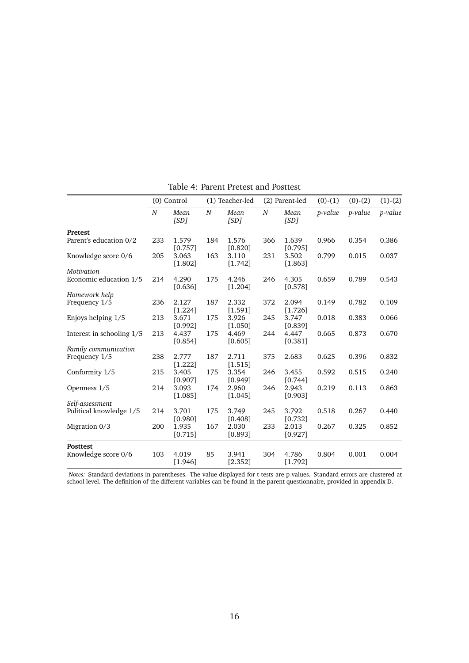<span id="page-16-0"></span>

|                           | (0) Control |                  |     | (1) Teacher-led    |     | (2) Parent-led   |         | $(0)-(2)$ | $(1)-(2)$ |
|---------------------------|-------------|------------------|-----|--------------------|-----|------------------|---------|-----------|-----------|
|                           | N           | Mean<br>[SD]     | N   | Mean<br>[SD]       | N   | Mean<br>[SD]     | p-value | p-value   | p-value   |
| Pretest                   |             |                  |     |                    |     |                  |         |           |           |
| Parent's education 0/2    | 233         | 1.579<br>[0.757] | 184 | 1.576<br>[0.820]   | 366 | 1.639<br>[0.795] | 0.966   | 0.354     | 0.386     |
| Knowledge score 0/6       | 205         | 3.063<br>[1.802] | 163 | 3.110<br>[1.742]   | 231 | 3.502<br>[1.863] | 0.799   | 0.015     | 0.037     |
| Motivation                |             |                  |     |                    |     |                  |         |           |           |
| Economic education 1/5    | 214         | 4.290<br>[0.636] | 175 | 4.246<br>[1.204]   | 246 | 4.305<br>[0.578] | 0.659   | 0.789     | 0.543     |
| Homework help             |             |                  |     |                    |     |                  |         |           |           |
| Frequency 1/5             | 236         | 2.127<br>[1.224] | 187 | 2.332<br>[1.591]   | 372 | 2.094<br>[1.726] | 0.149   | 0.782     | 0.109     |
| Enjoys helping 1/5        | 213         | 3.671<br>[0.992] | 175 | 3.926<br>[1.050]   | 245 | 3.747<br>[0.839] | 0.018   | 0.383     | 0.066     |
| Interest in schooling 1/5 | 213         | 4.437<br>[0.854] | 175 | 4.469<br>[0.605]   | 244 | 4.447<br>[0.381] | 0.665   | 0.873     | 0.670     |
| Family communication      |             |                  |     |                    |     |                  |         |           |           |
| Frequency 1/5             | 238         | 2.777<br>[1.222] | 187 | 2.711<br>[1.515]   | 375 | 2.683            | 0.625   | 0.396     | 0.832     |
| Conformity 1/5            | 215         | 3.405<br>[0.907] | 175 | 3.354<br>$[0.949]$ | 246 | 3.455<br>[0.744] | 0.592   | 0.515     | 0.240     |
| Openness 1/5              | 214         | 3.093<br>[1.085] | 174 | 2.960<br>[1.045]   | 246 | 2.943<br>[0.903] | 0.219   | 0.113     | 0.863     |
| Self-assessment           |             |                  |     |                    |     |                  |         |           |           |
| Political knowledge 1/5   | 214         | 3.701<br>[0.980] | 175 | 3.749<br>[0.408]   | 245 | 3.792<br>[0.732] | 0.518   | 0.267     | 0.440     |
| Migration 0/3             | 200         | 1.935<br>[0.715] | 167 | 2.030<br>[0.893]   | 233 | 2.013<br>[0.927] | 0.267   | 0.325     | 0.852     |
| <b>Posttest</b>           |             |                  |     |                    |     |                  |         |           |           |
| Knowledge score 0/6       | 103         | 4.019<br>[1.946] | 85  | 3.941<br>[2.352]   | 304 | 4.786<br>[1.792] | 0.804   | 0.001     | 0.004     |

Table 4: Parent Pretest and Posttest

*Notes:* Standard deviations in parentheses. The value displayed for t-tests are p-values. Standard errors are clustered at school level. The definition of the different variables can be found in the parent questionnaire, provided in appendix D.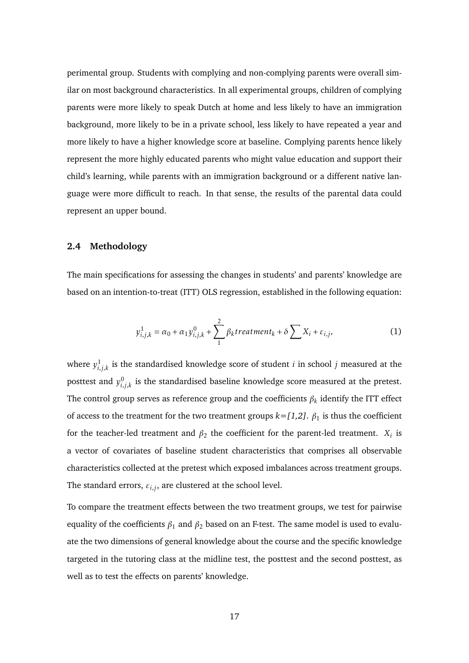perimental group. Students with complying and non-complying parents were overall similar on most background characteristics. In all experimental groups, children of complying parents were more likely to speak Dutch at home and less likely to have an immigration background, more likely to be in a private school, less likely to have repeated a year and more likely to have a higher knowledge score at baseline. Complying parents hence likely represent the more highly educated parents who might value education and support their child's learning, while parents with an immigration background or a different native language were more difficult to reach. In that sense, the results of the parental data could represent an upper bound.

#### **2.4 Methodology**

The main specifications for assessing the changes in students' and parents' knowledge are based on an intention-to-treat (ITT) OLS regression, established in the following equation:

$$
y_{i,j,k}^1 = \alpha_0 + \alpha_1 y_{i,j,k}^0 + \sum_{1}^{2} \beta_k t \cdot \text{reatment}_k + \delta \sum_{i} X_i + \varepsilon_{i,j}, \tag{1}
$$

where  $y_{i,j,k}^1$  is the standardised knowledge score of student  $i$  in school  $j$  measured at the posttest and  $y_{i,j,k}^0$  is the standardised baseline knowledge score measured at the pretest. The control group serves as reference group and the coefficients *β<sup>k</sup>* identify the ITT effect of access to the treatment for the two treatment groups  $k = [1,2]$ .  $\beta_1$  is thus the coefficient for the teacher-led treatment and  $\beta_2$  the coefficient for the parent-led treatment.  $X_i$  is a vector of covariates of baseline student characteristics that comprises all observable characteristics collected at the pretest which exposed imbalances across treatment groups. The standard errors,  $\varepsilon_{i,j}$ , are clustered at the school level.

To compare the treatment effects between the two treatment groups, we test for pairwise equality of the coefficients  $\beta_1$  and  $\beta_2$  based on an F-test. The same model is used to evaluate the two dimensions of general knowledge about the course and the specific knowledge targeted in the tutoring class at the midline test, the posttest and the second posttest, as well as to test the effects on parents' knowledge.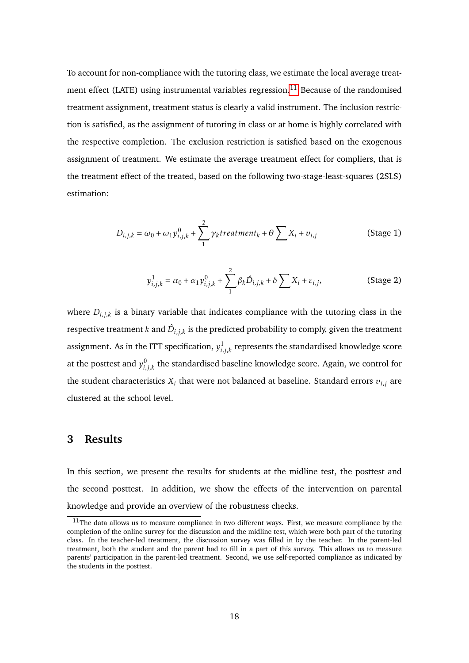To account for non-compliance with the tutoring class, we estimate the local average treat-ment effect (LATE) using instrumental variables regression.<sup>[11](#page-18-0)</sup> Because of the randomised treatment assignment, treatment status is clearly a valid instrument. The inclusion restriction is satisfied, as the assignment of tutoring in class or at home is highly correlated with the respective completion. The exclusion restriction is satisfied based on the exogenous assignment of treatment. We estimate the average treatment effect for compliers, that is the treatment effect of the treated, based on the following two-stage-least-squares (2SLS) estimation:

$$
D_{i,j,k} = \omega_0 + \omega_1 y_{i,j,k}^0 + \sum_{1}^{2} \gamma_k treatment_k + \theta \sum_{i} X_i + v_{i,j}
$$
 (Stage 1)

$$
y_{i,j,k}^{1} = \alpha_0 + \alpha_1 y_{i,j,k}^{0} + \sum_{1}^{2} \beta_k \hat{D}_{i,j,k} + \delta \sum_{i} X_i + \varepsilon_{i,j},
$$
 (Stage 2)

where  $D_{i,j,k}$  is a binary variable that indicates compliance with the tutoring class in the respective treatment  $k$  and  $\hat{D}_{i,j,k}$  is the predicted probability to comply, given the treatment assignment. As in the ITT specification,  $y_{i,j,k}^1$  represents the standardised knowledge score at the posttest and  $y_{i,j,k}^0$  the standardised baseline knowledge score. Again, we control for the student characteristics  $X_i$  that were not balanced at baseline. Standard errors  $v_{i,j}$  are clustered at the school level.

# **3 Results**

In this section, we present the results for students at the midline test, the posttest and the second posttest. In addition, we show the effects of the intervention on parental knowledge and provide an overview of the robustness checks.

<span id="page-18-0"></span> $11$ The data allows us to measure compliance in two different ways. First, we measure compliance by the completion of the online survey for the discussion and the midline test, which were both part of the tutoring class. In the teacher-led treatment, the discussion survey was filled in by the teacher. In the parent-led treatment, both the student and the parent had to fill in a part of this survey. This allows us to measure parents' participation in the parent-led treatment. Second, we use self-reported compliance as indicated by the students in the posttest.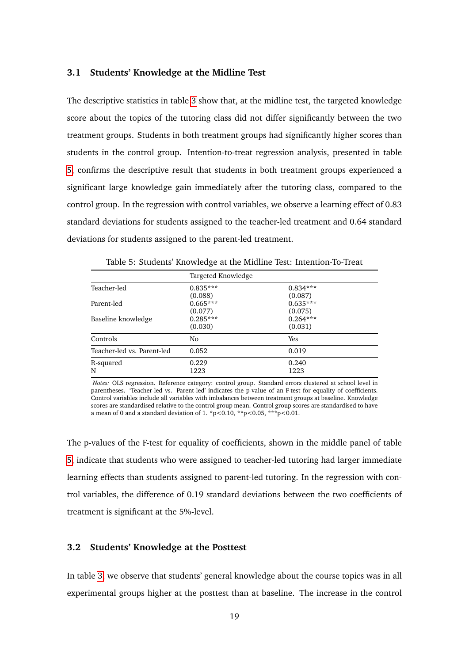#### **3.1 Students' Knowledge at the Midline Test**

The descriptive statistics in table [3](#page-13-0) show that, at the midline test, the targeted knowledge score about the topics of the tutoring class did not differ significantly between the two treatment groups. Students in both treatment groups had significantly higher scores than students in the control group. Intention-to-treat regression analysis, presented in table [5,](#page-19-0) confirms the descriptive result that students in both treatment groups experienced a significant large knowledge gain immediately after the tutoring class, compared to the control group. In the regression with control variables, we observe a learning effect of 0.83 standard deviations for students assigned to the teacher-led treatment and 0.64 standard deviations for students assigned to the parent-led treatment.

<span id="page-19-0"></span>

|                            | Targeted Knowledge    |                       |  |  |  |
|----------------------------|-----------------------|-----------------------|--|--|--|
| Teacher-led                | $0.835***$            | $0.834***$            |  |  |  |
| Parent-led                 | (0.088)<br>$0.665***$ | (0.087)<br>$0.635***$ |  |  |  |
|                            | (0.077)               | (0.075)               |  |  |  |
| Baseline knowledge         | $0.285***$<br>(0.030) | $0.264***$<br>(0.031) |  |  |  |
| Controls                   | No                    | <b>Yes</b>            |  |  |  |
| Teacher-led vs. Parent-led | 0.052                 | 0.019                 |  |  |  |
| R-squared                  | 0.229                 | 0.240                 |  |  |  |
| N                          | 1223                  | 1223                  |  |  |  |

Table 5: Students' Knowledge at the Midline Test: Intention-To-Treat

*Notes:* OLS regression. Reference category: control group. Standard errors clustered at school level in parentheses. 'Teacher-led vs. Parent-led' indicates the p-value of an F-test for equality of coefficients. Control variables include all variables with imbalances between treatment groups at baseline. Knowledge scores are standardised relative to the control group mean. Control group scores are standardised to have a mean of 0 and a standard deviation of 1. \*p<0.10, \*\*p<0.05, \*\*\*p<0.01.

The p-values of the F-test for equality of coefficients, shown in the middle panel of table [5,](#page-19-0) indicate that students who were assigned to teacher-led tutoring had larger immediate learning effects than students assigned to parent-led tutoring. In the regression with control variables, the difference of 0.19 standard deviations between the two coefficients of treatment is significant at the 5%-level.

#### **3.2 Students' Knowledge at the Posttest**

In table [3,](#page-13-0) we observe that students' general knowledge about the course topics was in all experimental groups higher at the posttest than at baseline. The increase in the control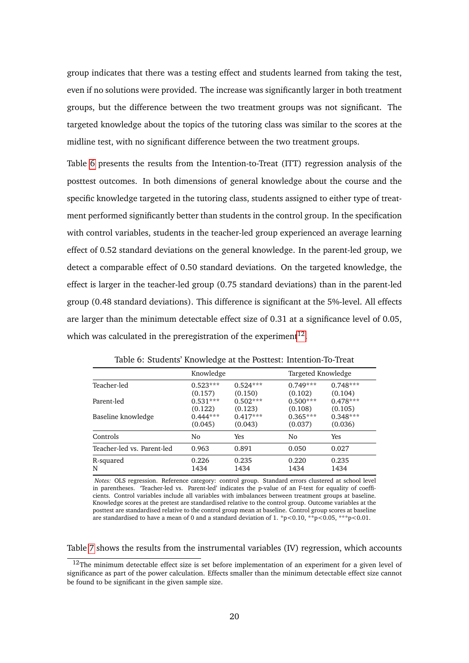group indicates that there was a testing effect and students learned from taking the test, even if no solutions were provided. The increase was significantly larger in both treatment groups, but the difference between the two treatment groups was not significant. The targeted knowledge about the topics of the tutoring class was similar to the scores at the midline test, with no significant difference between the two treatment groups.

Table [6](#page-20-0) presents the results from the Intention-to-Treat (ITT) regression analysis of the posttest outcomes. In both dimensions of general knowledge about the course and the specific knowledge targeted in the tutoring class, students assigned to either type of treatment performed significantly better than students in the control group. In the specification with control variables, students in the teacher-led group experienced an average learning effect of 0.52 standard deviations on the general knowledge. In the parent-led group, we detect a comparable effect of 0.50 standard deviations. On the targeted knowledge, the effect is larger in the teacher-led group (0.75 standard deviations) than in the parent-led group (0.48 standard deviations). This difference is significant at the 5%-level. All effects are larger than the minimum detectable effect size of 0.31 at a significance level of 0.05, which was calculated in the preregistration of the experiment<sup>[12](#page-20-1)</sup>.

<span id="page-20-0"></span>

|                            | Knowledge  |            |            | Targeted Knowledge |  |  |
|----------------------------|------------|------------|------------|--------------------|--|--|
| Teacher-led                | $0.523***$ | $0.524***$ | $0.749***$ | $0.748***$         |  |  |
|                            | (0.157)    | (0.150)    | (0.102)    | (0.104)            |  |  |
| Parent-led                 | $0.531***$ | $0.502***$ | $0.500***$ | $0.478***$         |  |  |
|                            | (0.122)    | (0.123)    | (0.108)    | (0.105)            |  |  |
| Baseline knowledge         | $0.444***$ | $0.417***$ | $0.365***$ | $0.348***$         |  |  |
|                            | (0.045)    | (0.043)    | (0.037)    | (0.036)            |  |  |
| Controls                   | No         | Yes        | No         | Yes                |  |  |
| Teacher-led vs. Parent-led | 0.963      | 0.891      | 0.050      | 0.027              |  |  |
| R-squared                  | 0.226      | 0.235      | 0.220      | 0.235              |  |  |
| N                          | 1434       | 1434       | 1434       | 1434               |  |  |

Table 6: Students' Knowledge at the Posttest: Intention-To-Treat

*Notes:* OLS regression. Reference category: control group. Standard errors clustered at school level in parentheses. 'Teacher-led vs. Parent-led' indicates the p-value of an F-test for equality of coefficients. Control variables include all variables with imbalances between treatment groups at baseline. Knowledge scores at the pretest are standardised relative to the control group. Outcome variables at the posttest are standardised relative to the control group mean at baseline. Control group scores at baseline are standardised to have a mean of 0 and a standard deviation of 1. \*p<0.10, \*\*p<0.05, \*\*\*p<0.01.

Table [7](#page-22-0) shows the results from the instrumental variables (IV) regression, which accounts

<span id="page-20-1"></span> $12$ The minimum detectable effect size is set before implementation of an experiment for a given level of significance as part of the power calculation. Effects smaller than the minimum detectable effect size cannot be found to be significant in the given sample size.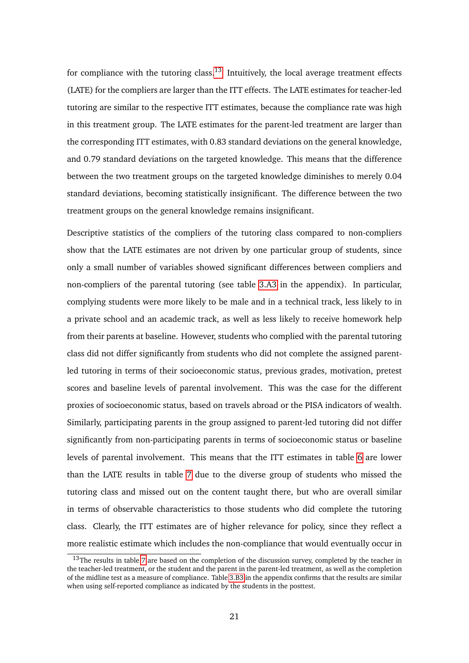for compliance with the tutoring class.<sup>[13](#page-21-0)</sup> Intuitively, the local average treatment effects (LATE) for the compliers are larger than the ITT effects. The LATE estimates for teacher-led tutoring are similar to the respective ITT estimates, because the compliance rate was high in this treatment group. The LATE estimates for the parent-led treatment are larger than the corresponding ITT estimates, with 0.83 standard deviations on the general knowledge, and 0.79 standard deviations on the targeted knowledge. This means that the difference between the two treatment groups on the targeted knowledge diminishes to merely 0.04 standard deviations, becoming statistically insignificant. The difference between the two treatment groups on the general knowledge remains insignificant.

Descriptive statistics of the compliers of the tutoring class compared to non-compliers show that the LATE estimates are not driven by one particular group of students, since only a small number of variables showed significant differences between compliers and non-compliers of the parental tutoring (see table [3.A3](#page-39-0) in the appendix). In particular, complying students were more likely to be male and in a technical track, less likely to in a private school and an academic track, as well as less likely to receive homework help from their parents at baseline. However, students who complied with the parental tutoring class did not differ significantly from students who did not complete the assigned parentled tutoring in terms of their socioeconomic status, previous grades, motivation, pretest scores and baseline levels of parental involvement. This was the case for the different proxies of socioeconomic status, based on travels abroad or the PISA indicators of wealth. Similarly, participating parents in the group assigned to parent-led tutoring did not differ significantly from non-participating parents in terms of socioeconomic status or baseline levels of parental involvement. This means that the ITT estimates in table [6](#page-20-0) are lower than the LATE results in table [7](#page-22-0) due to the diverse group of students who missed the tutoring class and missed out on the content taught there, but who are overall similar in terms of observable characteristics to those students who did complete the tutoring class. Clearly, the ITT estimates are of higher relevance for policy, since they reflect a more realistic estimate which includes the non-compliance that would eventually occur in

<span id="page-21-0"></span> $13$ The results in table [7](#page-22-0) are based on the completion of the discussion survey, completed by the teacher in the teacher-led treatment, or the student and the parent in the parent-led treatment, as well as the completion of the midline test as a measure of compliance. Table [3.B3](#page-43-0) in the appendix confirms that the results are similar when using self-reported compliance as indicated by the students in the posttest.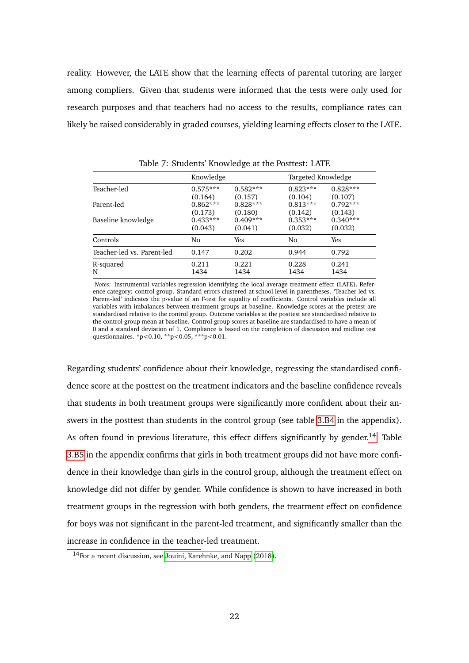reality. However, the LATE show that the learning effects of parental tutoring are larger among compliers. Given that students were informed that the tests were only used for research purposes and that teachers had no access to the results, compliance rates can likely be raised considerably in graded courses, yielding learning effects closer to the LATE.

<span id="page-22-0"></span>

|                            | Knowledge  |            |            | Targeted Knowledge |  |  |  |  |
|----------------------------|------------|------------|------------|--------------------|--|--|--|--|
| Teacher-led                | $0.575***$ | $0.582***$ | $0.823***$ | $0.828***$         |  |  |  |  |
|                            | (0.164)    | (0.157)    | (0.104)    | (0.107)            |  |  |  |  |
| Parent-led                 | $0.862***$ | $0.828***$ | $0.813***$ | $0.792***$         |  |  |  |  |
|                            | (0.173)    | (0.180)    | (0.142)    | (0.143)            |  |  |  |  |
| Baseline knowledge         | $0.433***$ | $0.409***$ | $0.353***$ | $0.340***$         |  |  |  |  |
|                            | (0.043)    | (0.041)    | (0.032)    | (0.032)            |  |  |  |  |
| Controls                   | No         | Yes        | No         | Yes                |  |  |  |  |
| Teacher-led vs. Parent-led | 0.147      | 0.202      | 0.944      | 0.792              |  |  |  |  |
| R-squared                  | 0.211      | 0.221      | 0.228      | 0.241              |  |  |  |  |
| N                          | 1434       | 1434       | 1434       | 1434               |  |  |  |  |

Table 7: Students' Knowledge at the Posttest: LATE

*Notes:* Instrumental variables regression identifying the local average treatment effect (LATE). Reference category: control group. Standard errors clustered at school level in parentheses. 'Teacher-led vs. Parent-led' indicates the p-value of an F-test for equality of coefficients. Control variables include all variables with imbalances between treatment groups at baseline. Knowledge scores at the pretest are standardised relative to the control group. Outcome variables at the posttest are standardised relative to the control group mean at baseline. Control group scores at baseline are standardised to have a mean of 0 and a standard deviation of 1. Compliance is based on the completion of discussion and midline test questionnaires. \*p<0.10, \*\*p<0.05, \*\*\*p<0.01.

Regarding students' confidence about their knowledge, regressing the standardised confidence score at the posttest on the treatment indicators and the baseline confidence reveals that students in both treatment groups were significantly more confident about their answers in the posttest than students in the control group (see table [3.B4](#page-44-0) in the appendix). As often found in previous literature, this effect differs significantly by gender.<sup>[14](#page-22-1)</sup> Table [3.B5](#page-44-1) in the appendix confirms that girls in both treatment groups did not have more confidence in their knowledge than girls in the control group, although the treatment effect on knowledge did not differ by gender. While confidence is shown to have increased in both treatment groups in the regression with both genders, the treatment effect on confidence for boys was not significant in the parent-led treatment, and significantly smaller than the increase in confidence in the teacher-led treatment.

<span id="page-22-1"></span><sup>14</sup>For a recent discussion, see [Jouini, Karehnke, and Napp](#page-32-8) [\(2018\)](#page-32-8).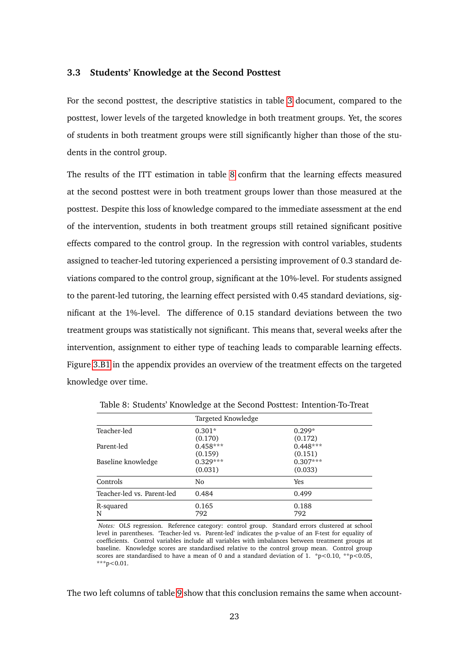#### **3.3 Students' Knowledge at the Second Posttest**

For the second posttest, the descriptive statistics in table [3](#page-13-0) document, compared to the posttest, lower levels of the targeted knowledge in both treatment groups. Yet, the scores of students in both treatment groups were still significantly higher than those of the students in the control group.

The results of the ITT estimation in table [8](#page-23-0) confirm that the learning effects measured at the second posttest were in both treatment groups lower than those measured at the posttest. Despite this loss of knowledge compared to the immediate assessment at the end of the intervention, students in both treatment groups still retained significant positive effects compared to the control group. In the regression with control variables, students assigned to teacher-led tutoring experienced a persisting improvement of 0.3 standard deviations compared to the control group, significant at the 10%-level. For students assigned to the parent-led tutoring, the learning effect persisted with 0.45 standard deviations, significant at the 1%-level. The difference of 0.15 standard deviations between the two treatment groups was statistically not significant. This means that, several weeks after the intervention, assignment to either type of teaching leads to comparable learning effects. Figure [3.B1](#page-42-0) in the appendix provides an overview of the treatment effects on the targeted knowledge over time.

|                            | Targeted Knowledge |            |  |  |  |
|----------------------------|--------------------|------------|--|--|--|
| Teacher-led                | $0.301*$           | $0.299*$   |  |  |  |
|                            | (0.170)            | (0.172)    |  |  |  |
| Parent-led                 | $0.458***$         | $0.448***$ |  |  |  |
|                            | (0.159)            | (0.151)    |  |  |  |
| Baseline knowledge         | $0.329***$         | $0.307***$ |  |  |  |
|                            | (0.031)            | (0.033)    |  |  |  |
| Controls                   | No                 | Yes        |  |  |  |
| Teacher-led vs. Parent-led | 0.484              | 0.499      |  |  |  |
| R-squared                  | 0.165              | 0.188      |  |  |  |
| N                          | 792                | 792        |  |  |  |

<span id="page-23-0"></span>Table 8: Students' Knowledge at the Second Posttest: Intention-To-Treat

*Notes:* OLS regression. Reference category: control group. Standard errors clustered at school level in parentheses. 'Teacher-led vs. Parent-led' indicates the p-value of an F-test for equality of coefficients. Control variables include all variables with imbalances between treatment groups at baseline. Knowledge scores are standardised relative to the control group mean. Control group scores are standardised to have a mean of 0 and a standard deviation of 1. \*p<0.10, \*\*p<0.05, \*\*\*p<0.01.

The two left columns of table [9](#page-24-0) show that this conclusion remains the same when account-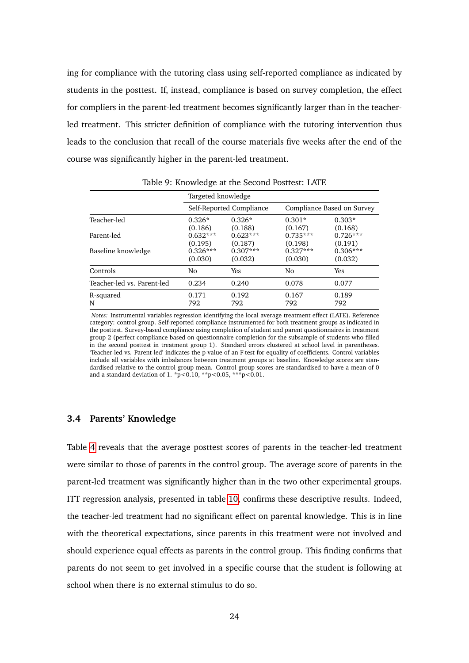ing for compliance with the tutoring class using self-reported compliance as indicated by students in the posttest. If, instead, compliance is based on survey completion, the effect for compliers in the parent-led treatment becomes significantly larger than in the teacherled treatment. This stricter definition of compliance with the tutoring intervention thus leads to the conclusion that recall of the course materials five weeks after the end of the course was significantly higher in the parent-led treatment.

<span id="page-24-0"></span>

|                            | Targeted knowledge    |                          |                            |                       |  |  |  |
|----------------------------|-----------------------|--------------------------|----------------------------|-----------------------|--|--|--|
|                            |                       | Self-Reported Compliance | Compliance Based on Survey |                       |  |  |  |
| Teacher-led                | $0.326*$<br>(0.186)   | $0.326*$<br>(0.188)      | $0.301*$<br>(0.167)        | $0.303*$<br>(0.168)   |  |  |  |
| Parent-led                 | $0.632***$<br>(0.195) | $0.623***$<br>(0.187)    | $0.735***$<br>(0.198)      | $0.726***$<br>(0.191) |  |  |  |
| Baseline knowledge         | $0.326***$<br>(0.030) | $0.307***$<br>(0.032)    | $0.327***$<br>(0.030)      | $0.306***$<br>(0.032) |  |  |  |
| Controls                   | No                    | Yes                      | No                         | <b>Yes</b>            |  |  |  |
| Teacher-led vs. Parent-led | 0.234                 | 0.240                    | 0.078                      | 0.077                 |  |  |  |
| R-squared<br>N             | 0.171<br>792          | 0.192<br>792             | 0.167<br>792               | 0.189<br>792          |  |  |  |

Table 9: Knowledge at the Second Posttest: LATE

*Notes:* Instrumental variables regression identifying the local average treatment effect (LATE). Reference category: control group. Self-reported compliance instrumented for both treatment groups as indicated in the posttest. Survey-based compliance using completion of student and parent questionnaires in treatment group 2 (perfect compliance based on questionnaire completion for the subsample of students who filled in the second posttest in treatment group 1). Standard errors clustered at school level in parentheses. 'Teacher-led vs. Parent-led' indicates the p-value of an F-test for equality of coefficients. Control variables include all variables with imbalances between treatment groups at baseline. Knowledge scores are standardised relative to the control group mean. Control group scores are standardised to have a mean of 0 and a standard deviation of 1.  $\bar{p}$  < 0.10, \*\*p < 0.05, \*\*\*p < 0.01.

#### **3.4 Parents' Knowledge**

Table [4](#page-16-0) reveals that the average posttest scores of parents in the teacher-led treatment were similar to those of parents in the control group. The average score of parents in the parent-led treatment was significantly higher than in the two other experimental groups. ITT regression analysis, presented in table [10,](#page-25-0) confirms these descriptive results. Indeed, the teacher-led treatment had no significant effect on parental knowledge. This is in line with the theoretical expectations, since parents in this treatment were not involved and should experience equal effects as parents in the control group. This finding confirms that parents do not seem to get involved in a specific course that the student is following at school when there is no external stimulus to do so.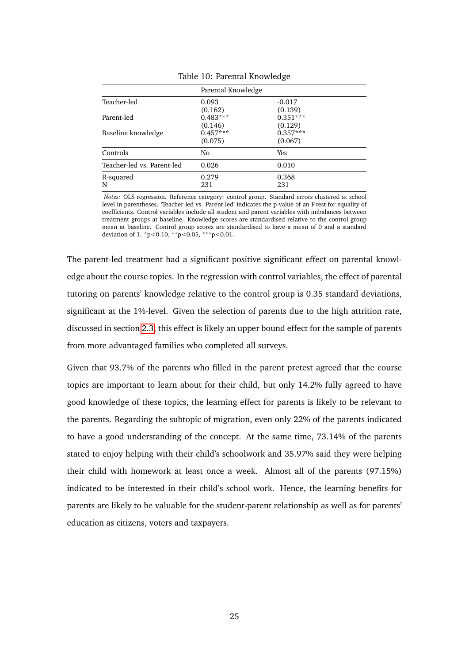<span id="page-25-0"></span>

|                            | Parental Knowledge    |                       |  |  |  |
|----------------------------|-----------------------|-----------------------|--|--|--|
| Teacher-led                | 0.093<br>(0.162)      | $-0.017$<br>(0.139)   |  |  |  |
| Parent-led                 | $0.483***$<br>(0.146) | $0.351***$<br>(0.129) |  |  |  |
| Baseline knowledge         | $0.457***$<br>(0.075) | $0.357***$<br>(0.067) |  |  |  |
| Controls                   | N <sub>0</sub>        | Yes                   |  |  |  |
| Teacher-led vs. Parent-led | 0.026                 | 0.010                 |  |  |  |
| R-squared<br>N             | 0.279<br>231          | 0.368<br>231          |  |  |  |

Table 10: Parental Knowledge

*Notes:* OLS regression. Reference category: control group. Standard errors clustered at school level in parentheses. 'Teacher-led vs. Parent-led' indicates the p-value of an F-test for equality of coefficients. Control variables include all student and parent variables with imbalances between treatment groups at baseline. Knowledge scores are standardised relative to the control group mean at baseline. Control group scores are standardised to have a mean of 0 and a standard deviation of 1. \*p<0.10, \*\*p<0.05, \*\*\*p<0.01.

The parent-led treatment had a significant positive significant effect on parental knowledge about the course topics. In the regression with control variables, the effect of parental tutoring on parents' knowledge relative to the control group is 0.35 standard deviations, significant at the 1%-level. Given the selection of parents due to the high attrition rate, discussed in section [2.3,](#page-9-2) this effect is likely an upper bound effect for the sample of parents from more advantaged families who completed all surveys.

Given that 93.7% of the parents who filled in the parent pretest agreed that the course topics are important to learn about for their child, but only 14.2% fully agreed to have good knowledge of these topics, the learning effect for parents is likely to be relevant to the parents. Regarding the subtopic of migration, even only 22% of the parents indicated to have a good understanding of the concept. At the same time, 73.14% of the parents stated to enjoy helping with their child's schoolwork and 35.97% said they were helping their child with homework at least once a week. Almost all of the parents (97.15%) indicated to be interested in their child's school work. Hence, the learning benefits for parents are likely to be valuable for the student-parent relationship as well as for parents' education as citizens, voters and taxpayers.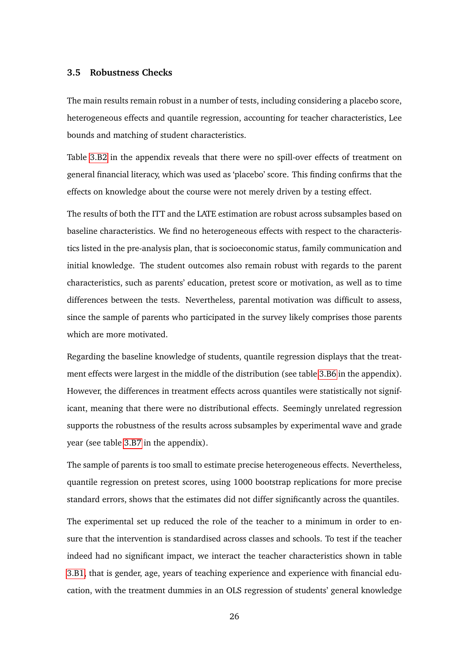#### **3.5 Robustness Checks**

The main results remain robust in a number of tests, including considering a placebo score, heterogeneous effects and quantile regression, accounting for teacher characteristics, Lee bounds and matching of student characteristics.

Table [3.B2](#page-43-1) in the appendix reveals that there were no spill-over effects of treatment on general financial literacy, which was used as 'placebo' score. This finding confirms that the effects on knowledge about the course were not merely driven by a testing effect.

The results of both the ITT and the LATE estimation are robust across subsamples based on baseline characteristics. We find no heterogeneous effects with respect to the characteristics listed in the pre-analysis plan, that is socioeconomic status, family communication and initial knowledge. The student outcomes also remain robust with regards to the parent characteristics, such as parents' education, pretest score or motivation, as well as to time differences between the tests. Nevertheless, parental motivation was difficult to assess, since the sample of parents who participated in the survey likely comprises those parents which are more motivated.

Regarding the baseline knowledge of students, quantile regression displays that the treatment effects were largest in the middle of the distribution (see table [3.B6](#page-45-0) in the appendix). However, the differences in treatment effects across quantiles were statistically not significant, meaning that there were no distributional effects. Seemingly unrelated regression supports the robustness of the results across subsamples by experimental wave and grade year (see table [3.B7](#page-46-0) in the appendix).

The sample of parents is too small to estimate precise heterogeneous effects. Nevertheless, quantile regression on pretest scores, using 1000 bootstrap replications for more precise standard errors, shows that the estimates did not differ significantly across the quantiles.

The experimental set up reduced the role of the teacher to a minimum in order to ensure that the intervention is standardised across classes and schools. To test if the teacher indeed had no significant impact, we interact the teacher characteristics shown in table [3.B1,](#page-42-1) that is gender, age, years of teaching experience and experience with financial education, with the treatment dummies in an OLS regression of students' general knowledge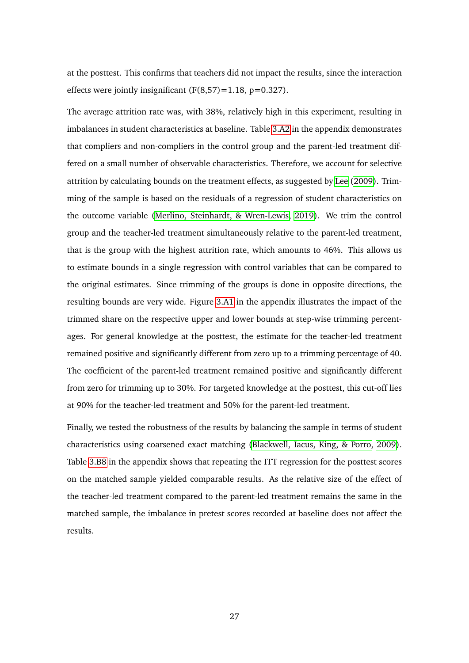at the posttest. This confirms that teachers did not impact the results, since the interaction effects were jointly insignificant  $(F(8,57)=1.18, p=0.327)$ .

The average attrition rate was, with 38%, relatively high in this experiment, resulting in imbalances in student characteristics at baseline. Table [3.A2](#page-38-0) in the appendix demonstrates that compliers and non-compliers in the control group and the parent-led treatment differed on a small number of observable characteristics. Therefore, we account for selective attrition by calculating bounds on the treatment effects, as suggested by [Lee](#page-33-9) [\(2009\)](#page-33-9). Trimming of the sample is based on the residuals of a regression of student characteristics on the outcome variable [\(Merlino, Steinhardt, & Wren-Lewis, 2019\)](#page-33-10). We trim the control group and the teacher-led treatment simultaneously relative to the parent-led treatment, that is the group with the highest attrition rate, which amounts to 46%. This allows us to estimate bounds in a single regression with control variables that can be compared to the original estimates. Since trimming of the groups is done in opposite directions, the resulting bounds are very wide. Figure [3.A1](#page-35-0) in the appendix illustrates the impact of the trimmed share on the respective upper and lower bounds at step-wise trimming percentages. For general knowledge at the posttest, the estimate for the teacher-led treatment remained positive and significantly different from zero up to a trimming percentage of 40. The coefficient of the parent-led treatment remained positive and significantly different from zero for trimming up to 30%. For targeted knowledge at the posttest, this cut-off lies at 90% for the teacher-led treatment and 50% for the parent-led treatment.

Finally, we tested the robustness of the results by balancing the sample in terms of student characteristics using coarsened exact matching [\(Blackwell, Iacus, King, & Porro, 2009\)](#page-32-9). Table [3.B8](#page-46-1) in the appendix shows that repeating the ITT regression for the posttest scores on the matched sample yielded comparable results. As the relative size of the effect of the teacher-led treatment compared to the parent-led treatment remains the same in the matched sample, the imbalance in pretest scores recorded at baseline does not affect the results.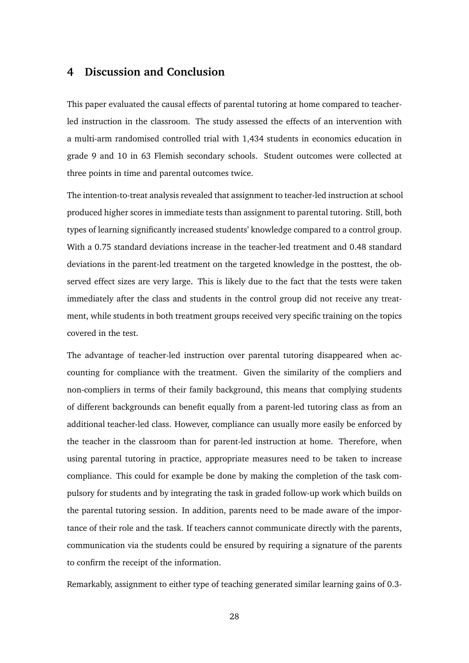## **4 Discussion and Conclusion**

This paper evaluated the causal effects of parental tutoring at home compared to teacherled instruction in the classroom. The study assessed the effects of an intervention with a multi-arm randomised controlled trial with 1,434 students in economics education in grade 9 and 10 in 63 Flemish secondary schools. Student outcomes were collected at three points in time and parental outcomes twice.

The intention-to-treat analysis revealed that assignment to teacher-led instruction at school produced higher scores in immediate tests than assignment to parental tutoring. Still, both types of learning significantly increased students' knowledge compared to a control group. With a 0.75 standard deviations increase in the teacher-led treatment and 0.48 standard deviations in the parent-led treatment on the targeted knowledge in the posttest, the observed effect sizes are very large. This is likely due to the fact that the tests were taken immediately after the class and students in the control group did not receive any treatment, while students in both treatment groups received very specific training on the topics covered in the test.

The advantage of teacher-led instruction over parental tutoring disappeared when accounting for compliance with the treatment. Given the similarity of the compliers and non-compliers in terms of their family background, this means that complying students of different backgrounds can benefit equally from a parent-led tutoring class as from an additional teacher-led class. However, compliance can usually more easily be enforced by the teacher in the classroom than for parent-led instruction at home. Therefore, when using parental tutoring in practice, appropriate measures need to be taken to increase compliance. This could for example be done by making the completion of the task compulsory for students and by integrating the task in graded follow-up work which builds on the parental tutoring session. In addition, parents need to be made aware of the importance of their role and the task. If teachers cannot communicate directly with the parents, communication via the students could be ensured by requiring a signature of the parents to confirm the receipt of the information.

Remarkably, assignment to either type of teaching generated similar learning gains of 0.3-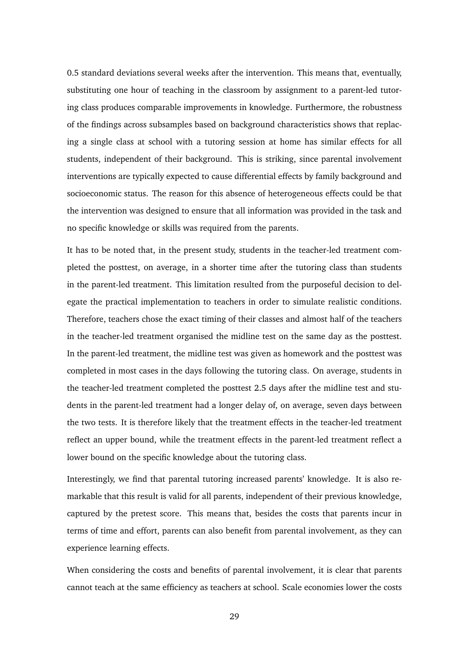0.5 standard deviations several weeks after the intervention. This means that, eventually, substituting one hour of teaching in the classroom by assignment to a parent-led tutoring class produces comparable improvements in knowledge. Furthermore, the robustness of the findings across subsamples based on background characteristics shows that replacing a single class at school with a tutoring session at home has similar effects for all students, independent of their background. This is striking, since parental involvement interventions are typically expected to cause differential effects by family background and socioeconomic status. The reason for this absence of heterogeneous effects could be that the intervention was designed to ensure that all information was provided in the task and no specific knowledge or skills was required from the parents.

It has to be noted that, in the present study, students in the teacher-led treatment completed the posttest, on average, in a shorter time after the tutoring class than students in the parent-led treatment. This limitation resulted from the purposeful decision to delegate the practical implementation to teachers in order to simulate realistic conditions. Therefore, teachers chose the exact timing of their classes and almost half of the teachers in the teacher-led treatment organised the midline test on the same day as the posttest. In the parent-led treatment, the midline test was given as homework and the posttest was completed in most cases in the days following the tutoring class. On average, students in the teacher-led treatment completed the posttest 2.5 days after the midline test and students in the parent-led treatment had a longer delay of, on average, seven days between the two tests. It is therefore likely that the treatment effects in the teacher-led treatment reflect an upper bound, while the treatment effects in the parent-led treatment reflect a lower bound on the specific knowledge about the tutoring class.

Interestingly, we find that parental tutoring increased parents' knowledge. It is also remarkable that this result is valid for all parents, independent of their previous knowledge, captured by the pretest score. This means that, besides the costs that parents incur in terms of time and effort, parents can also benefit from parental involvement, as they can experience learning effects.

When considering the costs and benefits of parental involvement, it is clear that parents cannot teach at the same efficiency as teachers at school. Scale economies lower the costs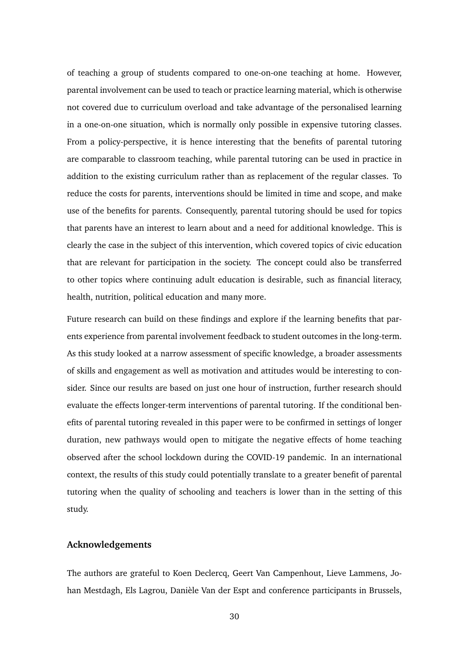of teaching a group of students compared to one-on-one teaching at home. However, parental involvement can be used to teach or practice learning material, which is otherwise not covered due to curriculum overload and take advantage of the personalised learning in a one-on-one situation, which is normally only possible in expensive tutoring classes. From a policy-perspective, it is hence interesting that the benefits of parental tutoring are comparable to classroom teaching, while parental tutoring can be used in practice in addition to the existing curriculum rather than as replacement of the regular classes. To reduce the costs for parents, interventions should be limited in time and scope, and make use of the benefits for parents. Consequently, parental tutoring should be used for topics that parents have an interest to learn about and a need for additional knowledge. This is clearly the case in the subject of this intervention, which covered topics of civic education that are relevant for participation in the society. The concept could also be transferred to other topics where continuing adult education is desirable, such as financial literacy, health, nutrition, political education and many more.

Future research can build on these findings and explore if the learning benefits that parents experience from parental involvement feedback to student outcomes in the long-term. As this study looked at a narrow assessment of specific knowledge, a broader assessments of skills and engagement as well as motivation and attitudes would be interesting to consider. Since our results are based on just one hour of instruction, further research should evaluate the effects longer-term interventions of parental tutoring. If the conditional benefits of parental tutoring revealed in this paper were to be confirmed in settings of longer duration, new pathways would open to mitigate the negative effects of home teaching observed after the school lockdown during the COVID-19 pandemic. In an international context, the results of this study could potentially translate to a greater benefit of parental tutoring when the quality of schooling and teachers is lower than in the setting of this study.

#### **Acknowledgements**

The authors are grateful to Koen Declercq, Geert Van Campenhout, Lieve Lammens, Johan Mestdagh, Els Lagrou, Danièle Van der Espt and conference participants in Brussels,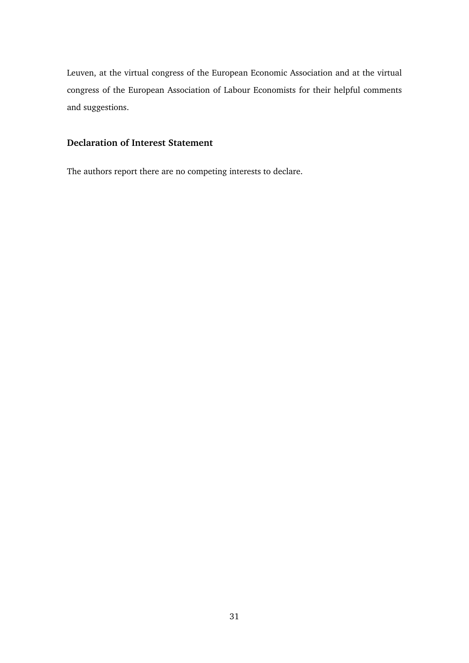Leuven, at the virtual congress of the European Economic Association and at the virtual congress of the European Association of Labour Economists for their helpful comments and suggestions.

## **Declaration of Interest Statement**

The authors report there are no competing interests to declare.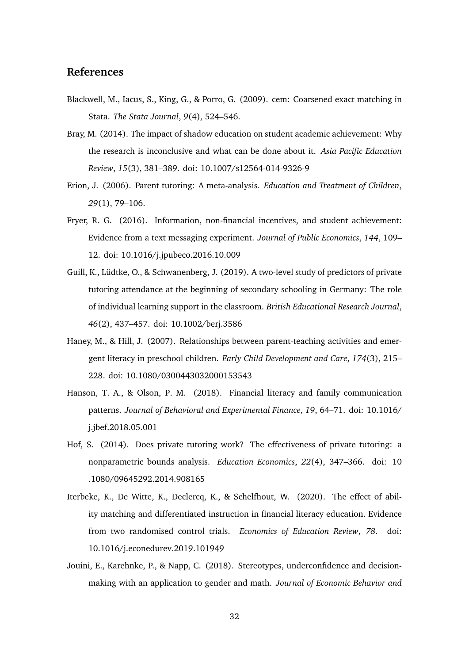# **References**

- <span id="page-32-9"></span>Blackwell, M., Iacus, S., King, G., & Porro, G. (2009). cem: Coarsened exact matching in Stata. *The Stata Journal*, *9*(4), 524–546.
- <span id="page-32-0"></span>Bray, M. (2014). The impact of shadow education on student academic achievement: Why the research is inconclusive and what can be done about it. *Asia Pacific Education Review*, *15*(3), 381–389. doi: 10.1007/s12564-014-9326-9
- <span id="page-32-1"></span>Erion, J. (2006). Parent tutoring: A meta-analysis. *Education and Treatment of Children*, *29*(1), 79–106.
- <span id="page-32-6"></span>Fryer, R. G. (2016). Information, non-financial incentives, and student achievement: Evidence from a text messaging experiment. *Journal of Public Economics*, *144*, 109– 12. doi: 10.1016/j.jpubeco.2016.10.009
- <span id="page-32-3"></span>Guill, K., Lüdtke, O., & Schwanenberg, J. (2019). A two-level study of predictors of private tutoring attendance at the beginning of secondary schooling in Germany: The role of individual learning support in the classroom. *British Educational Research Journal*, *46*(2), 437–457. doi: 10.1002/berj.3586
- <span id="page-32-2"></span>Haney, M., & Hill, J. (2007). Relationships between parent-teaching activities and emergent literacy in preschool children. *Early Child Development and Care*, *174*(3), 215– 228. doi: 10.1080/0300443032000153543
- <span id="page-32-7"></span>Hanson, T. A., & Olson, P. M. (2018). Financial literacy and family communication patterns. *Journal of Behavioral and Experimental Finance*, *19*, 64–71. doi: 10.1016/ j.jbef.2018.05.001
- <span id="page-32-4"></span>Hof, S. (2014). Does private tutoring work? The effectiveness of private tutoring: a nonparametric bounds analysis. *Education Economics*, *22*(4), 347–366. doi: 10 .1080/09645292.2014.908165
- <span id="page-32-5"></span>Iterbeke, K., De Witte, K., Declercq, K., & Schelfhout, W. (2020). The effect of ability matching and differentiated instruction in financial literacy education. Evidence from two randomised control trials. *Economics of Education Review*, *78*. doi: 10.1016/j.econedurev.2019.101949
- <span id="page-32-8"></span>Jouini, E., Karehnke, P., & Napp, C. (2018). Stereotypes, underconfidence and decisionmaking with an application to gender and math. *Journal of Economic Behavior and*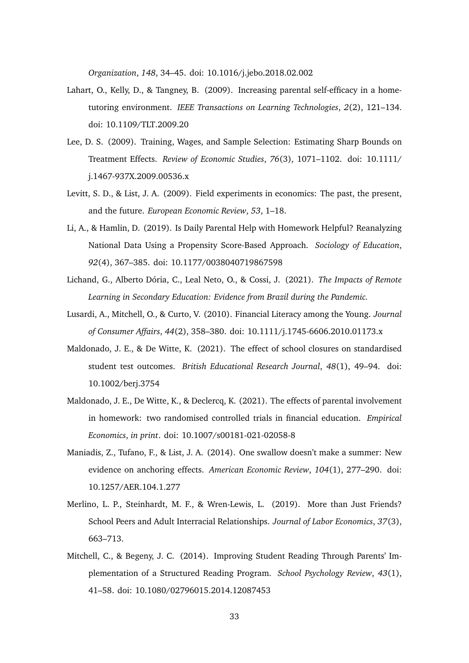*Organization*, *148*, 34–45. doi: 10.1016/j.jebo.2018.02.002

- <span id="page-33-3"></span>Lahart, O., Kelly, D., & Tangney, B. (2009). Increasing parental self-efficacy in a hometutoring environment. *IEEE Transactions on Learning Technologies*, *2*(2), 121–134. doi: 10.1109/TLT.2009.20
- <span id="page-33-9"></span>Lee, D. S. (2009). Training, Wages, and Sample Selection: Estimating Sharp Bounds on Treatment Effects. *Review of Economic Studies*, *76*(3), 1071–1102. doi: 10.1111/ j.1467-937X.2009.00536.x
- <span id="page-33-7"></span>Levitt, S. D., & List, J. A. (2009). Field experiments in economics: The past, the present, and the future. *European Economic Review*, *53*, 1–18.
- <span id="page-33-1"></span>Li, A., & Hamlin, D. (2019). Is Daily Parental Help with Homework Helpful? Reanalyzing National Data Using a Propensity Score-Based Approach. *Sociology of Education*, *92*(4), 367–385. doi: 10.1177/0038040719867598
- <span id="page-33-0"></span>Lichand, G., Alberto Dória, C., Leal Neto, O., & Cossi, J. (2021). *The Impacts of Remote Learning in Secondary Education: Evidence from Brazil during the Pandemic.*
- <span id="page-33-6"></span>Lusardi, A., Mitchell, O., & Curto, V. (2010). Financial Literacy among the Young. *Journal of Consumer Affairs*, *44*(2), 358–380. doi: 10.1111/j.1745-6606.2010.01173.x
- <span id="page-33-5"></span>Maldonado, J. E., & De Witte, K. (2021). The effect of school closures on standardised student test outcomes. *British Educational Research Journal*, *48*(1), 49–94. doi: 10.1002/berj.3754
- <span id="page-33-4"></span>Maldonado, J. E., De Witte, K., & Declercq, K. (2021). The effects of parental involvement in homework: two randomised controlled trials in financial education. *Empirical Economics*, *in print*. doi: 10.1007/s00181-021-02058-8
- <span id="page-33-8"></span>Maniadis, Z., Tufano, F., & List, J. A. (2014). One swallow doesn't make a summer: New evidence on anchoring effects. *American Economic Review*, *104*(1), 277–290. doi: 10.1257/AER.104.1.277
- <span id="page-33-10"></span>Merlino, L. P., Steinhardt, M. F., & Wren-Lewis, L. (2019). More than Just Friends? School Peers and Adult Interracial Relationships. *Journal of Labor Economics*, *37*(3), 663–713.
- <span id="page-33-2"></span>Mitchell, C., & Begeny, J. C. (2014). Improving Student Reading Through Parents' Implementation of a Structured Reading Program. *School Psychology Review*, *43*(1), 41–58. doi: 10.1080/02796015.2014.12087453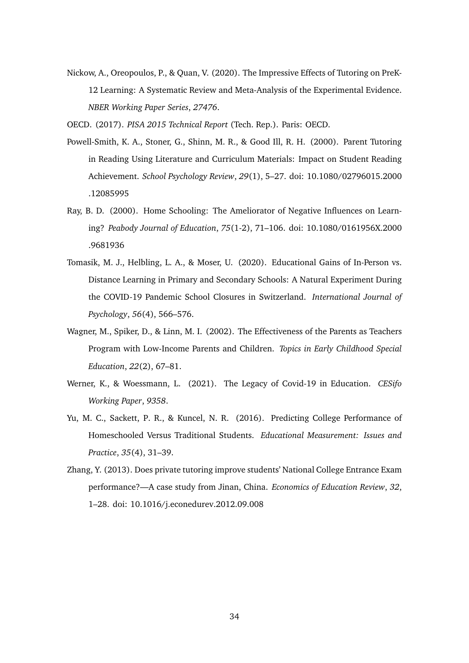<span id="page-34-7"></span>Nickow, A., Oreopoulos, P., & Quan, V. (2020). The Impressive Effects of Tutoring on PreK-12 Learning: A Systematic Review and Meta-Analysis of the Experimental Evidence. *NBER Working Paper Series*, *27476*.

<span id="page-34-8"></span><span id="page-34-5"></span>OECD. (2017). *PISA 2015 Technical Report* (Tech. Rep.). Paris: OECD.

- Powell-Smith, K. A., Stoner, G., Shinn, M. R., & Good Ill, R. H. (2000). Parent Tutoring in Reading Using Literature and Curriculum Materials: Impact on Student Reading Achievement. *School Psychology Review*, *29*(1), 5–27. doi: 10.1080/02796015.2000 .12085995
- <span id="page-34-1"></span>Ray, B. D. (2000). Home Schooling: The Ameliorator of Negative Influences on Learning? *Peabody Journal of Education*, *75*(1-2), 71–106. doi: 10.1080/0161956X.2000 .9681936
- <span id="page-34-0"></span>Tomasik, M. J., Helbling, L. A., & Moser, U. (2020). Educational Gains of In-Person vs. Distance Learning in Primary and Secondary Schools: A Natural Experiment During the COVID-19 Pandemic School Closures in Switzerland. *International Journal of Psychology*, *56*(4), 566–576.
- <span id="page-34-3"></span>Wagner, M., Spiker, D., & Linn, M. I. (2002). The Effectiveness of the Parents as Teachers Program with Low-Income Parents and Children. *Topics in Early Childhood Special Education*, *22*(2), 67–81.
- <span id="page-34-6"></span>Werner, K., & Woessmann, L. (2021). The Legacy of Covid-19 in Education. *CESifo Working Paper*, *9358*.
- <span id="page-34-2"></span>Yu, M. C., Sackett, P. R., & Kuncel, N. R. (2016). Predicting College Performance of Homeschooled Versus Traditional Students. *Educational Measurement: Issues and Practice*, *35*(4), 31–39.
- <span id="page-34-4"></span>Zhang, Y. (2013). Does private tutoring improve students' National College Entrance Exam performance?—A case study from Jinan, China. *Economics of Education Review*, *32*, 1–28. doi: 10.1016/j.econedurev.2012.09.008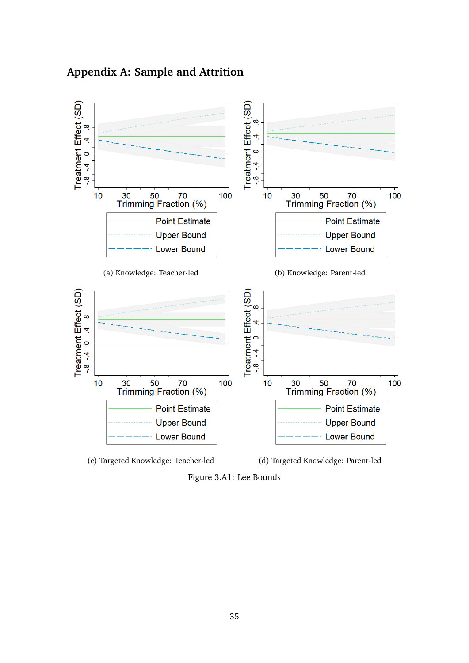# **Appendix A: Sample and Attrition**

<span id="page-35-0"></span>

Figure 3.A1: Lee Bounds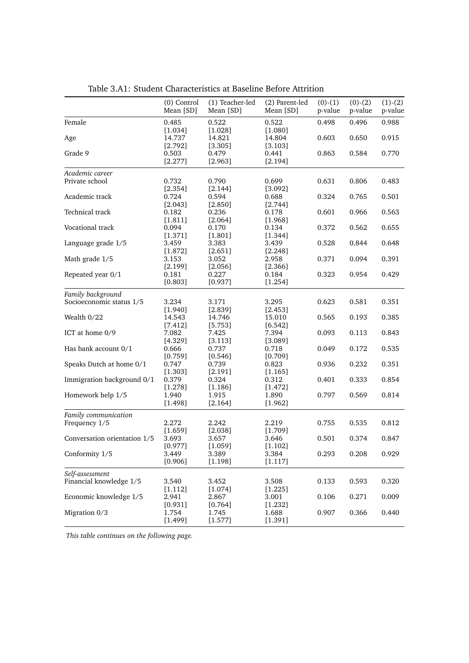<span id="page-36-0"></span>

|                                            | (0) Control<br>Mean [SD] | (1) Teacher-led<br>Mean [SD] | (2) Parent-led<br>Mean [SD] | $(0)-(1)$<br>p-value | $(0)-(2)$<br>p-value | $(1)-(2)$<br>p-value |
|--------------------------------------------|--------------------------|------------------------------|-----------------------------|----------------------|----------------------|----------------------|
| Female                                     | 0.485<br>[1.034]         | 0.522<br>[1.028]             | 0.522<br>[1.080]            | 0.498                | 0.496                | 0.988                |
| Age                                        | 14.737<br>[2.792]        | 14.821<br>[3.305]            | 14.804<br>[3.103]           | 0.603                | 0.650                | 0.915                |
| Grade 9                                    | 0.503<br>[2.277]         | 0.479<br>[2.963]             | 0.441<br>[2.194]            | 0.863                | 0.584                | 0.770                |
| Academic career                            |                          |                              |                             |                      |                      |                      |
| Private school                             | 0.732                    | 0.790                        | 0.699                       | 0.631                | 0.806                | 0.483                |
|                                            | [2.354]                  | [2.144]                      | [3.092]                     |                      |                      |                      |
| Academic track                             | 0.724                    | 0.594                        | 0.688                       | 0.324                | 0.765                | 0.501                |
|                                            | [2.043]                  | [2.850]                      | [2.744]                     |                      |                      |                      |
| Technical track                            | 0.182                    | 0.236                        | 0.178                       | 0.601                | 0.966                | 0.563                |
| Vocational track                           | [1.811]<br>0.094         | [2.064]<br>0.170             | [1.968]<br>0.134            | 0.372                | 0.562                | 0.655                |
|                                            | [1.371]                  | [1.801]                      | [1.344]                     |                      |                      |                      |
| Language grade 1/5                         | 3.459                    | 3.383                        | 3.439                       | 0.528                | 0.844                | 0.648                |
|                                            | [1.872]                  | [2.651]                      | [2.248]                     |                      |                      |                      |
| Math grade 1/5                             | 3.153                    | 3.052                        | 2.958                       | 0.371                | 0.094                | 0.391                |
|                                            | [2.199]                  | [2.056]                      | [2.366]                     |                      |                      |                      |
| Repeated year 0/1                          | 0.181                    | 0.227                        | 0.184                       | 0.323                | 0.954                | 0.429                |
|                                            | [0.803]                  | [0.937]                      | [1.254]                     |                      |                      |                      |
| Family background                          |                          |                              |                             |                      |                      |                      |
| Socioeconomic status 1/5                   | 3.234                    | 3.171                        | 3.295                       | 0.623                | 0.581                | 0.351                |
|                                            | [1.940]                  | [2.839]                      | [2.453]                     |                      |                      |                      |
| Wealth 0/22                                | 14.543                   | 14.746                       | 15.010                      | 0.565                | 0.193                | 0.385                |
|                                            | [7.412]                  | [5.753]                      | [6.542]                     |                      |                      |                      |
| ICT at home 0/9                            | 7.082                    | 7.425                        | 7.394                       | 0.093                | 0.113                | 0.843                |
|                                            | [4.329]                  | [3.113]                      | [3.089]                     |                      |                      |                      |
| Has bank account 0/1                       | 0.666                    | 0.737                        | 0.718                       | 0.049                | 0.172                | 0.535                |
|                                            | $[0.759]$                | [0.546]                      | [0.709]                     |                      |                      |                      |
| Speaks Dutch at home 0/1                   | 0.747                    | 0.739                        | 0.823                       | 0.936                | 0.232                | 0.351                |
| Immigration background 0/1                 | [1.303]                  | [2.191]                      | [1.165]                     |                      | 0.333                |                      |
|                                            | 0.379<br>[1.278]         | 0.324<br>[1.186]             | 0.312<br>[1.472]            | 0.401                |                      | 0.854                |
| Homework help 1/5                          | 1.940                    | 1.915                        | 1.890                       | 0.797                | 0.569                | 0.814                |
|                                            | [1.498]                  | [2.164]                      | [1.962]                     |                      |                      |                      |
|                                            |                          |                              |                             |                      |                      |                      |
| Family communication                       | 2.272                    | 2.242                        |                             |                      |                      |                      |
| Frequency 1/5                              | $[1.659]$                |                              | 2.219<br>[1.709]            | 0.755                | 0.535                | 0.812                |
| Conversation orientation 1/5               | 3.693                    | [2.038]<br>3.657             | 3.646                       | 0.501                | 0.374                | 0.847                |
|                                            | [0.977]                  | [1.059]                      | [1.102]                     |                      |                      |                      |
| Conformity 1/5                             | 3.449                    | 3.389                        | 3.384                       | 0.293                | 0.208                | 0.929                |
|                                            | [0.906]                  | [1.198]                      | [1.117]                     |                      |                      |                      |
|                                            |                          |                              |                             |                      |                      |                      |
| Self-assessment<br>Financial knowledge 1/5 | 3.540                    | 3.452                        |                             | 0.133                | 0.593                | 0.320                |
|                                            | [1.112]                  |                              | 3.508<br>[1.225]            |                      |                      |                      |
| Economic knowledge 1/5                     | 2.941                    | [1.074]<br>2.867             | 3.001                       | 0.106                | 0.271                | 0.009                |
|                                            | $[0.931]$                | [0.764]                      | [1.232]                     |                      |                      |                      |
| Migration 0/3                              | 1.754                    | 1.745                        | 1.688                       | 0.907                | 0.366                | 0.440                |
|                                            | [1.499]                  | [1.577]                      | [1.391]                     |                      |                      |                      |

Table 3.A1: Student Characteristics at Baseline Before Attrition

*This table continues on the following page.*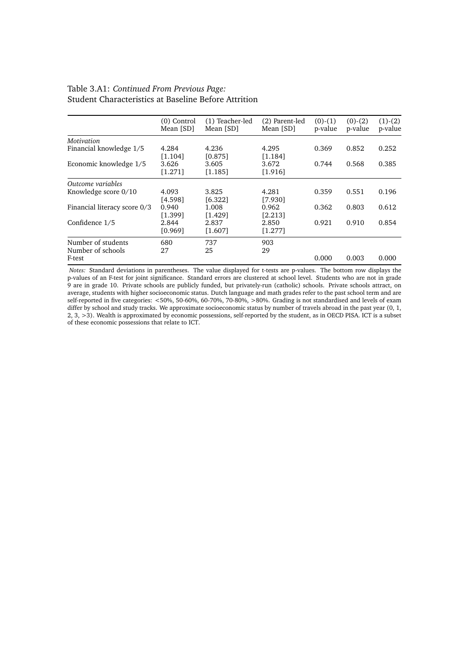#### Table 3.A1: *Continued From Previous Page:* Student Characteristics at Baseline Before Attrition

|                              | $(0)$ Control | (1) Teacher-led | (2) Parent-led | $(0)-(1)$ | $(0)-(2)$ | $(1)-(2)$ |
|------------------------------|---------------|-----------------|----------------|-----------|-----------|-----------|
|                              | Mean [SD]     | Mean [SD]       | Mean [SD]      | p-value   | p-value   | p-value   |
| Motivation                   |               |                 |                |           |           |           |
| Financial knowledge 1/5      | 4.284         | 4.236           | 4.295          | 0.369     | 0.852     | 0.252     |
|                              | [1.104]       | [0.875]         | [1.184]        |           |           |           |
| Economic knowledge 1/5       | 3.626         | 3.605           | 3.672          | 0.744     | 0.568     | 0.385     |
|                              | [1.271]       | [1.185]         | [1.916]        |           |           |           |
| Outcome variables            |               |                 |                |           |           |           |
| Knowledge score 0/10         | 4.093         | 3.825           | 4.281          | 0.359     | 0.551     | 0.196     |
|                              | [4.598]       | [6.322]         | [7.930]        |           |           |           |
| Financial literacy score 0/3 | 0.940         | 1.008           | 0.962          | 0.362     | 0.803     | 0.612     |
|                              | [1.399]       | [1.429]         | [2.213]        |           |           |           |
| Confidence 1/5               | 2.844         | 2.837           | 2.850          | 0.921     | 0.910     | 0.854     |
|                              | [0.969]       | [1.607]         | [1.277]        |           |           |           |
| Number of students           | 680           | 737             | 903            |           |           |           |
| Number of schools            | 27            | 25              | 29             |           |           |           |
| F-test                       |               |                 |                | 0.000     | 0.003     | 0.000     |

*Notes:* Standard deviations in parentheses. The value displayed for t-tests are p-values. The bottom row displays the p-values of an F-test for joint significance. Standard errors are clustered at school level. Students who are not in grade 9 are in grade 10. Private schools are publicly funded, but privately-run (catholic) schools. Private schools attract, on average, students with higher socioeconomic status. Dutch language and math grades refer to the past school term and are self-reported in five categories: <50%, 50-60%, 60-70%, 70-80%, >80%. Grading is not standardised and levels of exam differ by school and study tracks. We approximate socioeconomic status by number of travels abroad in the past year (0, 1, 2, 3, >3). Wealth is approximated by economic possessions, self-reported by the student, as in OECD PISA. ICT is a subset of these economic possessions that relate to ICT.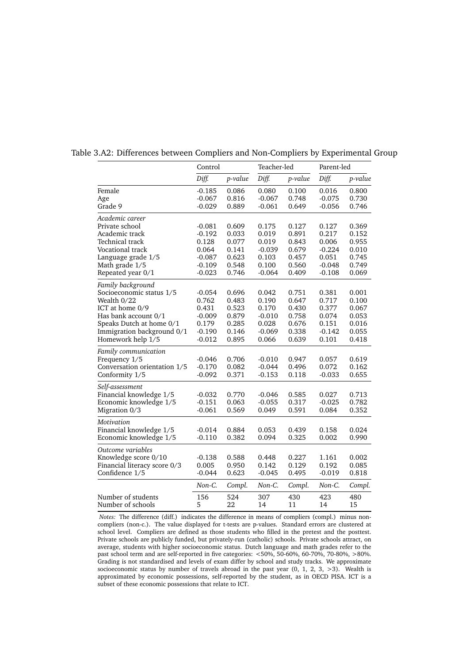|                              | Control  |         | Teacher-led |         | Parent-led |         |
|------------------------------|----------|---------|-------------|---------|------------|---------|
|                              | Diff.    | p-value | Diff.       | p-value | Diff.      | p-value |
| Female                       | $-0.185$ | 0.086   | 0.080       | 0.100   | 0.016      | 0.800   |
| Age                          | $-0.067$ | 0.816   | $-0.067$    | 0.748   | $-0.075$   | 0.730   |
| Grade 9                      | $-0.029$ | 0.889   | $-0.061$    | 0.649   | $-0.056$   | 0.746   |
| Academic career              |          |         |             |         |            |         |
| Private school               | $-0.081$ | 0.609   | 0.175       | 0.127   | 0.127      | 0.369   |
| Academic track               | -0.192   | 0.033   | 0.019       | 0.891   | 0.217      | 0.152   |
| Technical track              | 0.128    | 0.077   | 0.019       | 0.843   | 0.006      | 0.955   |
| Vocational track             | 0.064    | 0.141   | $-0.039$    | 0.679   | $-0.224$   | 0.010   |
| Language grade 1/5           | -0.087   | 0.623   | 0.103       | 0.457   | 0.051      | 0.745   |
| Math grade 1/5               | $-0.109$ | 0.548   | 0.100       | 0.560   | $-0.048$   | 0.749   |
| Repeated year 0/1            | $-0.023$ | 0.746   | $-0.064$    | 0.409   | $-0.108$   | 0.069   |
| Family background            |          |         |             |         |            |         |
| Socioeconomic status 1/5     | $-0.054$ | 0.696   | 0.042       | 0.751   | 0.381      | 0.001   |
| Wealth 0/22                  | 0.762    | 0.483   | 0.190       | 0.647   | 0.717      | 0.100   |
| ICT at home 0/9              | 0.431    | 0.523   | 0.170       | 0.430   | 0.377      | 0.067   |
| Has bank account 0/1         | $-0.009$ | 0.879   | $-0.010$    | 0.758   | 0.074      | 0.053   |
| Speaks Dutch at home 0/1     | 0.179    | 0.285   | 0.028       | 0.676   | 0.151      | 0.016   |
| Immigration background 0/1   | $-0.190$ | 0.146   | $-0.069$    | 0.338   | $-0.142$   | 0.055   |
| Homework help 1/5            | $-0.012$ | 0.895   | 0.066       | 0.639   | 0.101      | 0.418   |
| Family communication         |          |         |             |         |            |         |
| Frequency 1/5                | $-0.046$ | 0.706   | $-0.010$    | 0.947   | 0.057      | 0.619   |
| Conversation orientation 1/5 | $-0.170$ | 0.082   | $-0.044$    | 0.496   | 0.072      | 0.162   |
| Conformity 1/5               | $-0.092$ | 0.371   | $-0.153$    | 0.118   | $-0.033$   | 0.655   |
| Self-assessment              |          |         |             |         |            |         |
| Financial knowledge 1/5      | $-0.032$ | 0.770   | $-0.046$    | 0.585   | 0.027      | 0.713   |
| Economic knowledge 1/5       | $-0.151$ | 0.063   | $-0.055$    | 0.317   | $-0.025$   | 0.782   |
| Migration 0/3                | $-0.061$ | 0.569   | 0.049       | 0.591   | 0.084      | 0.352   |
| Motivation                   |          |         |             |         |            |         |
| Financial knowledge 1/5      | $-0.014$ | 0.884   | 0.053       | 0.439   | 0.158      | 0.024   |
| Economic knowledge 1/5       | $-0.110$ | 0.382   | 0.094       | 0.325   | 0.002      | 0.990   |
| Outcome variables            |          |         |             |         |            |         |
| Knowledge score 0/10         | $-0.138$ | 0.588   | 0.448       | 0.227   | 1.161      | 0.002   |
| Financial literacy score 0/3 | 0.005    | 0.950   | 0.142       | 0.129   | 0.192      | 0.085   |
| Confidence 1/5               | $-0.044$ | 0.623   | $-0.045$    | 0.495   | $-0.019$   | 0.818   |
|                              | Non-C.   | Compl.  | Non-C.      | Compl.  | Non-C.     | Compl.  |
| Number of students           | 156      | 524     | 307         | 430     | 423        | 480     |
| Number of schools            | 5        | 22      | 14          | 11      | 14         | 15      |

<span id="page-38-0"></span>Table 3.A2: Differences between Compliers and Non-Compliers by Experimental Group

*Notes:* The difference (diff.) indicates the difference in means of compliers (compl.) minus noncompliers (non-c.). The value displayed for t-tests are p-values. Standard errors are clustered at school level. Compliers are defined as those students who filled in the pretest and the posttest. Private schools are publicly funded, but privately-run (catholic) schools. Private schools attract, on average, students with higher socioeconomic status. Dutch language and math grades refer to the past school term and are self-reported in five categories: <50%, 50-60%, 60-70%, 70-80%, >80%. Grading is not standardised and levels of exam differ by school and study tracks. We approximate socioeconomic status by number of travels abroad in the past year (0, 1, 2, 3, >3). Wealth is approximated by economic possessions, self-reported by the student, as in OECD PISA. ICT is a subset of these economic possessions that relate to ICT.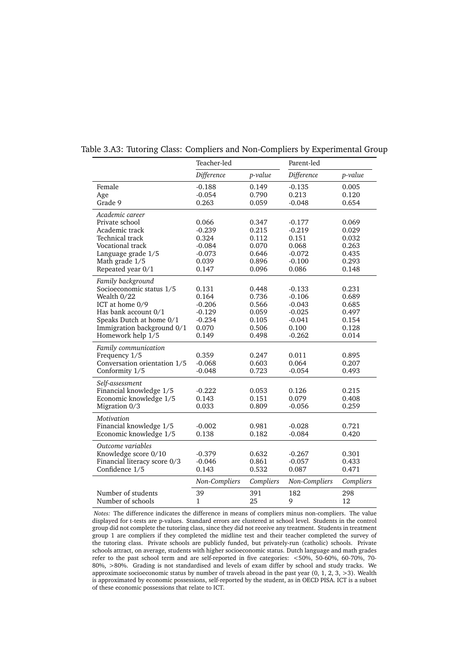| Teacher-led   |           | Parent-led    |                                  |
|---------------|-----------|---------------|----------------------------------|
| Difference    | p-value   | Difference    | p-value                          |
| $-0.188$      | 0.149     | $-0.135$      | 0.005                            |
| $-0.054$      | 0.790     | 0.213         | 0.120                            |
| 0.263         | 0.059     | $-0.048$      | 0.654                            |
|               |           |               |                                  |
| 0.066         | 0.347     |               | 0.069                            |
| $-0.239$      |           |               | 0.029                            |
| 0.324         | 0.112     | 0.151         | 0.032                            |
| $-0.084$      | 0.070     | 0.068         | 0.263                            |
| $-0.073$      | 0.646     | $-0.072$      | 0.435                            |
| 0.039         | 0.896     | $-0.100$      | 0.293                            |
| 0.147         | 0.096     | 0.086         | 0.148                            |
|               |           |               |                                  |
| 0.131         | 0.448     | $-0.133$      | 0.231                            |
| 0.164         | 0.736     | $-0.106$      | 0.689                            |
| $-0.206$      | 0.566     | $-0.043$      | 0.685                            |
| $-0.129$      | 0.059     | $-0.025$      | 0.497                            |
| $-0.234$      | 0.105     | $-0.041$      | 0.154                            |
| 0.070         | 0.506     | 0.100         | 0.128                            |
| 0.149         | 0.498     | $-0.262$      | 0.014                            |
|               |           |               |                                  |
| 0.359         | 0.247     | 0.011         | 0.895                            |
| $-0.068$      | 0.603     | 0.064         | 0.207                            |
| $-0.048$      | 0.723     | $-0.054$      | 0.493                            |
|               |           |               |                                  |
| $-0.222$      | 0.053     | 0.126         | 0.215                            |
| 0.143         | 0.151     | 0.079         | 0.408                            |
| 0.033         | 0.809     |               | 0.259                            |
|               |           |               |                                  |
| $-0.002$      | 0.981     | $-0.028$      | 0.721                            |
| 0.138         | 0.182     | $-0.084$      | 0.420                            |
|               |           |               |                                  |
| $-0.379$      | 0.632     | $-0.267$      | 0.301                            |
| $-0.046$      | 0.861     | $-0.057$      | 0.433                            |
| 0.143         | 0.532     | 0.087         | 0.471                            |
| Non-Compliers | Compliers | Non-Compliers | Compliers                        |
| 39            | 391       | 182           | 298                              |
| $\mathbf{1}$  | 25        | 9             | 12                               |
|               |           | 0.215         | $-0.177$<br>$-0.219$<br>$-0.056$ |

<span id="page-39-0"></span>Table 3.A3: Tutoring Class: Compliers and Non-Compliers by Experimental Group

*Notes:* The difference indicates the difference in means of compliers minus non-compliers. The value displayed for t-tests are p-values. Standard errors are clustered at school level. Students in the control group did not complete the tutoring class, since they did not receive any treatment. Students in treatment group 1 are compliers if they completed the midline test and their teacher completed the survey of the tutoring class. Private schools are publicly funded, but privately-run (catholic) schools. Private schools attract, on average, students with higher socioeconomic status. Dutch language and math grades refer to the past school term and are self-reported in five categories: <50%, 50-60%, 60-70%, 70- 80%, >80%. Grading is not standardised and levels of exam differ by school and study tracks. We approximate socioeconomic status by number of travels abroad in the past year  $(0, 1, 2, 3, >3)$ . Wealth is approximated by economic possessions, self-reported by the student, as in OECD PISA. ICT is a subset of these economic possessions that relate to ICT.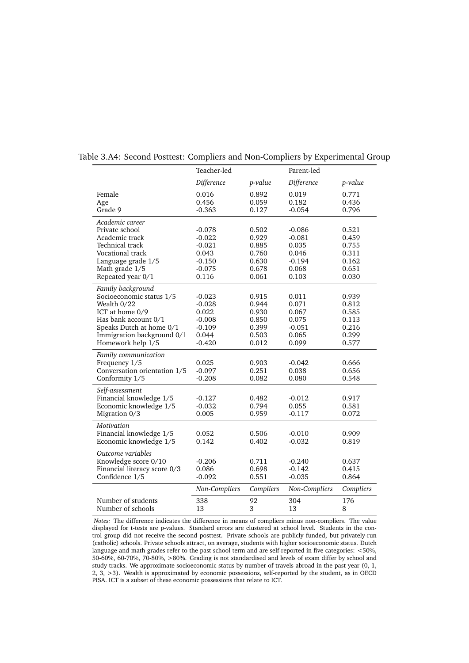|                                                                                                                                                                                        | Teacher-led                                                                |                                                             | Parent-led                                                           |                                                             |  |
|----------------------------------------------------------------------------------------------------------------------------------------------------------------------------------------|----------------------------------------------------------------------------|-------------------------------------------------------------|----------------------------------------------------------------------|-------------------------------------------------------------|--|
|                                                                                                                                                                                        | Difference                                                                 | p-value                                                     | Difference                                                           | p-value                                                     |  |
| Female<br>Age<br>Grade 9                                                                                                                                                               | 0.016<br>0.456<br>$-0.363$                                                 | 0.892<br>0.059<br>0.127                                     | 0.019<br>0.182<br>$-0.054$                                           | 0.771<br>0.436<br>0.796                                     |  |
| Academic career<br>Private school<br>Academic track<br>Technical track<br>Vocational track<br>Language grade 1/5<br>Math grade 1/5<br>Repeated year 0/1                                | $-0.078$<br>$-0.022$<br>$-0.021$<br>0.043<br>$-0.150$<br>$-0.075$<br>0.116 | 0.502<br>0.929<br>0.885<br>0.760<br>0.630<br>0.678<br>0.061 | $-0.086$<br>$-0.081$<br>0.035<br>0.046<br>$-0.194$<br>0.068<br>0.103 | 0.521<br>0.459<br>0.755<br>0.311<br>0.162<br>0.651<br>0.030 |  |
| Family background<br>Socioeconomic status 1/5<br>Wealth 0/22<br>ICT at home 0/9<br>Has bank account 0/1<br>Speaks Dutch at home 0/1<br>Immigration background 0/1<br>Homework help 1/5 | $-0.023$<br>$-0.028$<br>0.022<br>$-0.008$<br>$-0.109$<br>0.044<br>$-0.420$ | 0.915<br>0.944<br>0.930<br>0.850<br>0.399<br>0.503<br>0.012 | 0.011<br>0.071<br>0.067<br>0.075<br>$-0.051$<br>0.065<br>0.099       | 0.939<br>0.812<br>0.585<br>0.113<br>0.216<br>0.299<br>0.577 |  |
| Family communication<br>Frequency 1/5<br>Conversation orientation 1/5<br>Conformity 1/5                                                                                                | 0.025<br>$-0.097$<br>$-0.208$                                              | 0.903<br>0.251<br>0.082                                     | $-0.042$<br>0.038<br>0.080                                           | 0.666<br>0.656<br>0.548                                     |  |
| Self-assessment<br>Financial knowledge 1/5<br>Economic knowledge 1/5<br>Migration 0/3                                                                                                  | $-0.127$<br>$-0.032$<br>0.005                                              | 0.482<br>0.794<br>0.959                                     | $-0.012$<br>0.055<br>$-0.117$                                        | 0.917<br>0.581<br>0.072                                     |  |
| Motivation<br>Financial knowledge 1/5<br>Economic knowledge 1/5                                                                                                                        | 0.052<br>0.142                                                             | 0.506<br>0.402                                              | $-0.010$<br>$-0.032$                                                 | 0.909<br>0.819                                              |  |
| Outcome variables<br>Knowledge score 0/10<br>Financial literacy score 0/3<br>Confidence 1/5                                                                                            | $-0.206$<br>0.086<br>$-0.092$                                              | 0.711<br>0.698<br>0.551                                     | $-0.240$<br>$-0.142$<br>$-0.035$                                     | 0.637<br>0.415<br>0.864                                     |  |
|                                                                                                                                                                                        | Non-Compliers                                                              | Compliers                                                   | Non-Compliers                                                        | Compliers                                                   |  |
| Number of students<br>Number of schools                                                                                                                                                | 338<br>13                                                                  | 92<br>3                                                     | 304<br>13                                                            | 176<br>8                                                    |  |

<span id="page-40-0"></span>Table 3.A4: Second Posttest: Compliers and Non-Compliers by Experimental Group

*Notes:* The difference indicates the difference in means of compliers minus non-compliers. The value displayed for t-tests are p-values. Standard errors are clustered at school level. Students in the control group did not receive the second posttest. Private schools are publicly funded, but privately-run (catholic) schools. Private schools attract, on average, students with higher socioeconomic status. Dutch language and math grades refer to the past school term and are self-reported in five categories: <50%, 50-60%, 60-70%, 70-80%, >80%. Grading is not standardised and levels of exam differ by school and study tracks. We approximate socioeconomic status by number of travels abroad in the past year (0, 1, 2, 3, >3). Wealth is approximated by economic possessions, self-reported by the student, as in OECD PISA. ICT is a subset of these economic possessions that relate to ICT.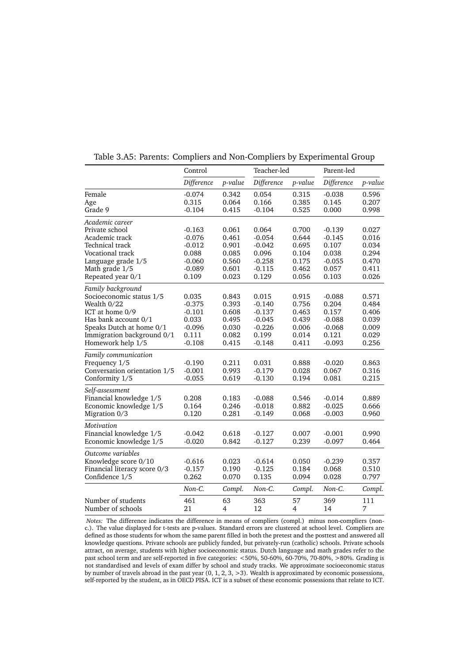<span id="page-41-0"></span>

|                              | Control    |         | Teacher-led |         | Parent-led |         |
|------------------------------|------------|---------|-------------|---------|------------|---------|
|                              | Difference | p-value | Difference  | p-value | Difference | p-value |
| Female                       | $-0.074$   | 0.342   | 0.054       | 0.315   | $-0.038$   | 0.596   |
| Age                          | 0.315      | 0.064   | 0.166       | 0.385   | 0.145      | 0.207   |
| Grade 9                      | $-0.104$   | 0.415   | $-0.104$    | 0.525   | 0.000      | 0.998   |
| Academic career              |            |         |             |         |            |         |
| Private school               | $-0.163$   | 0.061   | 0.064       | 0.700   | $-0.139$   | 0.027   |
| Academic track               | $-0.076$   | 0.461   | $-0.054$    | 0.644   | $-0.145$   | 0.016   |
| Technical track              | $-0.012$   | 0.901   | $-0.042$    | 0.695   | 0.107      | 0.034   |
| Vocational track             | 0.088      | 0.085   | 0.096       | 0.104   | 0.038      | 0.294   |
| Language grade 1/5           | $-0.060$   | 0.560   | $-0.258$    | 0.175   | $-0.055$   | 0.470   |
| Math grade 1/5               | $-0.089$   | 0.601   | $-0.115$    | 0.462   | 0.057      | 0.411   |
| Repeated year 0/1            | 0.109      | 0.023   | 0.129       | 0.056   | 0.103      | 0.026   |
| Family background            |            |         |             |         |            |         |
| Socioeconomic status 1/5     | 0.035      | 0.843   | 0.015       | 0.915   | $-0.088$   | 0.571   |
| Wealth 0/22                  | $-0.375$   | 0.393   | $-0.140$    | 0.756   | 0.204      | 0.484   |
| ICT at home 0/9              | $-0.101$   | 0.608   | $-0.137$    | 0.463   | 0.157      | 0.406   |
| Has bank account 0/1         | 0.033      | 0.495   | $-0.045$    | 0.439   | $-0.088$   | 0.039   |
| Speaks Dutch at home 0/1     | $-0.096$   | 0.030   | $-0.226$    | 0.006   | $-0.068$   | 0.009   |
| Immigration background 0/1   | 0.111      | 0.082   | 0.199       | 0.014   | 0.121      | 0.029   |
| Homework help 1/5            | $-0.108$   | 0.415   | $-0.148$    | 0.411   | $-0.093$   | 0.256   |
| Family communication         |            |         |             |         |            |         |
| Frequency 1/5                | $-0.190$   | 0.211   | 0.031       | 0.888   | $-0.020$   | 0.863   |
| Conversation orientation 1/5 | $-0.001$   | 0.993   | $-0.179$    | 0.028   | 0.067      | 0.316   |
| Conformity 1/5               | $-0.055$   | 0.619   | $-0.130$    | 0.194   | 0.081      | 0.215   |
| Self-assessment              |            |         |             |         |            |         |
| Financial knowledge 1/5      | 0.208      | 0.183   | $-0.088$    | 0.546   | $-0.014$   | 0.889   |
| Economic knowledge 1/5       | 0.164      | 0.246   | $-0.018$    | 0.882   | $-0.025$   | 0.666   |
| Migration 0/3                | 0.120      | 0.281   | $-0.149$    | 0.068   | $-0.003$   | 0.960   |
| Motivation                   |            |         |             |         |            |         |
| Financial knowledge 1/5      | $-0.042$   | 0.618   | $-0.127$    | 0.007   | $-0.001$   | 0.990   |
| Economic knowledge 1/5       | $-0.020$   | 0.842   | $-0.127$    | 0.239   | $-0.097$   | 0.464   |
| Outcome variables            |            |         |             |         |            |         |
| Knowledge score 0/10         | $-0.616$   | 0.023   | $-0.614$    | 0.050   | $-0.239$   | 0.357   |
| Financial literacy score 0/3 | $-0.157$   | 0.190   | $-0.125$    | 0.184   | 0.068      | 0.510   |
| Confidence 1/5               | 0.262      | 0.070   | 0.135       | 0.094   | 0.028      | 0.797   |
|                              | Non-C.     | Compl.  | Non-C.      | Compl.  | Non-C.     | Compl.  |
| Number of students           | 461        | 63      | 363         | 57      | 369        | 111     |
| Number of schools            | 21         | 4       | 12          | 4       | 14         | 7       |

Table 3.A5: Parents: Compliers and Non-Compliers by Experimental Group

*Notes:* The difference indicates the difference in means of compliers (compl.) minus non-compliers (nonc.). The value displayed for t-tests are p-values. Standard errors are clustered at school level. Compliers are defined as those students for whom the same parent filled in both the pretest and the posttest and answered all knowledge questions. Private schools are publicly funded, but privately-run (catholic) schools. Private schools attract, on average, students with higher socioeconomic status. Dutch language and math grades refer to the past school term and are self-reported in five categories: <50%, 50-60%, 60-70%, 70-80%, >80%. Grading is not standardised and levels of exam differ by school and study tracks. We approximate socioeconomic status by number of travels abroad in the past year (0, 1, 2, 3, >3). Wealth is approximated by economic possessions, self-reported by the student, as in OECD PISA. ICT is a subset of these economic possessions that relate to ICT.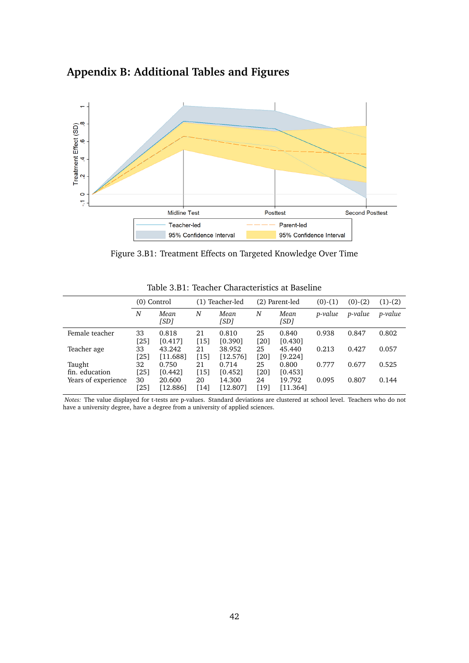# **Appendix B: Additional Tables and Figures**

<span id="page-42-0"></span>

Figure 3.B1: Treatment Effects on Targeted Knowledge Over Time

<span id="page-42-1"></span>

|                          |            | $(0)$ Control      |            | (1) Teacher-led<br>(2) Parent-led |            |                    | $(0)-(1)$ | $(0)-(2)$      | $(1)-(2)$      |
|--------------------------|------------|--------------------|------------|-----------------------------------|------------|--------------------|-----------|----------------|----------------|
|                          | N          | Mean<br>[SD]       | N          | Mean<br>[SD]                      | N          | Mean<br>[SD]       | p-value   | <i>p-value</i> | <i>p-value</i> |
| Female teacher           | 33<br>[25] | 0.818<br>[0.417]   | 21<br>[15] | 0.810<br>[0.390]                  | 25<br>[20] | 0.840<br>[0.430]   | 0.938     | 0.847          | 0.802          |
| Teacher age              | 33<br>[25] | 43.242<br>[11.688] | 21<br>[15] | 38.952<br>[12.576]                | 25<br>[20] | 45.440<br>[9.224]  | 0.213     | 0.427          | 0.057          |
| Taught<br>fin. education | 32<br>[25] | 0.750<br>[0.442]   | 21<br>[15] | 0.714<br>[0.452]                  | 25<br>[20] | 0.800<br>[0.453]   | 0.777     | 0.677          | 0.525          |
| Years of experience      | 30<br>[25] | 20.600<br>[12.886] | 20<br>[14] | 14.300<br>[12.807]                | 24<br>[19] | 19.792<br>[11.364] | 0.095     | 0.807          | 0.144          |

Table 3.B1: Teacher Characteristics at Baseline

*Notes:* The value displayed for t-tests are p-values. Standard deviations are clustered at school level. Teachers who do not have a university degree, have a degree from a university of applied sciences.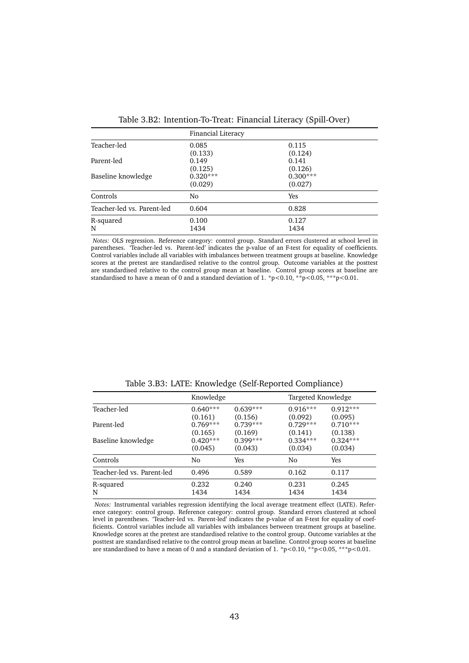<span id="page-43-1"></span>

|                            | Financial Literacy    |                       |
|----------------------------|-----------------------|-----------------------|
| Teacher-led                | 0.085<br>(0.133)      | 0.115<br>(0.124)      |
| Parent-led                 | 0.149<br>(0.125)      | 0.141<br>(0.126)      |
| Baseline knowledge         | $0.320***$<br>(0.029) | $0.300***$<br>(0.027) |
| Controls                   | No                    | Yes                   |
| Teacher-led vs. Parent-led | 0.604                 | 0.828                 |
| R-squared<br>N             | 0.100<br>1434         | 0.127<br>1434         |

Table 3.B2: Intention-To-Treat: Financial Literacy (Spill-Over)

*Notes:* OLS regression. Reference category: control group. Standard errors clustered at school level in parentheses. 'Teacher-led vs. Parent-led' indicates the p-value of an F-test for equality of coefficients. Control variables include all variables with imbalances between treatment groups at baseline. Knowledge scores at the pretest are standardised relative to the control group. Outcome variables at the posttest are standardised relative to the control group mean at baseline. Control group scores at baseline are standardised to have a mean of 0 and a standard deviation of  $1.$   $\degree$ p $<$ 0.10,  $\degree$ \* $\degree$ p $<$ 0.05,  $\degree$ \* $\degree$ p $<$ 0.01.

<span id="page-43-0"></span>

|                            | Knowledge  |            | Targeted Knowledge |            |
|----------------------------|------------|------------|--------------------|------------|
| Teacher-led                | $0.640***$ | $0.639***$ | $0.916***$         | $0.912***$ |
|                            | (0.161)    | (0.156)    | (0.092)            | (0.095)    |
| Parent-led                 | $0.769***$ | $0.739***$ | $0.729***$         | $0.710***$ |
|                            | (0.165)    | (0.169)    | (0.141)            | (0.138)    |
| Baseline knowledge         | $0.420***$ | $0.399***$ | $0.334***$         | $0.324***$ |
|                            | (0.045)    | (0.043)    | (0.034)            | (0.034)    |
| Controls                   | No         | Yes        | No                 | Yes        |
| Teacher-led vs. Parent-led | 0.496      | 0.589      | 0.162              | 0.117      |
| R-squared                  | 0.232      | 0.240      | 0.231              | 0.245      |
| N                          | 1434       | 1434       | 1434               | 1434       |

Table 3.B3: LATE: Knowledge (Self-Reported Compliance)

*Notes:* Instrumental variables regression identifying the local average treatment effect (LATE). Reference category: control group. Reference category: control group. Standard errors clustered at school level in parentheses. 'Teacher-led vs. Parent-led' indicates the p-value of an F-test for equality of coefficients. Control variables include all variables with imbalances between treatment groups at baseline. Knowledge scores at the pretest are standardised relative to the control group. Outcome variables at the posttest are standardised relative to the control group mean at baseline. Control group scores at baseline are standardised to have a mean of 0 and a standard deviation of 1. \*p<0.10, \*\*p<0.05, \*\*\*p<0.01.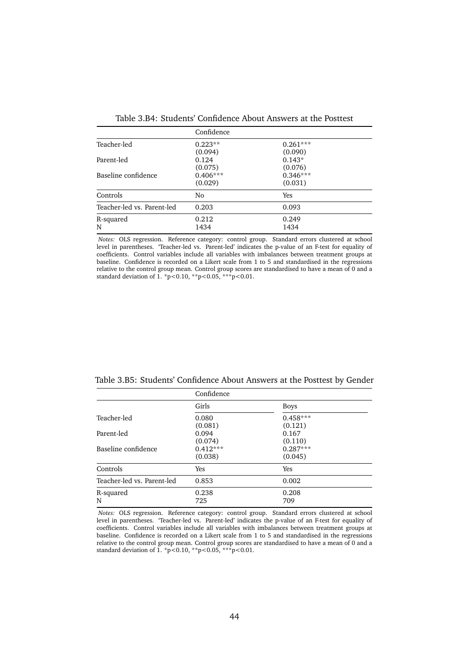<span id="page-44-0"></span>

|                            | Confidence |            |  |
|----------------------------|------------|------------|--|
| Teacher-led                | $0.223**$  | $0.261***$ |  |
|                            | (0.094)    | (0.090)    |  |
| Parent-led                 | 0.124      | $0.143*$   |  |
|                            | (0.075)    | (0.076)    |  |
| Baseline confidence        | $0.406***$ | $0.346***$ |  |
|                            | (0.029)    | (0.031)    |  |
| Controls                   | No         | <b>Yes</b> |  |
| Teacher-led vs. Parent-led | 0.203      | 0.093      |  |
| R-squared                  | 0.212      | 0.249      |  |
| N                          | 1434       | 1434       |  |

Table 3.B4: Students' Confidence About Answers at the Posttest

*Notes:* OLS regression. Reference category: control group. Standard errors clustered at school level in parentheses. 'Teacher-led vs. Parent-led' indicates the p-value of an F-test for equality of coefficients. Control variables include all variables with imbalances between treatment groups at baseline. Confidence is recorded on a Likert scale from 1 to 5 and standardised in the regressions relative to the control group mean. Control group scores are standardised to have a mean of 0 and a standard deviation of 1. \*p<0.10, \*\*p<0.05, \*\*\*p<0.01.

<span id="page-44-1"></span>

| Table 3.B5: Students' Confidence About Answers at the Posttest by Gender |  |  |  |
|--------------------------------------------------------------------------|--|--|--|
|--------------------------------------------------------------------------|--|--|--|

|                            | Confidence            |                       |  |
|----------------------------|-----------------------|-----------------------|--|
|                            | Girls                 | <b>Boys</b>           |  |
| Teacher-led                | 0.080<br>(0.081)      | $0.458***$<br>(0.121) |  |
| Parent-led                 | 0.094<br>(0.074)      | 0.167<br>(0.110)      |  |
| Baseline confidence        | $0.412***$<br>(0.038) | $0.287***$<br>(0.045) |  |
| Controls                   | Yes                   | Yes                   |  |
| Teacher-led vs. Parent-led | 0.853                 | 0.002                 |  |
| R-squared<br>N             | 0.238<br>725          | 0.208<br>709          |  |

*Notes:* OLS regression. Reference category: control group. Standard errors clustered at school level in parentheses. 'Teacher-led vs. Parent-led' indicates the p-value of an F-test for equality of coefficients. Control variables include all variables with imbalances between treatment groups at baseline. Confidence is recorded on a Likert scale from 1 to 5 and standardised in the regressions relative to the control group mean. Control group scores are standardised to have a mean of 0 and a standard deviation of 1. \*p<0.10, \*\*p<0.05, \*\*\*p<0.01.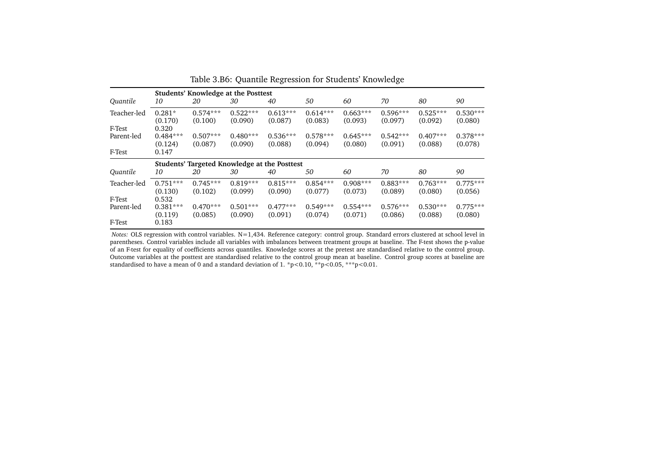|             |                       | <b>Students' Knowledge at the Posttest</b> |                                              |                       |                       |                       |                       |                       |                       |  |  |
|-------------|-----------------------|--------------------------------------------|----------------------------------------------|-----------------------|-----------------------|-----------------------|-----------------------|-----------------------|-----------------------|--|--|
| Quantile    | 10                    | 20                                         | 30                                           | 40                    | 50                    | 60                    | 70                    | 80                    | 90                    |  |  |
| Teacher-led | $0.281*$<br>(0.170)   | $0.574***$<br>(0.100)                      | $0.522***$<br>(0.090)                        | $0.613***$<br>(0.087) | $0.614***$<br>(0.083) | $0.663***$<br>(0.093) | $0.596***$<br>(0.097) | $0.525***$<br>(0.092) | $0.530***$<br>(0.080) |  |  |
| F-Test      | 0.320                 |                                            |                                              |                       |                       |                       |                       |                       |                       |  |  |
| Parent-led  | $0.484***$<br>(0.124) | $0.507***$<br>(0.087)                      | $0.480***$<br>(0.090)                        | $0.536***$<br>(0.088) | $0.578***$<br>(0.094) | $0.645***$<br>(0.080) | $0.542***$<br>(0.091) | $0.407***$<br>(0.088) | $0.378***$<br>(0.078) |  |  |
| F-Test      | 0.147                 |                                            |                                              |                       |                       |                       |                       |                       |                       |  |  |
|             |                       |                                            | Students' Targeted Knowledge at the Posttest |                       |                       |                       |                       |                       |                       |  |  |
| Quantile    | 10                    | 20                                         | 30                                           | 40                    | 50                    | 60                    | 70                    | 80                    | 90                    |  |  |
| Teacher-led | $0.751***$<br>(0.130) | $0.745***$<br>(0.102)                      | $0.819***$<br>(0.099)                        | $0.815***$<br>(0.090) | $0.854***$<br>(0.077) | $0.908***$<br>(0.073) | $0.883***$<br>(0.089) | $0.763***$<br>(0.080) | $0.775***$<br>(0.056) |  |  |
| F-Test      | 0.532                 |                                            |                                              |                       |                       |                       |                       |                       |                       |  |  |
| Parent-led  | $0.381***$            | $0.470***$                                 | $0.501***$                                   | $0.477***$            | $0.549***$            | $0.554***$            | $0.576***$            | $0.530***$            | $0.775***$            |  |  |
|             | (0.119)               | (0.085)                                    | (0.090)                                      | (0.091)               | (0.074)               | (0.071)               | (0.086)               | (0.088)               | (0.080)               |  |  |
| F-Test      | 0.183                 |                                            |                                              |                       |                       |                       |                       |                       |                       |  |  |

<span id="page-45-0"></span>Table 3.B6: Quantile Regression for Students' Knowledge

*Notes:* OLS regression with control variables. N=1,434. Reference category: control group. Standard errors clustered at school level in parentheses. Control variables include all variables with imbalances between treatment groups at baseline. The F-test shows the p-value of an F-test for equality of coefficients across quantiles. Knowledge scores at the pretest are standardised relative to the control group. Outcome variables at the posttest are standardised relative to the control group mean at baseline. Control group scores at baseline arestandardised to have a mean of 0 and a standard deviation of 1. \*p<0.10, \*\*p<0.05, \*\*\*p<0.01.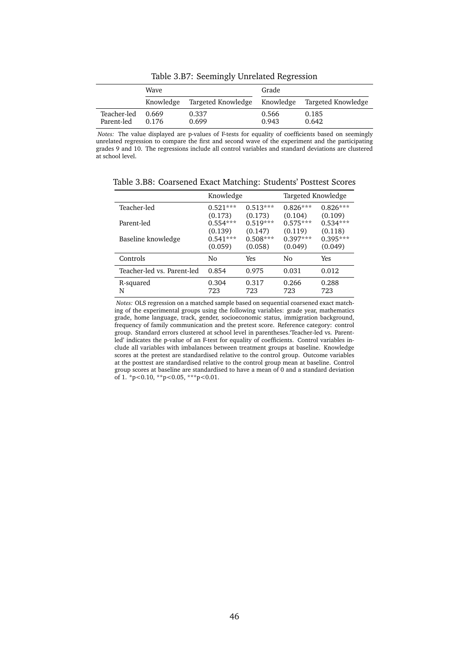<span id="page-46-0"></span>

|                           | Wave           |                              | Grade          |                    |
|---------------------------|----------------|------------------------------|----------------|--------------------|
|                           | Knowledge      | Targeted Knowledge Knowledge |                | Targeted Knowledge |
| Teacher-led<br>Parent-led | 0.669<br>0.176 | 0.337<br>0.699               | 0.566<br>0.943 | 0.185<br>0.642     |

Table 3.B7: Seemingly Unrelated Regression

*Notes:* The value displayed are p-values of F-tests for equality of coefficients based on seemingly unrelated regression to compare the first and second wave of the experiment and the participating grades 9 and 10. The regressions include all control variables and standard deviations are clustered at school level.

|                            | Knowledge    |              | Targeted Knowledge |              |
|----------------------------|--------------|--------------|--------------------|--------------|
| Teacher-led                | $0.521***$   | $0.513***$   | $0.826***$         | $0.826***$   |
|                            | (0.173)      | (0.173)      | (0.104)            | (0.109)      |
| Parent-led                 | $0.554***$   | $0.519***$   | $0.575***$         | $0.534***$   |
|                            | (0.139)      | (0.147)      | (0.119)            | (0.118)      |
| Baseline knowledge         | $0.541***$   | $0.508***$   | $0.397***$         | $0.395***$   |
|                            | (0.059)      | (0.058)      | (0.049)            | (0.049)      |
| Controls                   | No           | Yes          | Nο                 | Yes          |
| Teacher-led vs. Parent-led | 0.854        | 0.975        | 0.031              | 0.012        |
| R-squared<br>N             | 0.304<br>723 | 0.317<br>723 | 0.266<br>723       | 0.288<br>723 |

<span id="page-46-1"></span>Table 3.B8: Coarsened Exact Matching: Students' Posttest Scores

*Notes:* OLS regression on a matched sample based on sequential coarsened exact matching of the experimental groups using the following variables: grade year, mathematics grade, home language, track, gender, socioeconomic status, immigration background, frequency of family communication and the pretest score. Reference category: control group. Standard errors clustered at school level in parentheses.'Teacher-led vs. Parentled' indicates the p-value of an F-test for equality of coefficients. Control variables include all variables with imbalances between treatment groups at baseline. Knowledge scores at the pretest are standardised relative to the control group. Outcome variables at the posttest are standardised relative to the control group mean at baseline. Control group scores at baseline are standardised to have a mean of 0 and a standard deviation of 1. \*p<0.10, \*\*p<0.05, \*\*\*p<0.01.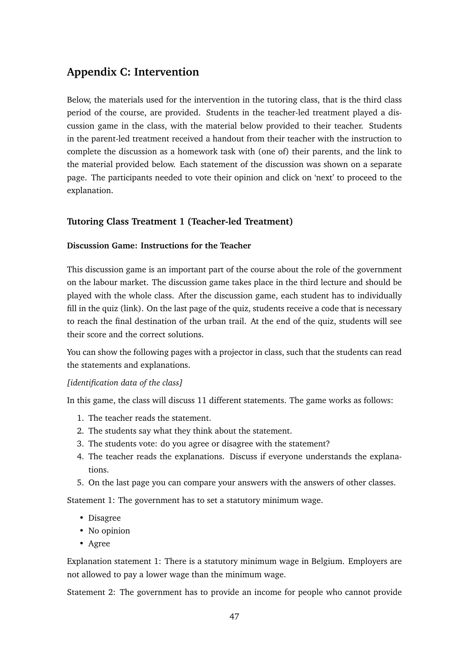# **Appendix C: Intervention**

Below, the materials used for the intervention in the tutoring class, that is the third class period of the course, are provided. Students in the teacher-led treatment played a discussion game in the class, with the material below provided to their teacher. Students in the parent-led treatment received a handout from their teacher with the instruction to complete the discussion as a homework task with (one of) their parents, and the link to the material provided below. Each statement of the discussion was shown on a separate page. The participants needed to vote their opinion and click on 'next' to proceed to the explanation.

# **Tutoring Class Treatment 1 (Teacher-led Treatment)**

#### **Discussion Game: Instructions for the Teacher**

This discussion game is an important part of the course about the role of the government on the labour market. The discussion game takes place in the third lecture and should be played with the whole class. After the discussion game, each student has to individually fill in the quiz (link). On the last page of the quiz, students receive a code that is necessary to reach the final destination of the urban trail. At the end of the quiz, students will see their score and the correct solutions.

You can show the following pages with a projector in class, such that the students can read the statements and explanations.

#### *[identification data of the class]*

In this game, the class will discuss 11 different statements. The game works as follows:

- 1. The teacher reads the statement.
- 2. The students say what they think about the statement.
- 3. The students vote: do you agree or disagree with the statement?
- 4. The teacher reads the explanations. Discuss if everyone understands the explanations.
- 5. On the last page you can compare your answers with the answers of other classes.

Statement 1: The government has to set a statutory minimum wage.

- Disagree
- No opinion
- Agree

Explanation statement 1: There is a statutory minimum wage in Belgium. Employers are not allowed to pay a lower wage than the minimum wage.

Statement 2: The government has to provide an income for people who cannot provide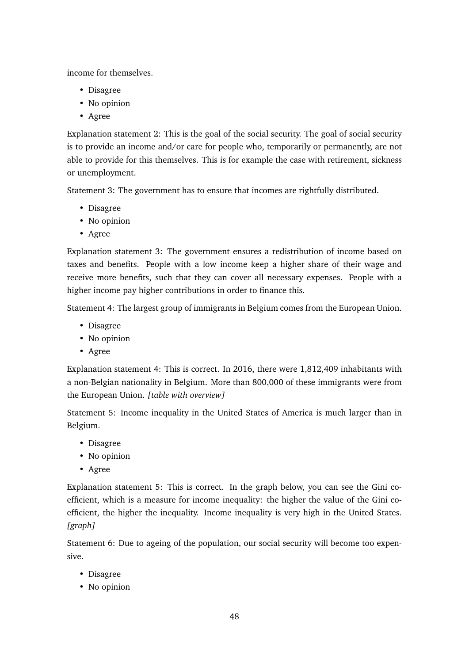income for themselves.

- Disagree
- No opinion
- Agree

Explanation statement 2: This is the goal of the social security. The goal of social security is to provide an income and/or care for people who, temporarily or permanently, are not able to provide for this themselves. This is for example the case with retirement, sickness or unemployment.

Statement 3: The government has to ensure that incomes are rightfully distributed.

- Disagree
- No opinion
- Agree

Explanation statement 3: The government ensures a redistribution of income based on taxes and benefits. People with a low income keep a higher share of their wage and receive more benefits, such that they can cover all necessary expenses. People with a higher income pay higher contributions in order to finance this.

Statement 4: The largest group of immigrants in Belgium comes from the European Union.

- Disagree
- No opinion
- Agree

Explanation statement 4: This is correct. In 2016, there were 1,812,409 inhabitants with a non-Belgian nationality in Belgium. More than 800,000 of these immigrants were from the European Union. *[table with overview]*

Statement 5: Income inequality in the United States of America is much larger than in Belgium.

- Disagree
- No opinion
- Agree

Explanation statement 5: This is correct. In the graph below, you can see the Gini coefficient, which is a measure for income inequality: the higher the value of the Gini coefficient, the higher the inequality. Income inequality is very high in the United States. *[graph]*

Statement 6: Due to ageing of the population, our social security will become too expensive.

- Disagree
- No opinion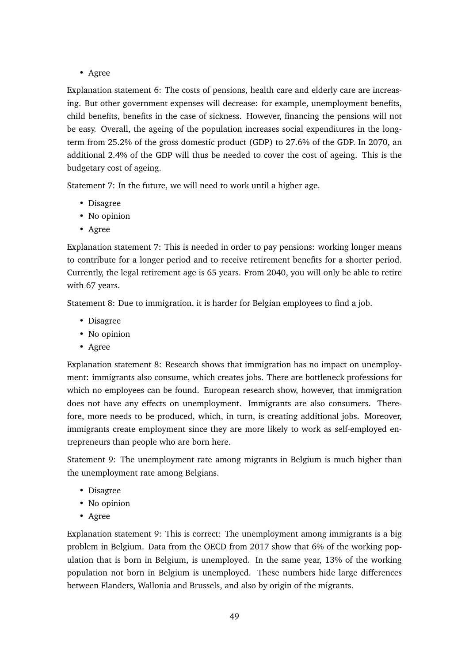• Agree

Explanation statement 6: The costs of pensions, health care and elderly care are increasing. But other government expenses will decrease: for example, unemployment benefits, child benefits, benefits in the case of sickness. However, financing the pensions will not be easy. Overall, the ageing of the population increases social expenditures in the longterm from 25.2% of the gross domestic product (GDP) to 27.6% of the GDP. In 2070, an additional 2.4% of the GDP will thus be needed to cover the cost of ageing. This is the budgetary cost of ageing.

Statement 7: In the future, we will need to work until a higher age.

- Disagree
- No opinion
- Agree

Explanation statement 7: This is needed in order to pay pensions: working longer means to contribute for a longer period and to receive retirement benefits for a shorter period. Currently, the legal retirement age is 65 years. From 2040, you will only be able to retire with 67 years.

Statement 8: Due to immigration, it is harder for Belgian employees to find a job.

- Disagree
- No opinion
- Agree

Explanation statement 8: Research shows that immigration has no impact on unemployment: immigrants also consume, which creates jobs. There are bottleneck professions for which no employees can be found. European research show, however, that immigration does not have any effects on unemployment. Immigrants are also consumers. Therefore, more needs to be produced, which, in turn, is creating additional jobs. Moreover, immigrants create employment since they are more likely to work as self-employed entrepreneurs than people who are born here.

Statement 9: The unemployment rate among migrants in Belgium is much higher than the unemployment rate among Belgians.

- Disagree
- No opinion
- Agree

Explanation statement 9: This is correct: The unemployment among immigrants is a big problem in Belgium. Data from the OECD from 2017 show that 6% of the working population that is born in Belgium, is unemployed. In the same year, 13% of the working population not born in Belgium is unemployed. These numbers hide large differences between Flanders, Wallonia and Brussels, and also by origin of the migrants.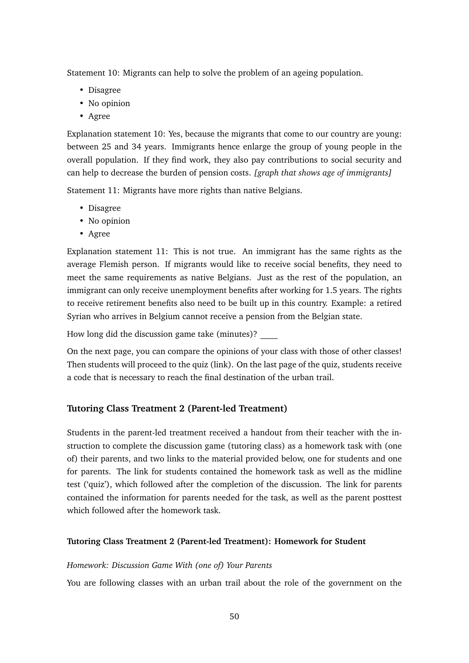Statement 10: Migrants can help to solve the problem of an ageing population.

- Disagree
- No opinion
- Agree

Explanation statement 10: Yes, because the migrants that come to our country are young: between 25 and 34 years. Immigrants hence enlarge the group of young people in the overall population. If they find work, they also pay contributions to social security and can help to decrease the burden of pension costs. *[graph that shows age of immigrants]*

Statement 11: Migrants have more rights than native Belgians.

- Disagree
- No opinion
- Agree

Explanation statement 11: This is not true. An immigrant has the same rights as the average Flemish person. If migrants would like to receive social benefits, they need to meet the same requirements as native Belgians. Just as the rest of the population, an immigrant can only receive unemployment benefits after working for 1.5 years. The rights to receive retirement benefits also need to be built up in this country. Example: a retired Syrian who arrives in Belgium cannot receive a pension from the Belgian state.

How long did the discussion game take (minutes)? \_\_\_\_

On the next page, you can compare the opinions of your class with those of other classes! Then students will proceed to the quiz (link). On the last page of the quiz, students receive a code that is necessary to reach the final destination of the urban trail.

# **Tutoring Class Treatment 2 (Parent-led Treatment)**

Students in the parent-led treatment received a handout from their teacher with the instruction to complete the discussion game (tutoring class) as a homework task with (one of) their parents, and two links to the material provided below, one for students and one for parents. The link for students contained the homework task as well as the midline test ('quiz'), which followed after the completion of the discussion. The link for parents contained the information for parents needed for the task, as well as the parent posttest which followed after the homework task.

#### **Tutoring Class Treatment 2 (Parent-led Treatment): Homework for Student**

#### *Homework: Discussion Game With (one of) Your Parents*

You are following classes with an urban trail about the role of the government on the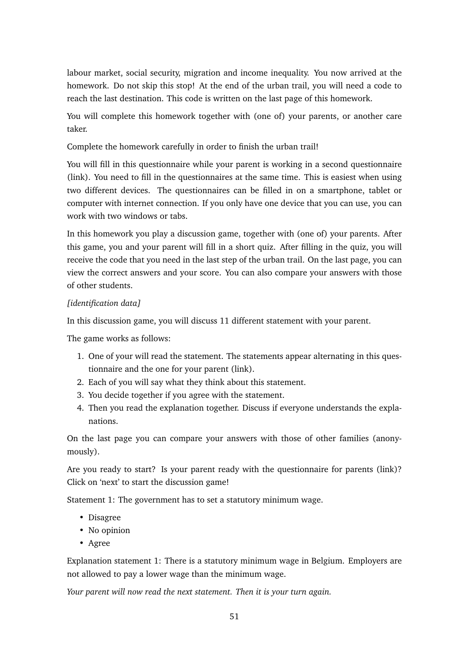labour market, social security, migration and income inequality. You now arrived at the homework. Do not skip this stop! At the end of the urban trail, you will need a code to reach the last destination. This code is written on the last page of this homework.

You will complete this homework together with (one of) your parents, or another care taker.

Complete the homework carefully in order to finish the urban trail!

You will fill in this questionnaire while your parent is working in a second questionnaire (link). You need to fill in the questionnaires at the same time. This is easiest when using two different devices. The questionnaires can be filled in on a smartphone, tablet or computer with internet connection. If you only have one device that you can use, you can work with two windows or tabs.

In this homework you play a discussion game, together with (one of) your parents. After this game, you and your parent will fill in a short quiz. After filling in the quiz, you will receive the code that you need in the last step of the urban trail. On the last page, you can view the correct answers and your score. You can also compare your answers with those of other students.

# *[identification data]*

In this discussion game, you will discuss 11 different statement with your parent.

The game works as follows:

- 1. One of your will read the statement. The statements appear alternating in this questionnaire and the one for your parent (link).
- 2. Each of you will say what they think about this statement.
- 3. You decide together if you agree with the statement.
- 4. Then you read the explanation together. Discuss if everyone understands the explanations.

On the last page you can compare your answers with those of other families (anonymously).

Are you ready to start? Is your parent ready with the questionnaire for parents (link)? Click on 'next' to start the discussion game!

Statement 1: The government has to set a statutory minimum wage.

- Disagree
- No opinion
- Agree

Explanation statement 1: There is a statutory minimum wage in Belgium. Employers are not allowed to pay a lower wage than the minimum wage.

*Your parent will now read the next statement. Then it is your turn again.*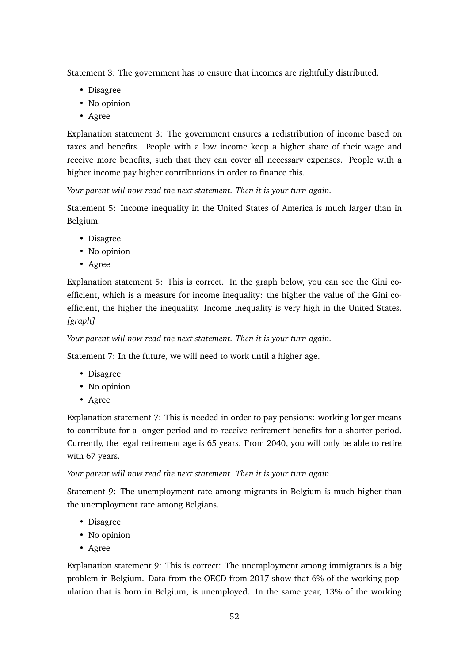Statement 3: The government has to ensure that incomes are rightfully distributed.

- Disagree
- No opinion
- Agree

Explanation statement 3: The government ensures a redistribution of income based on taxes and benefits. People with a low income keep a higher share of their wage and receive more benefits, such that they can cover all necessary expenses. People with a higher income pay higher contributions in order to finance this.

*Your parent will now read the next statement. Then it is your turn again.*

Statement 5: Income inequality in the United States of America is much larger than in Belgium.

- Disagree
- No opinion
- Agree

Explanation statement 5: This is correct. In the graph below, you can see the Gini coefficient, which is a measure for income inequality: the higher the value of the Gini coefficient, the higher the inequality. Income inequality is very high in the United States. *[graph]*

*Your parent will now read the next statement. Then it is your turn again.*

Statement 7: In the future, we will need to work until a higher age.

- Disagree
- No opinion
- Agree

Explanation statement 7: This is needed in order to pay pensions: working longer means to contribute for a longer period and to receive retirement benefits for a shorter period. Currently, the legal retirement age is 65 years. From 2040, you will only be able to retire with 67 years.

*Your parent will now read the next statement. Then it is your turn again.*

Statement 9: The unemployment rate among migrants in Belgium is much higher than the unemployment rate among Belgians.

- Disagree
- No opinion
- Agree

Explanation statement 9: This is correct: The unemployment among immigrants is a big problem in Belgium. Data from the OECD from 2017 show that 6% of the working population that is born in Belgium, is unemployed. In the same year, 13% of the working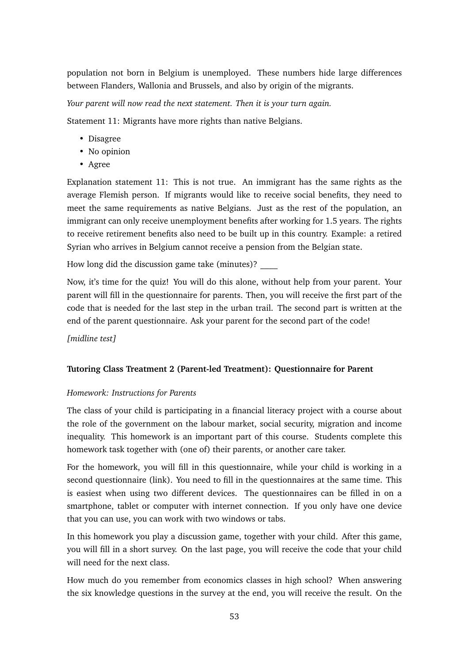population not born in Belgium is unemployed. These numbers hide large differences between Flanders, Wallonia and Brussels, and also by origin of the migrants.

*Your parent will now read the next statement. Then it is your turn again.*

Statement 11: Migrants have more rights than native Belgians.

- Disagree
- No opinion
- Agree

Explanation statement 11: This is not true. An immigrant has the same rights as the average Flemish person. If migrants would like to receive social benefits, they need to meet the same requirements as native Belgians. Just as the rest of the population, an immigrant can only receive unemployment benefits after working for 1.5 years. The rights to receive retirement benefits also need to be built up in this country. Example: a retired Syrian who arrives in Belgium cannot receive a pension from the Belgian state.

How long did the discussion game take (minutes)? \_\_\_\_

Now, it's time for the quiz! You will do this alone, without help from your parent. Your parent will fill in the questionnaire for parents. Then, you will receive the first part of the code that is needed for the last step in the urban trail. The second part is written at the end of the parent questionnaire. Ask your parent for the second part of the code!

*[midline test]*

# **Tutoring Class Treatment 2 (Parent-led Treatment): Questionnaire for Parent**

#### *Homework: Instructions for Parents*

The class of your child is participating in a financial literacy project with a course about the role of the government on the labour market, social security, migration and income inequality. This homework is an important part of this course. Students complete this homework task together with (one of) their parents, or another care taker.

For the homework, you will fill in this questionnaire, while your child is working in a second questionnaire (link). You need to fill in the questionnaires at the same time. This is easiest when using two different devices. The questionnaires can be filled in on a smartphone, tablet or computer with internet connection. If you only have one device that you can use, you can work with two windows or tabs.

In this homework you play a discussion game, together with your child. After this game, you will fill in a short survey. On the last page, you will receive the code that your child will need for the next class.

How much do you remember from economics classes in high school? When answering the six knowledge questions in the survey at the end, you will receive the result. On the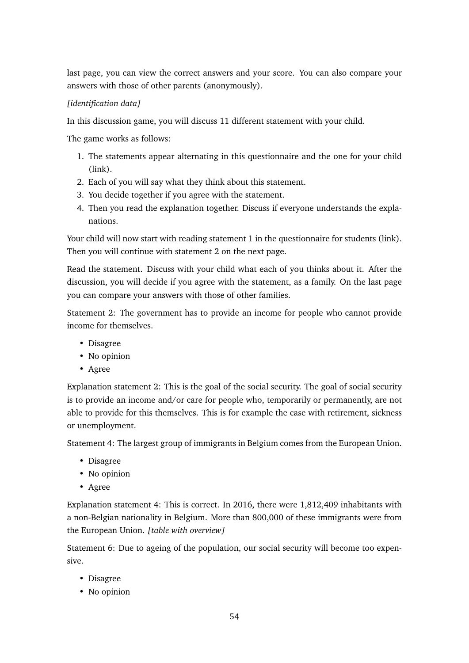last page, you can view the correct answers and your score. You can also compare your answers with those of other parents (anonymously).

# *[identification data]*

In this discussion game, you will discuss 11 different statement with your child.

The game works as follows:

- 1. The statements appear alternating in this questionnaire and the one for your child (link).
- 2. Each of you will say what they think about this statement.
- 3. You decide together if you agree with the statement.
- 4. Then you read the explanation together. Discuss if everyone understands the explanations.

Your child will now start with reading statement 1 in the questionnaire for students (link). Then you will continue with statement 2 on the next page.

Read the statement. Discuss with your child what each of you thinks about it. After the discussion, you will decide if you agree with the statement, as a family. On the last page you can compare your answers with those of other families.

Statement 2: The government has to provide an income for people who cannot provide income for themselves.

- Disagree
- No opinion
- Agree

Explanation statement 2: This is the goal of the social security. The goal of social security is to provide an income and/or care for people who, temporarily or permanently, are not able to provide for this themselves. This is for example the case with retirement, sickness or unemployment.

Statement 4: The largest group of immigrants in Belgium comes from the European Union.

- Disagree
- No opinion
- Agree

Explanation statement 4: This is correct. In 2016, there were 1,812,409 inhabitants with a non-Belgian nationality in Belgium. More than 800,000 of these immigrants were from the European Union. *[table with overview]*

Statement 6: Due to ageing of the population, our social security will become too expensive.

- Disagree
- No opinion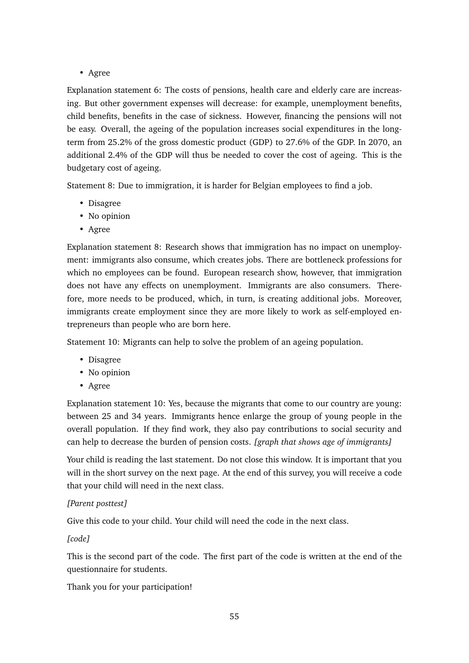• Agree

Explanation statement 6: The costs of pensions, health care and elderly care are increasing. But other government expenses will decrease: for example, unemployment benefits, child benefits, benefits in the case of sickness. However, financing the pensions will not be easy. Overall, the ageing of the population increases social expenditures in the longterm from 25.2% of the gross domestic product (GDP) to 27.6% of the GDP. In 2070, an additional 2.4% of the GDP will thus be needed to cover the cost of ageing. This is the budgetary cost of ageing.

Statement 8: Due to immigration, it is harder for Belgian employees to find a job.

- Disagree
- No opinion
- Agree

Explanation statement 8: Research shows that immigration has no impact on unemployment: immigrants also consume, which creates jobs. There are bottleneck professions for which no employees can be found. European research show, however, that immigration does not have any effects on unemployment. Immigrants are also consumers. Therefore, more needs to be produced, which, in turn, is creating additional jobs. Moreover, immigrants create employment since they are more likely to work as self-employed entrepreneurs than people who are born here.

Statement 10: Migrants can help to solve the problem of an ageing population.

- Disagree
- No opinion
- Agree

Explanation statement 10: Yes, because the migrants that come to our country are young: between 25 and 34 years. Immigrants hence enlarge the group of young people in the overall population. If they find work, they also pay contributions to social security and can help to decrease the burden of pension costs. *[graph that shows age of immigrants]*

Your child is reading the last statement. Do not close this window. It is important that you will in the short survey on the next page. At the end of this survey, you will receive a code that your child will need in the next class.

#### *[Parent posttest]*

Give this code to your child. Your child will need the code in the next class.

*[code]*

This is the second part of the code. The first part of the code is written at the end of the questionnaire for students.

Thank you for your participation!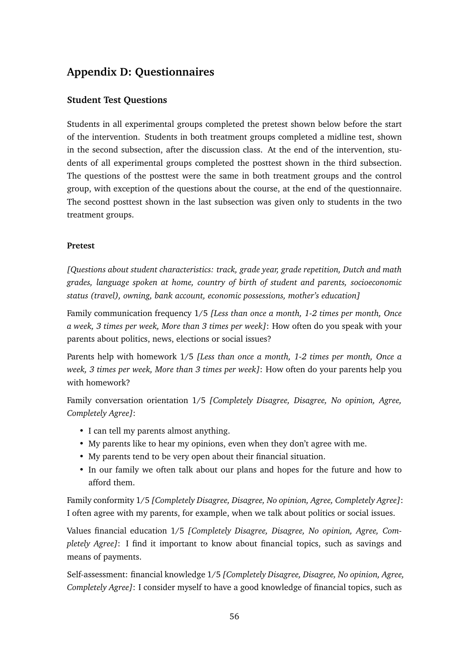# **Appendix D: Questionnaires**

# **Student Test Questions**

Students in all experimental groups completed the pretest shown below before the start of the intervention. Students in both treatment groups completed a midline test, shown in the second subsection, after the discussion class. At the end of the intervention, students of all experimental groups completed the posttest shown in the third subsection. The questions of the posttest were the same in both treatment groups and the control group, with exception of the questions about the course, at the end of the questionnaire. The second posttest shown in the last subsection was given only to students in the two treatment groups.

### **Pretest**

*[Questions about student characteristics: track, grade year, grade repetition, Dutch and math grades, language spoken at home, country of birth of student and parents, socioeconomic status (travel), owning, bank account, economic possessions, mother's education]*

Family communication frequency 1/5 *[Less than once a month, 1-2 times per month, Once a week, 3 times per week, More than 3 times per week]*: How often do you speak with your parents about politics, news, elections or social issues?

Parents help with homework 1/5 *[Less than once a month, 1-2 times per month, Once a week, 3 times per week, More than 3 times per week]*: How often do your parents help you with homework?

Family conversation orientation 1/5 *[Completely Disagree, Disagree, No opinion, Agree, Completely Agree]*:

- I can tell my parents almost anything.
- My parents like to hear my opinions, even when they don't agree with me.
- My parents tend to be very open about their financial situation.
- In our family we often talk about our plans and hopes for the future and how to afford them.

Family conformity 1/5 *[Completely Disagree, Disagree, No opinion, Agree, Completely Agree]*: I often agree with my parents, for example, when we talk about politics or social issues.

Values financial education 1/5 *[Completely Disagree, Disagree, No opinion, Agree, Completely Agree]*: I find it important to know about financial topics, such as savings and means of payments.

Self-assessment: financial knowledge 1/5 *[Completely Disagree, Disagree, No opinion, Agree, Completely Agree]*: I consider myself to have a good knowledge of financial topics, such as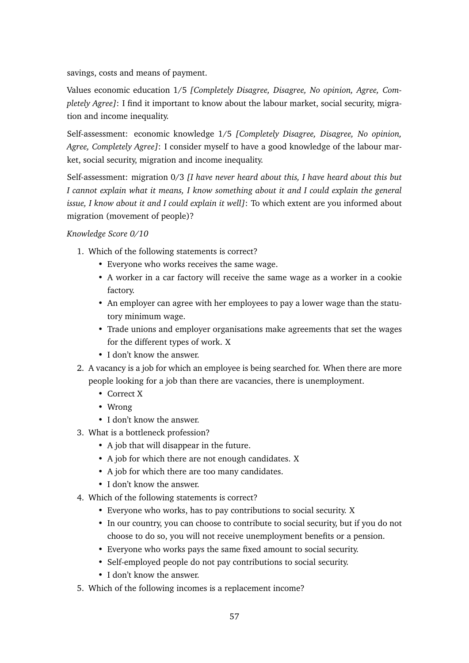savings, costs and means of payment.

Values economic education 1/5 *[Completely Disagree, Disagree, No opinion, Agree, Completely Agree]*: I find it important to know about the labour market, social security, migration and income inequality.

Self-assessment: economic knowledge 1/5 *[Completely Disagree, Disagree, No opinion, Agree, Completely Agree]*: I consider myself to have a good knowledge of the labour market, social security, migration and income inequality.

Self-assessment: migration 0/3 *[I have never heard about this, I have heard about this but I cannot explain what it means, I know something about it and I could explain the general issue, I know about it and I could explain it well]*: To which extent are you informed about migration (movement of people)?

*Knowledge Score 0/10*

- 1. Which of the following statements is correct?
	- Everyone who works receives the same wage.
	- A worker in a car factory will receive the same wage as a worker in a cookie factory.
	- An employer can agree with her employees to pay a lower wage than the statutory minimum wage.
	- Trade unions and employer organisations make agreements that set the wages for the different types of work. X
	- I don't know the answer.
- 2. A vacancy is a job for which an employee is being searched for. When there are more people looking for a job than there are vacancies, there is unemployment.
	- Correct X
	- Wrong
	- I don't know the answer.
- 3. What is a bottleneck profession?
	- A job that will disappear in the future.
	- A job for which there are not enough candidates. X
	- A job for which there are too many candidates.
	- I don't know the answer.
- 4. Which of the following statements is correct?
	- Everyone who works, has to pay contributions to social security. X
	- In our country, you can choose to contribute to social security, but if you do not choose to do so, you will not receive unemployment benefits or a pension.
	- Everyone who works pays the same fixed amount to social security.
	- Self-employed people do not pay contributions to social security.
	- I don't know the answer.
- 5. Which of the following incomes is a replacement income?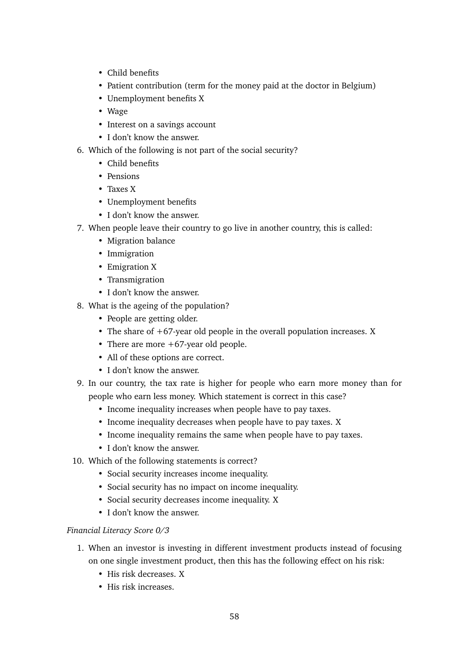- Child benefits
- Patient contribution (term for the money paid at the doctor in Belgium)
- Unemployment benefits X
- Wage
- Interest on a savings account
- I don't know the answer.
- 6. Which of the following is not part of the social security?
	- Child benefits
	- Pensions
	- Taxes X
	- Unemployment benefits
	- I don't know the answer.
- 7. When people leave their country to go live in another country, this is called:
	- Migration balance
	- Immigration
	- Emigration X
	- Transmigration
	- I don't know the answer.
- 8. What is the ageing of the population?
	- People are getting older.
	- The share of +67-year old people in the overall population increases. X
	- There are more +67-year old people.
	- All of these options are correct.
	- I don't know the answer.
- 9. In our country, the tax rate is higher for people who earn more money than for people who earn less money. Which statement is correct in this case?
	- Income inequality increases when people have to pay taxes.
	- Income inequality decreases when people have to pay taxes. X
	- Income inequality remains the same when people have to pay taxes.
	- I don't know the answer.
- 10. Which of the following statements is correct?
	- Social security increases income inequality.
	- Social security has no impact on income inequality.
	- Social security decreases income inequality. X
	- I don't know the answer.

# *Financial Literacy Score 0/3*

- 1. When an investor is investing in different investment products instead of focusing on one single investment product, then this has the following effect on his risk:
	- His risk decreases. X
	- His risk increases.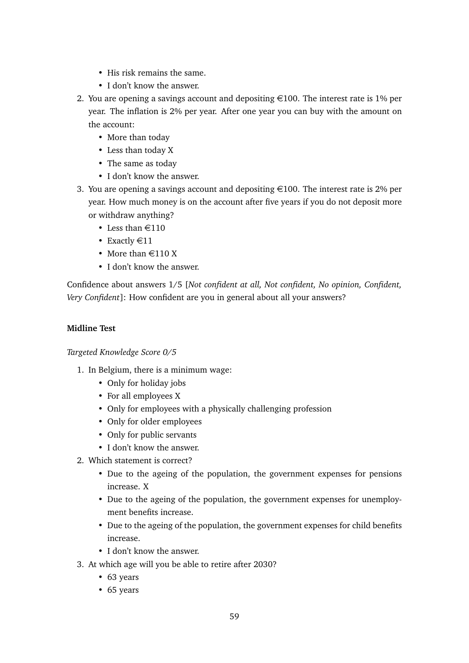- His risk remains the same.
- I don't know the answer.
- 2. You are opening a savings account and depositing  $\epsilon$ 100. The interest rate is 1% per year. The inflation is 2% per year. After one year you can buy with the amount on the account:
	- More than today
	- Less than today X
	- The same as today
	- I don't know the answer.
- 3. You are opening a savings account and depositing  $\epsilon$ 100. The interest rate is 2% per year. How much money is on the account after five years if you do not deposit more or withdraw anything?
	- Less than  $\in$ 110
	- Exactly  $\in$ 11
	- More than  $\text{\textsterling}110 X$
	- I don't know the answer.

Confidence about answers 1/5 [*Not confident at all, Not confident, No opinion, Confident, Very Confident*]: How confident are you in general about all your answers?

#### **Midline Test**

*Targeted Knowledge Score 0/5*

- 1. In Belgium, there is a minimum wage:
	- Only for holiday jobs
	- For all employees X
	- Only for employees with a physically challenging profession
	- Only for older employees
	- Only for public servants
	- I don't know the answer.
- 2. Which statement is correct?
	- Due to the ageing of the population, the government expenses for pensions increase. X
	- Due to the ageing of the population, the government expenses for unemployment benefits increase.
	- Due to the ageing of the population, the government expenses for child benefits increase.
	- I don't know the answer.
- 3. At which age will you be able to retire after 2030?
	- 63 years
	- 65 years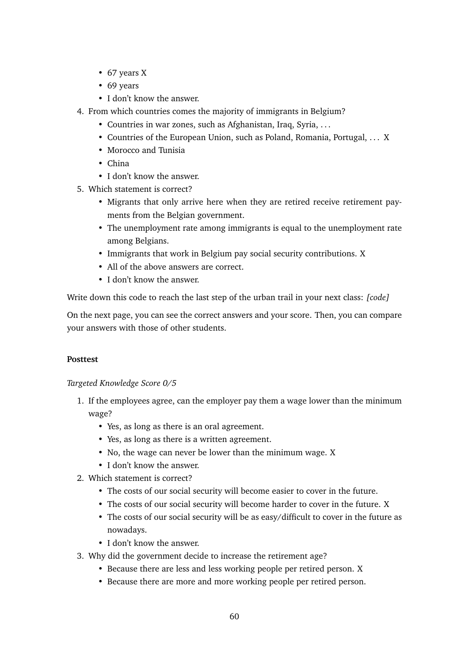- 67 years X
- 69 years
- I don't know the answer.
- 4. From which countries comes the majority of immigrants in Belgium?
	- Countries in war zones, such as Afghanistan, Iraq, Syria, . . .
	- Countries of the European Union, such as Poland, Romania, Portugal, . . . X
	- Morocco and Tunisia
	- China
	- I don't know the answer.
- 5. Which statement is correct?
	- Migrants that only arrive here when they are retired receive retirement payments from the Belgian government.
	- The unemployment rate among immigrants is equal to the unemployment rate among Belgians.
	- Immigrants that work in Belgium pay social security contributions. X
	- All of the above answers are correct.
	- I don't know the answer.

Write down this code to reach the last step of the urban trail in your next class: *[code]*

On the next page, you can see the correct answers and your score. Then, you can compare your answers with those of other students.

#### **Posttest**

*Targeted Knowledge Score 0/5*

- 1. If the employees agree, can the employer pay them a wage lower than the minimum wage?
	- Yes, as long as there is an oral agreement.
	- Yes, as long as there is a written agreement.
	- No, the wage can never be lower than the minimum wage. X
	- I don't know the answer.
- 2. Which statement is correct?
	- The costs of our social security will become easier to cover in the future.
	- The costs of our social security will become harder to cover in the future. X
	- The costs of our social security will be as easy/difficult to cover in the future as nowadays.
	- I don't know the answer.
- 3. Why did the government decide to increase the retirement age?
	- Because there are less and less working people per retired person. X
	- Because there are more and more working people per retired person.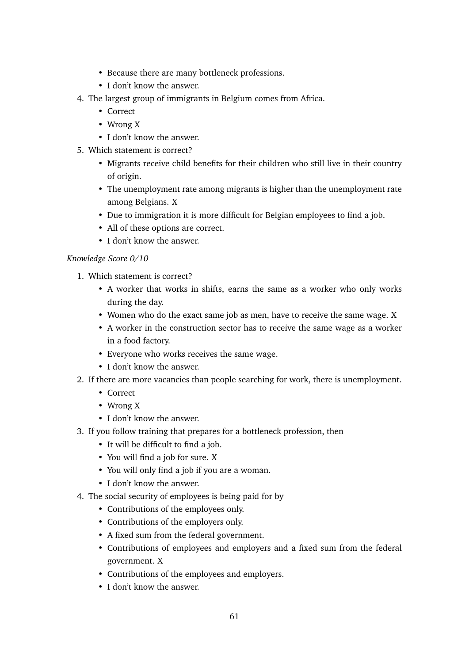- Because there are many bottleneck professions.
- I don't know the answer.
- 4. The largest group of immigrants in Belgium comes from Africa.
	- Correct
	- Wrong X
	- I don't know the answer.
- 5. Which statement is correct?
	- Migrants receive child benefits for their children who still live in their country of origin.
	- The unemployment rate among migrants is higher than the unemployment rate among Belgians. X
	- Due to immigration it is more difficult for Belgian employees to find a job.
	- All of these options are correct.
	- I don't know the answer.

#### *Knowledge Score 0/10*

- 1. Which statement is correct?
	- A worker that works in shifts, earns the same as a worker who only works during the day.
	- Women who do the exact same job as men, have to receive the same wage. X
	- A worker in the construction sector has to receive the same wage as a worker in a food factory.
	- Everyone who works receives the same wage.
	- I don't know the answer.
- 2. If there are more vacancies than people searching for work, there is unemployment.
	- Correct
	- Wrong X
	- I don't know the answer.
- 3. If you follow training that prepares for a bottleneck profession, then
	- It will be difficult to find a job.
	- You will find a job for sure. X
	- You will only find a job if you are a woman.
	- I don't know the answer.
- 4. The social security of employees is being paid for by
	- Contributions of the employees only.
	- Contributions of the employers only.
	- A fixed sum from the federal government.
	- Contributions of employees and employers and a fixed sum from the federal government. X
	- Contributions of the employees and employers.
	- I don't know the answer.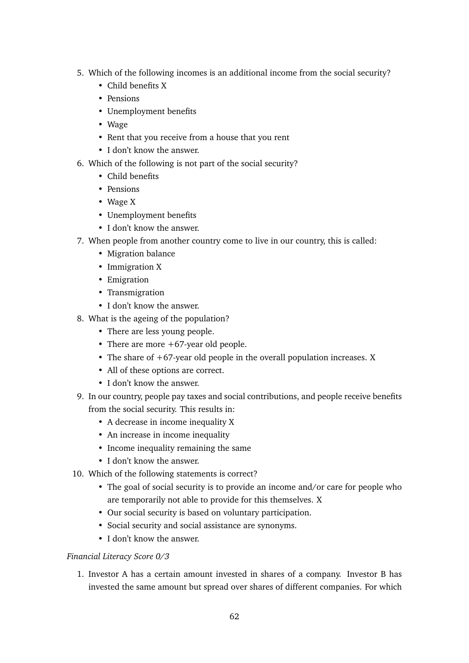- 5. Which of the following incomes is an additional income from the social security?
	- Child benefits X
	- Pensions
	- Unemployment benefits
	- Wage
	- Rent that you receive from a house that you rent
	- I don't know the answer.
- 6. Which of the following is not part of the social security?
	- Child benefits
	- Pensions
	- Wage X
	- Unemployment benefits
	- I don't know the answer.
- 7. When people from another country come to live in our country, this is called:
	- Migration balance
	- Immigration X
	- Emigration
	- Transmigration
	- I don't know the answer.
- 8. What is the ageing of the population?
	- There are less young people.
	- There are more +67-year old people.
	- The share of  $+67$ -year old people in the overall population increases. X
	- All of these options are correct.
	- I don't know the answer.
- 9. In our country, people pay taxes and social contributions, and people receive benefits from the social security. This results in:
	- A decrease in income inequality X
	- An increase in income inequality
	- Income inequality remaining the same
	- I don't know the answer.
- 10. Which of the following statements is correct?
	- The goal of social security is to provide an income and/or care for people who are temporarily not able to provide for this themselves. X
	- Our social security is based on voluntary participation.
	- Social security and social assistance are synonyms.
	- I don't know the answer.

#### *Financial Literacy Score 0/3*

1. Investor A has a certain amount invested in shares of a company. Investor B has invested the same amount but spread over shares of different companies. For which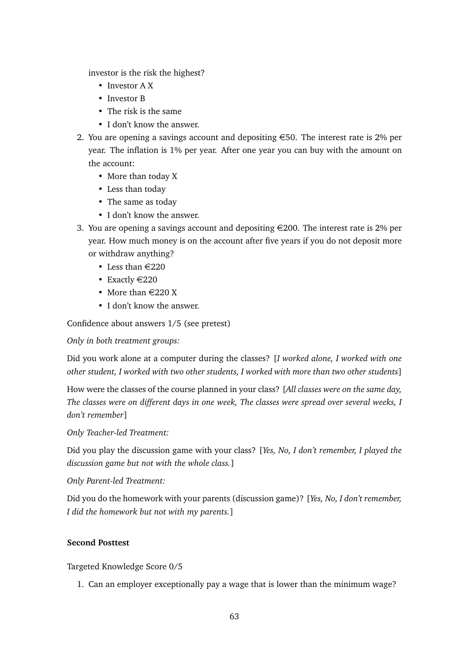investor is the risk the highest?

- Investor A X
- Investor B
- The risk is the same
- I don't know the answer.
- 2. You are opening a savings account and depositing  $\epsilon$ 50. The interest rate is 2% per year. The inflation is 1% per year. After one year you can buy with the amount on the account:
	- More than today X
	- Less than today
	- The same as today
	- I don't know the answer.
- 3. You are opening a savings account and depositing  $\in 200$ . The interest rate is 2% per year. How much money is on the account after five years if you do not deposit more or withdraw anything?
	- Less than  $\in$ 220
	- Exactly  $\in$  220
	- More than  $\in$  220 X
	- I don't know the answer.

Confidence about answers 1/5 (see pretest)

*Only in both treatment groups:*

Did you work alone at a computer during the classes? [*I worked alone, I worked with one other student, I worked with two other students, I worked with more than two other students*]

How were the classes of the course planned in your class? [*All classes were on the same day, The classes were on different days in one week, The classes were spread over several weeks, I don't remember*]

*Only Teacher-led Treatment:*

Did you play the discussion game with your class? [*Yes, No, I don't remember, I played the discussion game but not with the whole class.*]

#### *Only Parent-led Treatment:*

Did you do the homework with your parents (discussion game)? [*Yes, No, I don't remember, I did the homework but not with my parents.*]

#### **Second Posttest**

Targeted Knowledge Score 0/5

1. Can an employer exceptionally pay a wage that is lower than the minimum wage?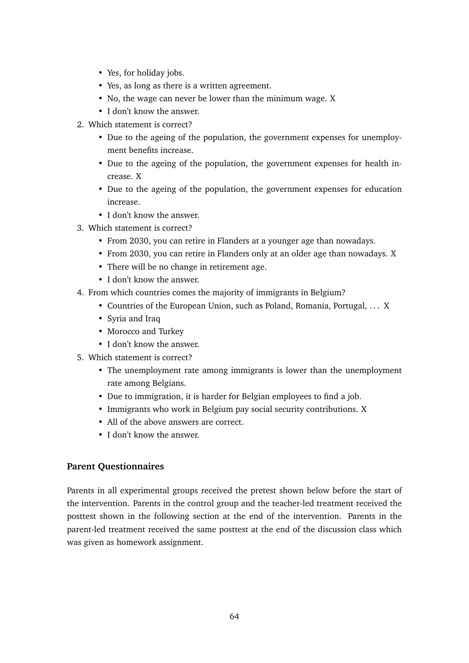- Yes, for holiday jobs.
- Yes, as long as there is a written agreement.
- No, the wage can never be lower than the minimum wage. X
- I don't know the answer.
- 2. Which statement is correct?
	- Due to the ageing of the population, the government expenses for unemployment benefits increase.
	- Due to the ageing of the population, the government expenses for health increase. X
	- Due to the ageing of the population, the government expenses for education increase.
	- I don't know the answer.
- 3. Which statement is correct?
	- From 2030, you can retire in Flanders at a younger age than nowadays.
	- From 2030, you can retire in Flanders only at an older age than nowadays. X
	- There will be no change in retirement age.
	- I don't know the answer.
- 4. From which countries comes the majority of immigrants in Belgium?
	- Countries of the European Union, such as Poland, Romania, Portugal, . . . X
	- Syria and Iraq
	- Morocco and Turkey
	- I don't know the answer.
- 5. Which statement is correct?
	- The unemployment rate among immigrants is lower than the unemployment rate among Belgians.
	- Due to immigration, it is harder for Belgian employees to find a job.
	- Immigrants who work in Belgium pay social security contributions. X
	- All of the above answers are correct.
	- I don't know the answer.

# **Parent Questionnaires**

Parents in all experimental groups received the pretest shown below before the start of the intervention. Parents in the control group and the teacher-led treatment received the posttest shown in the following section at the end of the intervention. Parents in the parent-led treatment received the same posttest at the end of the discussion class which was given as homework assignment.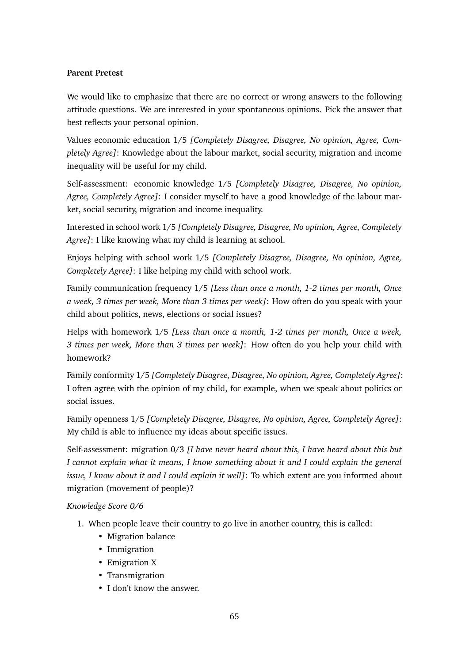#### **Parent Pretest**

We would like to emphasize that there are no correct or wrong answers to the following attitude questions. We are interested in your spontaneous opinions. Pick the answer that best reflects your personal opinion.

Values economic education 1/5 *[Completely Disagree, Disagree, No opinion, Agree, Completely Agree]*: Knowledge about the labour market, social security, migration and income inequality will be useful for my child.

Self-assessment: economic knowledge 1/5 *[Completely Disagree, Disagree, No opinion, Agree, Completely Agree]*: I consider myself to have a good knowledge of the labour market, social security, migration and income inequality.

Interested in school work 1/5 *[Completely Disagree, Disagree, No opinion, Agree, Completely Agree]*: I like knowing what my child is learning at school.

Enjoys helping with school work 1/5 *[Completely Disagree, Disagree, No opinion, Agree, Completely Agree]*: I like helping my child with school work.

Family communication frequency 1/5 *[Less than once a month, 1-2 times per month, Once a week, 3 times per week, More than 3 times per week]*: How often do you speak with your child about politics, news, elections or social issues?

Helps with homework 1/5 *[Less than once a month, 1-2 times per month, Once a week, 3 times per week, More than 3 times per week]*: How often do you help your child with homework?

Family conformity 1/5 *[Completely Disagree, Disagree, No opinion, Agree, Completely Agree]*: I often agree with the opinion of my child, for example, when we speak about politics or social issues.

Family openness 1/5 *[Completely Disagree, Disagree, No opinion, Agree, Completely Agree]*: My child is able to influence my ideas about specific issues.

Self-assessment: migration 0/3 *[I have never heard about this, I have heard about this but I cannot explain what it means, I know something about it and I could explain the general issue, I know about it and I could explain it well]*: To which extent are you informed about migration (movement of people)?

*Knowledge Score 0/6*

- 1. When people leave their country to go live in another country, this is called:
	- Migration balance
	- Immigration
	- Emigration X
	- Transmigration
	- I don't know the answer.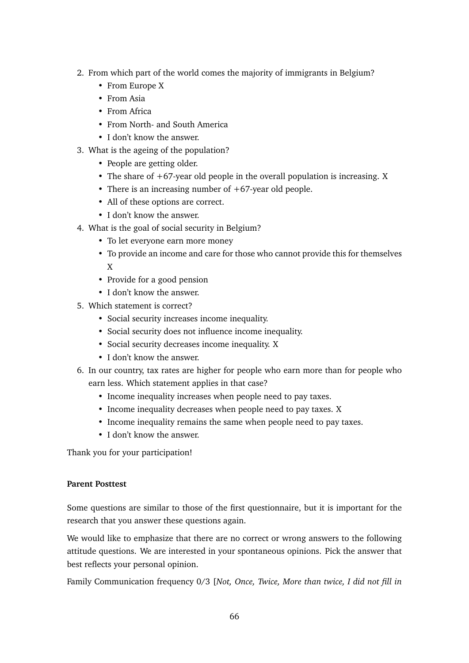- 2. From which part of the world comes the majority of immigrants in Belgium?
	- From Europe X
	- From Asia
	- From Africa
	- From North- and South America
	- I don't know the answer.
- 3. What is the ageing of the population?
	- People are getting older.
	- The share of  $+67$ -year old people in the overall population is increasing. X
	- There is an increasing number of  $+67$ -vear old people.
	- All of these options are correct.
	- I don't know the answer.
- 4. What is the goal of social security in Belgium?
	- To let everyone earn more money
	- To provide an income and care for those who cannot provide this for themselves X
	- Provide for a good pension
	- I don't know the answer.
- 5. Which statement is correct?
	- Social security increases income inequality.
	- Social security does not influence income inequality.
	- Social security decreases income inequality. X
	- I don't know the answer.
- 6. In our country, tax rates are higher for people who earn more than for people who earn less. Which statement applies in that case?
	- Income inequality increases when people need to pay taxes.
	- Income inequality decreases when people need to pay taxes. X
	- Income inequality remains the same when people need to pay taxes.
	- I don't know the answer.

Thank you for your participation!

#### **Parent Posttest**

Some questions are similar to those of the first questionnaire, but it is important for the research that you answer these questions again.

We would like to emphasize that there are no correct or wrong answers to the following attitude questions. We are interested in your spontaneous opinions. Pick the answer that best reflects your personal opinion.

Family Communication frequency 0/3 [*Not, Once, Twice, More than twice, I did not fill in*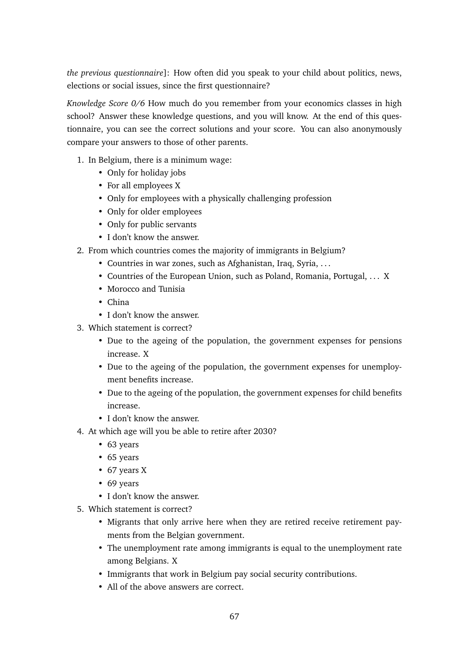*the previous questionnaire*]: How often did you speak to your child about politics, news, elections or social issues, since the first questionnaire?

*Knowledge Score 0/6* How much do you remember from your economics classes in high school? Answer these knowledge questions, and you will know. At the end of this questionnaire, you can see the correct solutions and your score. You can also anonymously compare your answers to those of other parents.

- 1. In Belgium, there is a minimum wage:
	- Only for holiday jobs
	- For all employees X
	- Only for employees with a physically challenging profession
	- Only for older employees
	- Only for public servants
	- I don't know the answer.
- 2. From which countries comes the majority of immigrants in Belgium?
	- Countries in war zones, such as Afghanistan, Iraq, Syria, . . .
	- Countries of the European Union, such as Poland, Romania, Portugal, . . . X
	- Morocco and Tunisia
	- China
	- I don't know the answer.
- 3. Which statement is correct?
	- Due to the ageing of the population, the government expenses for pensions increase. X
	- Due to the ageing of the population, the government expenses for unemployment benefits increase.
	- Due to the ageing of the population, the government expenses for child benefits increase.
	- I don't know the answer.
- 4. At which age will you be able to retire after 2030?
	- 63 years
	- 65 years
	- 67 years X
	- 69 years
	- I don't know the answer.
- 5. Which statement is correct?
	- Migrants that only arrive here when they are retired receive retirement payments from the Belgian government.
	- The unemployment rate among immigrants is equal to the unemployment rate among Belgians. X
	- Immigrants that work in Belgium pay social security contributions.
	- All of the above answers are correct.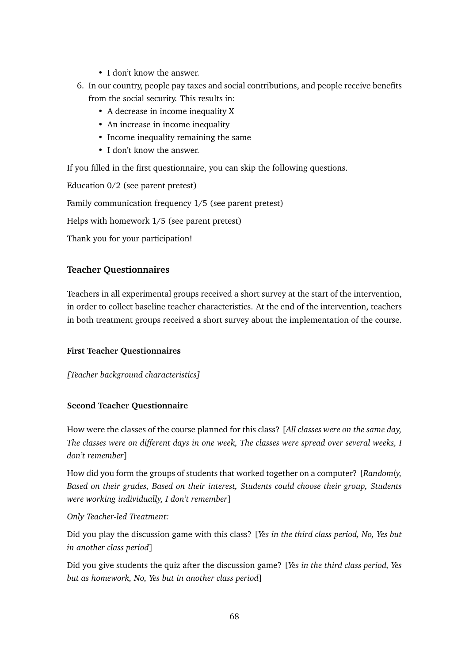- I don't know the answer.
- 6. In our country, people pay taxes and social contributions, and people receive benefits from the social security. This results in:
	- A decrease in income inequality X
	- An increase in income inequality
	- Income inequality remaining the same
	- I don't know the answer.

If you filled in the first questionnaire, you can skip the following questions.

Education 0/2 (see parent pretest) Family communication frequency 1/5 (see parent pretest) Helps with homework 1/5 (see parent pretest) Thank you for your participation!

# **Teacher Questionnaires**

Teachers in all experimental groups received a short survey at the start of the intervention, in order to collect baseline teacher characteristics. At the end of the intervention, teachers in both treatment groups received a short survey about the implementation of the course.

#### **First Teacher Questionnaires**

*[Teacher background characteristics]*

#### **Second Teacher Questionnaire**

How were the classes of the course planned for this class? [*All classes were on the same day, The classes were on different days in one week, The classes were spread over several weeks, I don't remember*]

How did you form the groups of students that worked together on a computer? [*Randomly, Based on their grades, Based on their interest, Students could choose their group, Students were working individually, I don't remember*]

*Only Teacher-led Treatment:*

Did you play the discussion game with this class? [*Yes in the third class period, No, Yes but in another class period*]

Did you give students the quiz after the discussion game? [*Yes in the third class period, Yes but as homework, No, Yes but in another class period*]